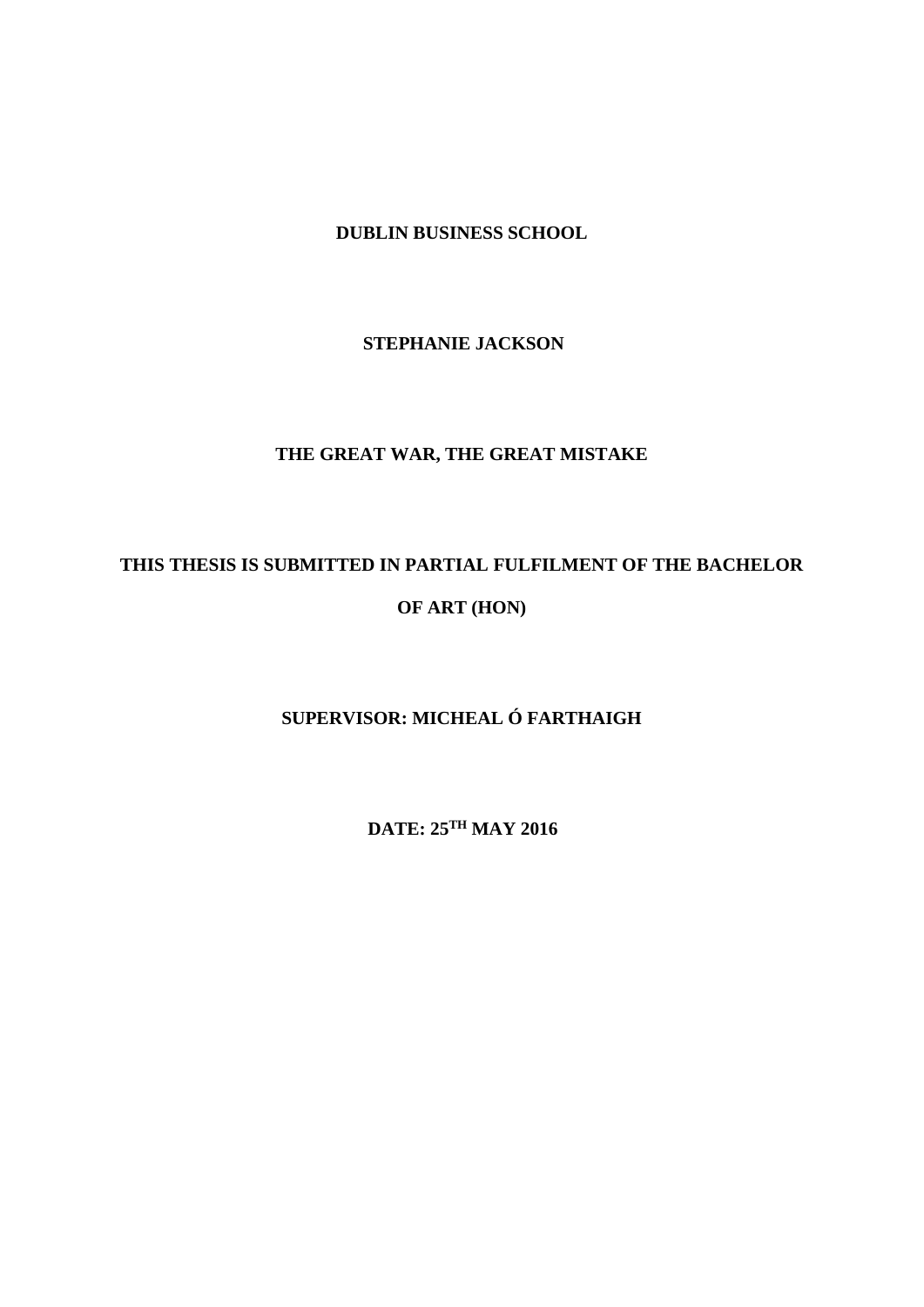**DUBLIN BUSINESS SCHOOL**

 **STEPHANIE JACKSON**

# **THE GREAT WAR, THE GREAT MISTAKE**

# **THIS THESIS IS SUBMITTED IN PARTIAL FULFILMENT OF THE BACHELOR OF ART (HON)**

# **SUPERVISOR: MICHEAL Ó FARTHAIGH**

 **DATE: 25TH MAY 2016**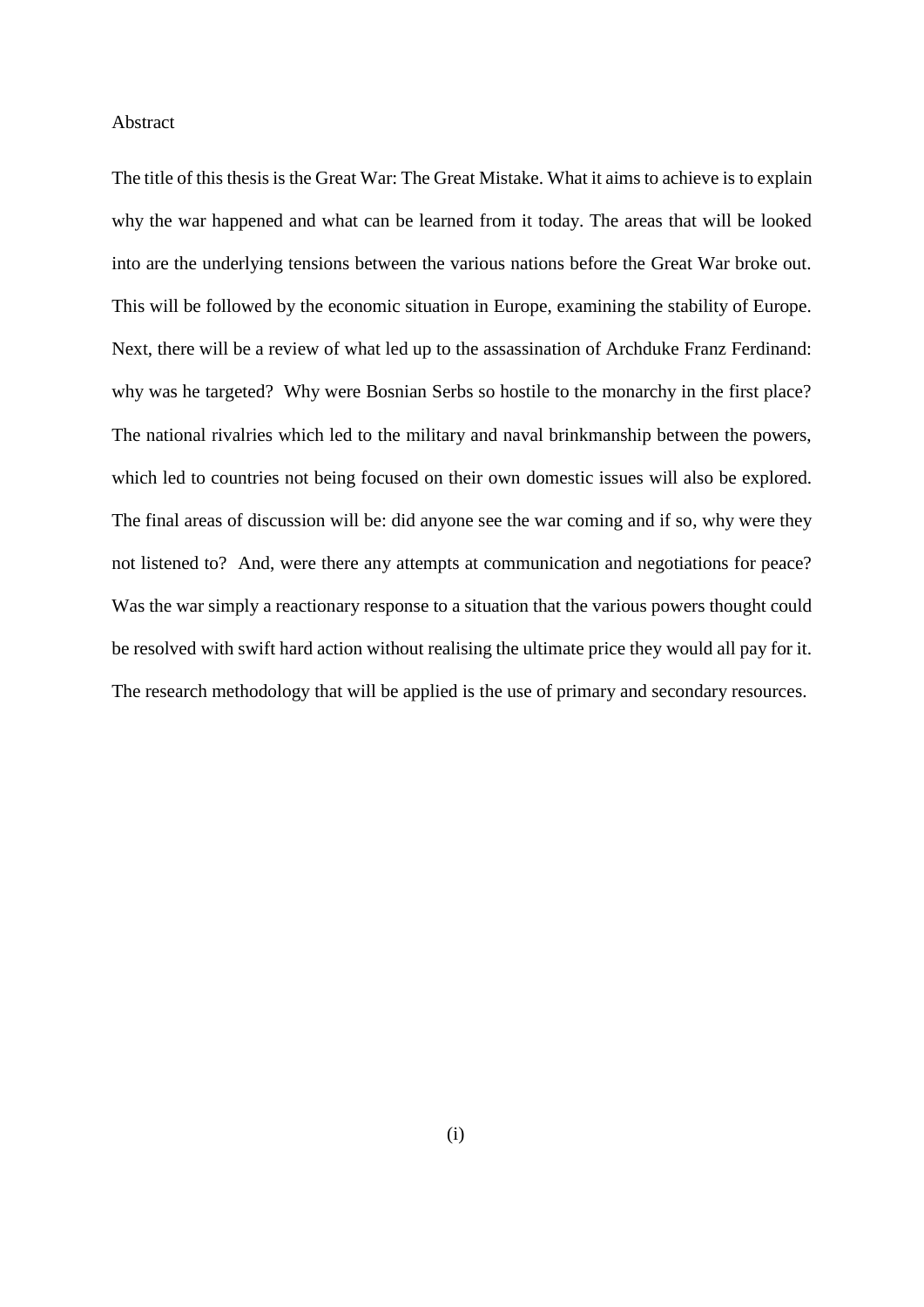#### Abstract

The title of this thesis is the Great War: The Great Mistake. What it aims to achieve is to explain why the war happened and what can be learned from it today. The areas that will be looked into are the underlying tensions between the various nations before the Great War broke out. This will be followed by the economic situation in Europe, examining the stability of Europe. Next, there will be a review of what led up to the assassination of Archduke Franz Ferdinand: why was he targeted? Why were Bosnian Serbs so hostile to the monarchy in the first place? The national rivalries which led to the military and naval brinkmanship between the powers, which led to countries not being focused on their own domestic issues will also be explored. The final areas of discussion will be: did anyone see the war coming and if so, why were they not listened to? And, were there any attempts at communication and negotiations for peace? Was the war simply a reactionary response to a situation that the various powers thought could be resolved with swift hard action without realising the ultimate price they would all pay for it. The research methodology that will be applied is the use of primary and secondary resources.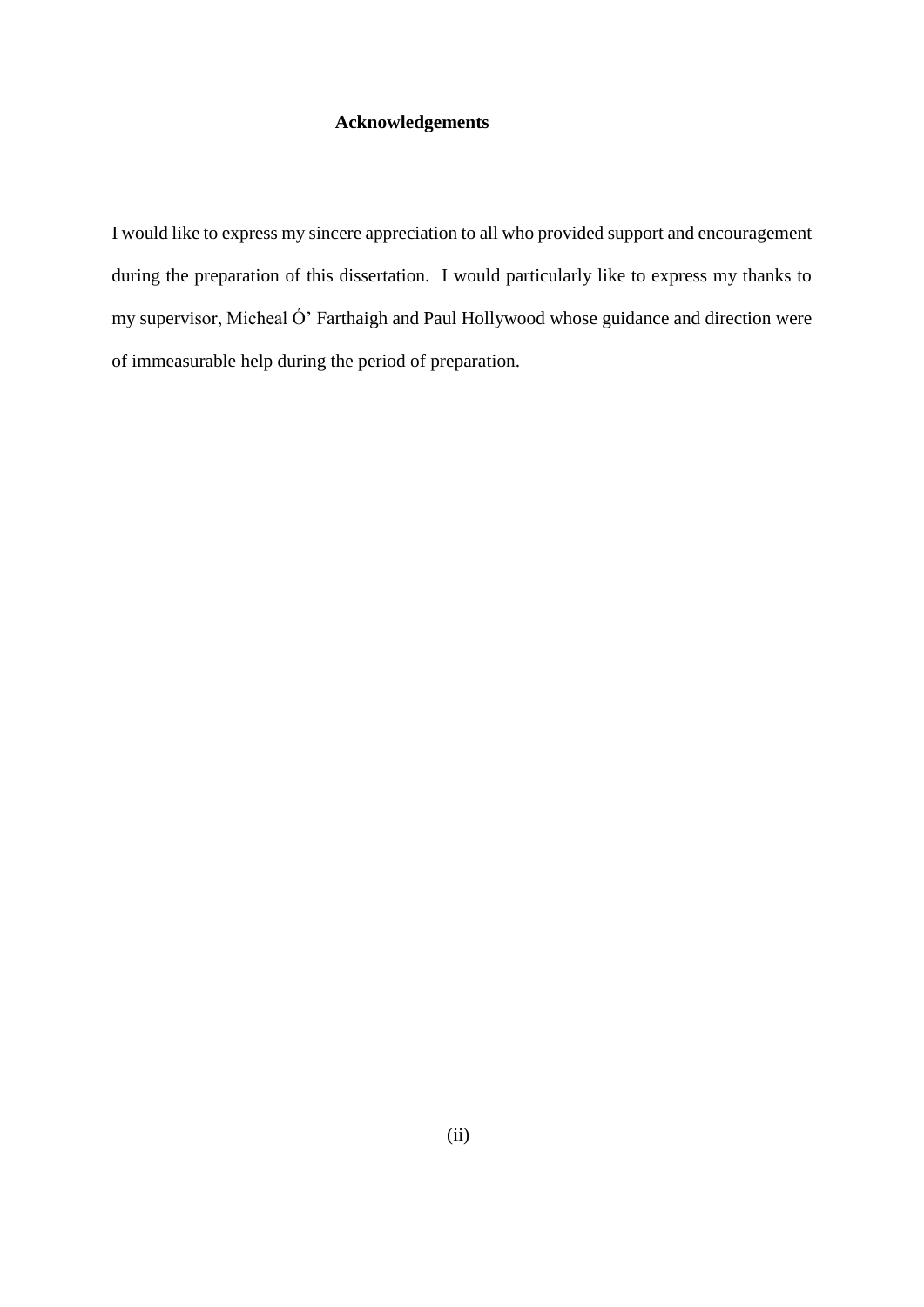## **Acknowledgements**

I would like to express my sincere appreciation to all who provided support and encouragement during the preparation of this dissertation. I would particularly like to express my thanks to my supervisor, Micheal Ó' Farthaigh and Paul Hollywood whose guidance and direction were of immeasurable help during the period of preparation.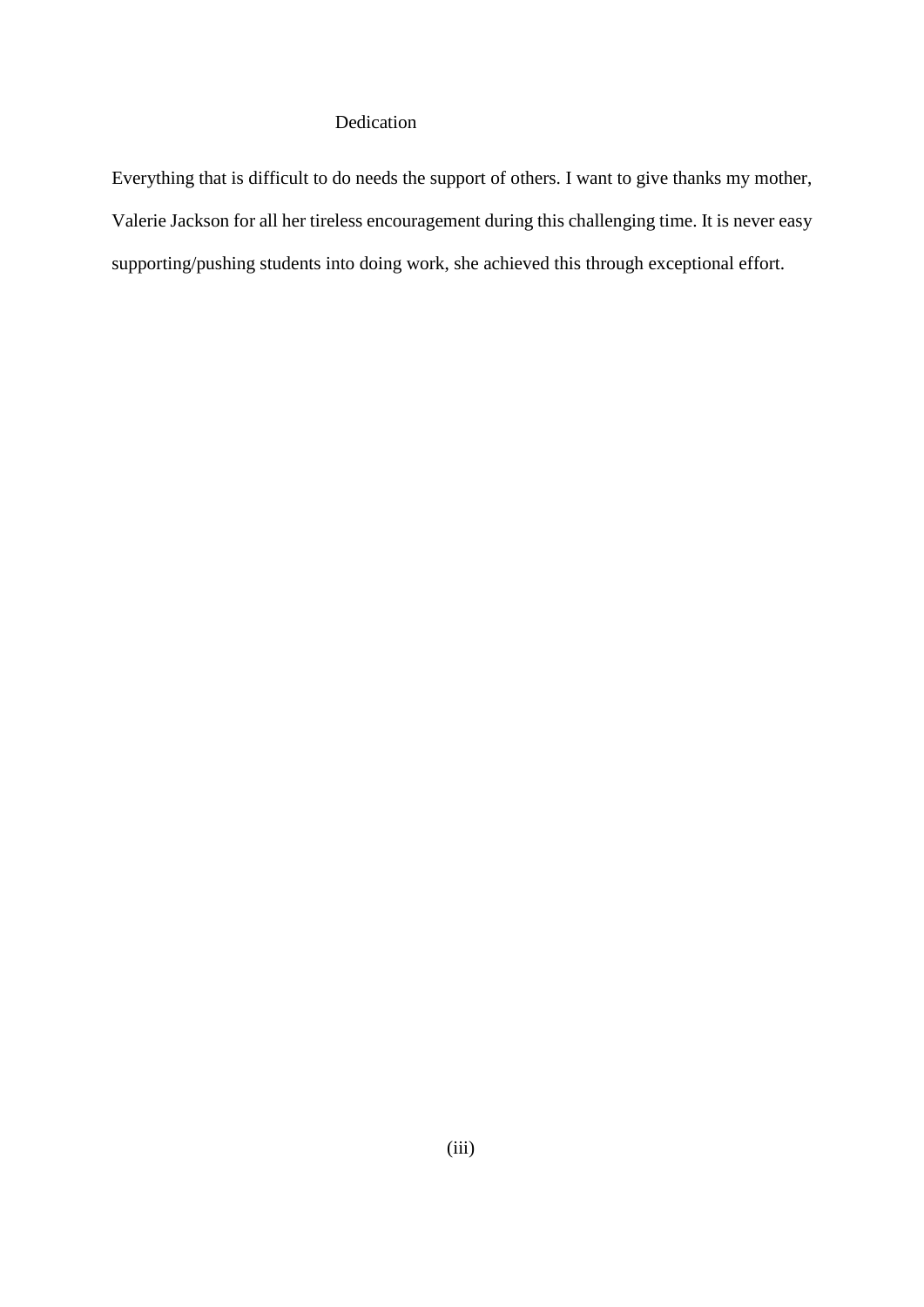## Dedication

Everything that is difficult to do needs the support of others. I want to give thanks my mother, Valerie Jackson for all her tireless encouragement during this challenging time. It is never easy supporting/pushing students into doing work, she achieved this through exceptional effort.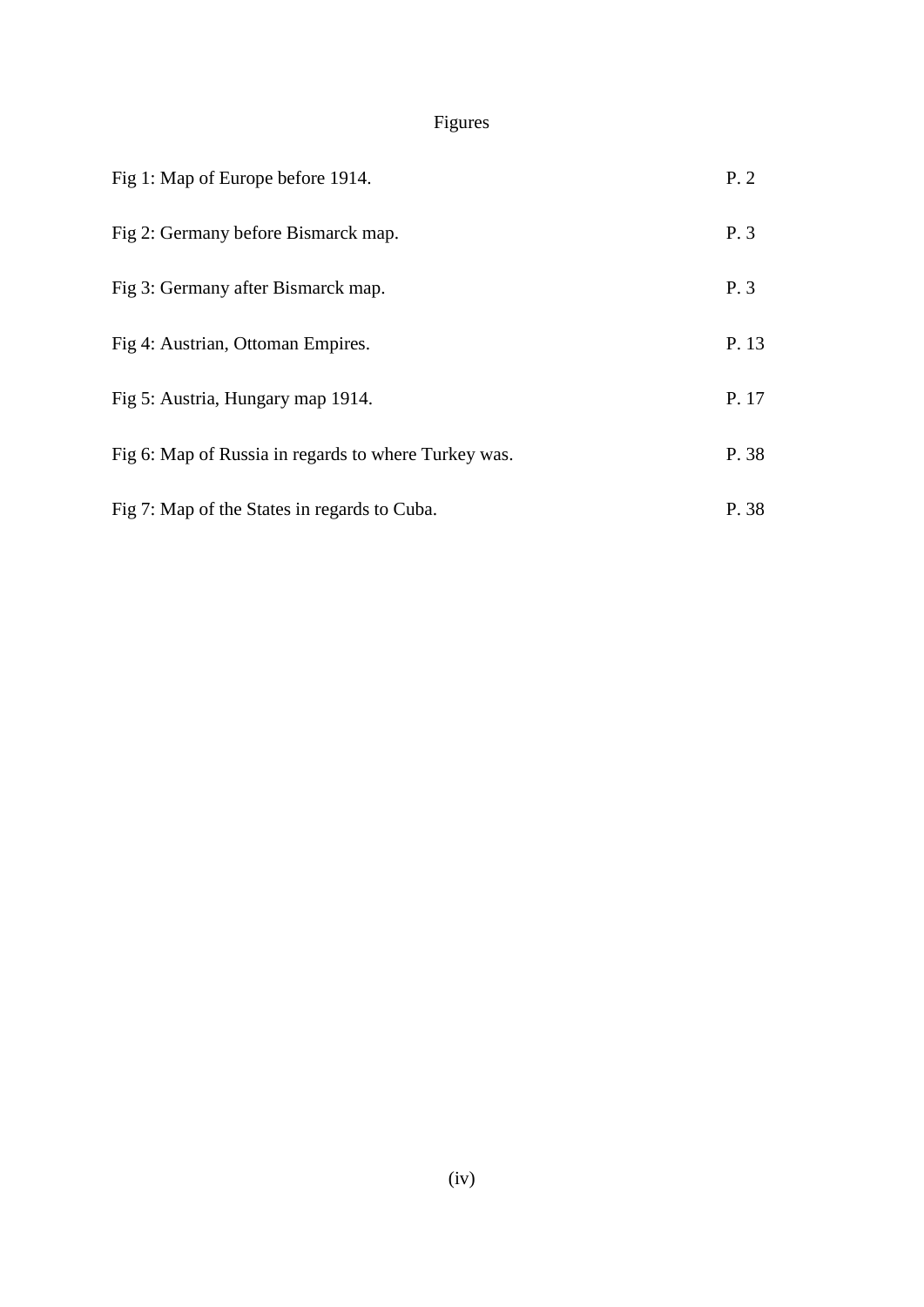# Figures

| Fig 1: Map of Europe before 1914.                     | P.2   |
|-------------------------------------------------------|-------|
| Fig 2: Germany before Bismarck map.                   | P. 3  |
| Fig 3: Germany after Bismarck map.                    | P. 3  |
| Fig 4: Austrian, Ottoman Empires.                     | P. 13 |
| Fig 5: Austria, Hungary map 1914.                     | P. 17 |
| Fig. 6: Map of Russia in regards to where Turkey was. | P. 38 |
| Fig 7: Map of the States in regards to Cuba.          | P. 38 |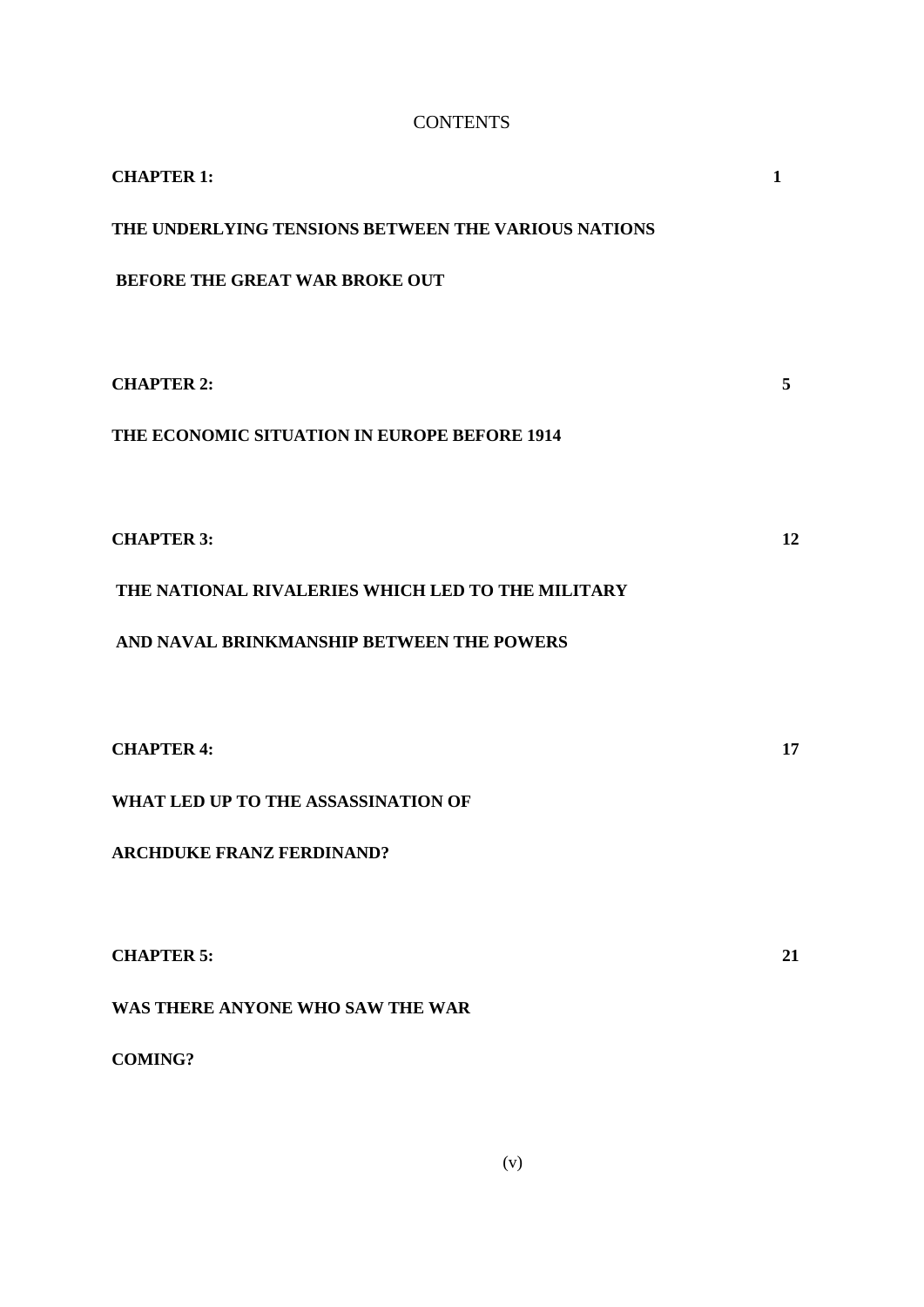# **CONTENTS**

| <b>CHAPTER 1:</b>                                   | 1  |
|-----------------------------------------------------|----|
| THE UNDERLYING TENSIONS BETWEEN THE VARIOUS NATIONS |    |
| BEFORE THE GREAT WAR BROKE OUT                      |    |
|                                                     |    |
| <b>CHAPTER 2:</b>                                   | 5  |
| THE ECONOMIC SITUATION IN EUROPE BEFORE 1914        |    |
|                                                     |    |
| <b>CHAPTER 3:</b>                                   | 12 |
| THE NATIONAL RIVALERIES WHICH LED TO THE MILITARY   |    |
| AND NAVAL BRINKMANSHIP BETWEEN THE POWERS           |    |
|                                                     |    |
| <b>CHAPTER 4:</b>                                   | 17 |
| WHAT LED UP TO THE ASSASSINATION OF                 |    |
| <b>ARCHDUKE FRANZ FERDINAND?</b>                    |    |
|                                                     |    |
| <b>CHAPTER 5:</b>                                   | 21 |
| WAS THERE ANYONE WHO SAW THE WAR                    |    |
| <b>COMING?</b>                                      |    |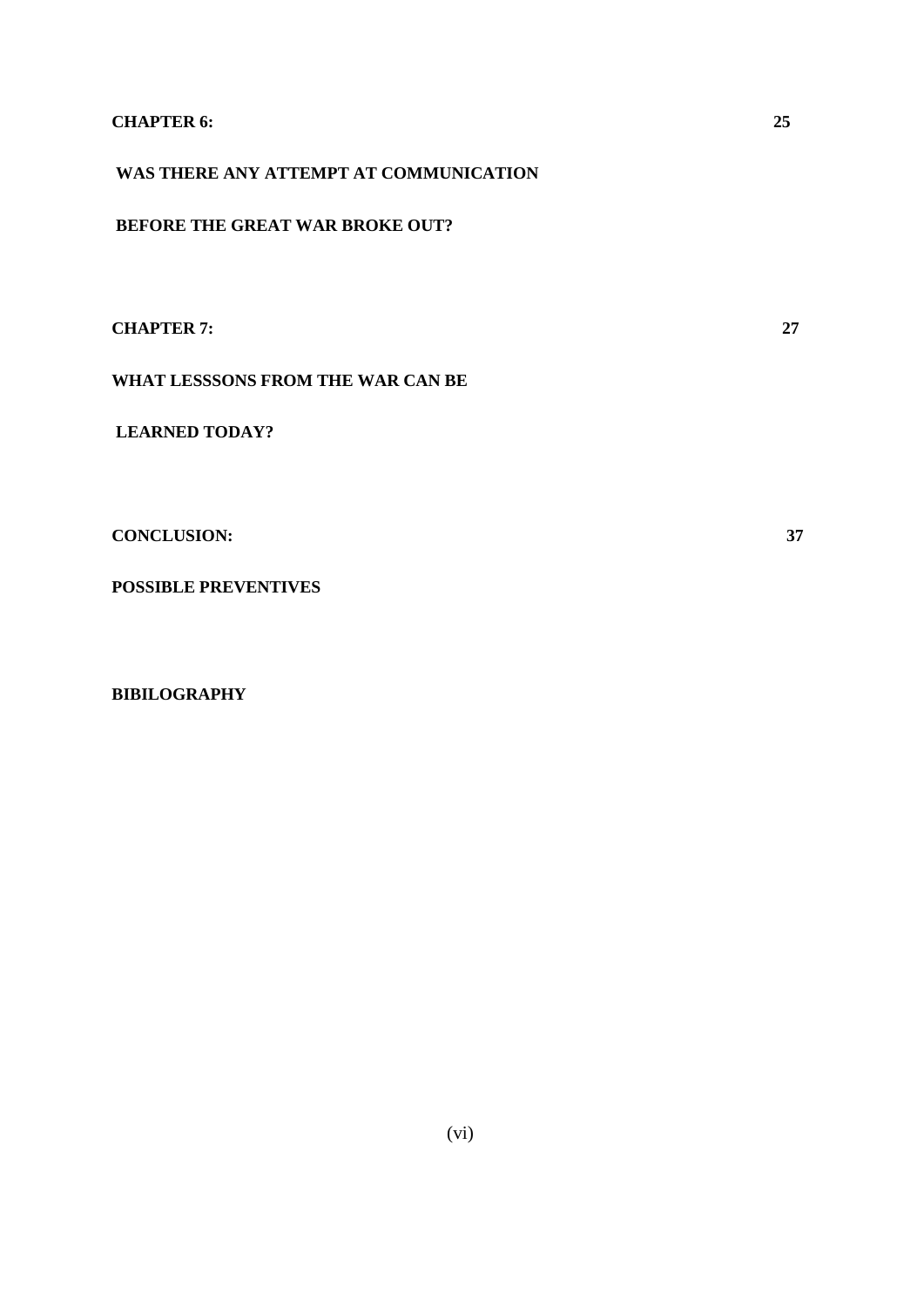## **CHAPTER 6: 25**

**WAS THERE ANY ATTEMPT AT COMMUNICATION** 

**BEFORE THE GREAT WAR BROKE OUT?**

**CHAPTER 7: 27**

**WHAT LESSSONS FROM THE WAR CAN BE** 

**LEARNED TODAY?**

**CONCLUSION: 37**

**POSSIBLE PREVENTIVES** 

**BIBILOGRAPHY**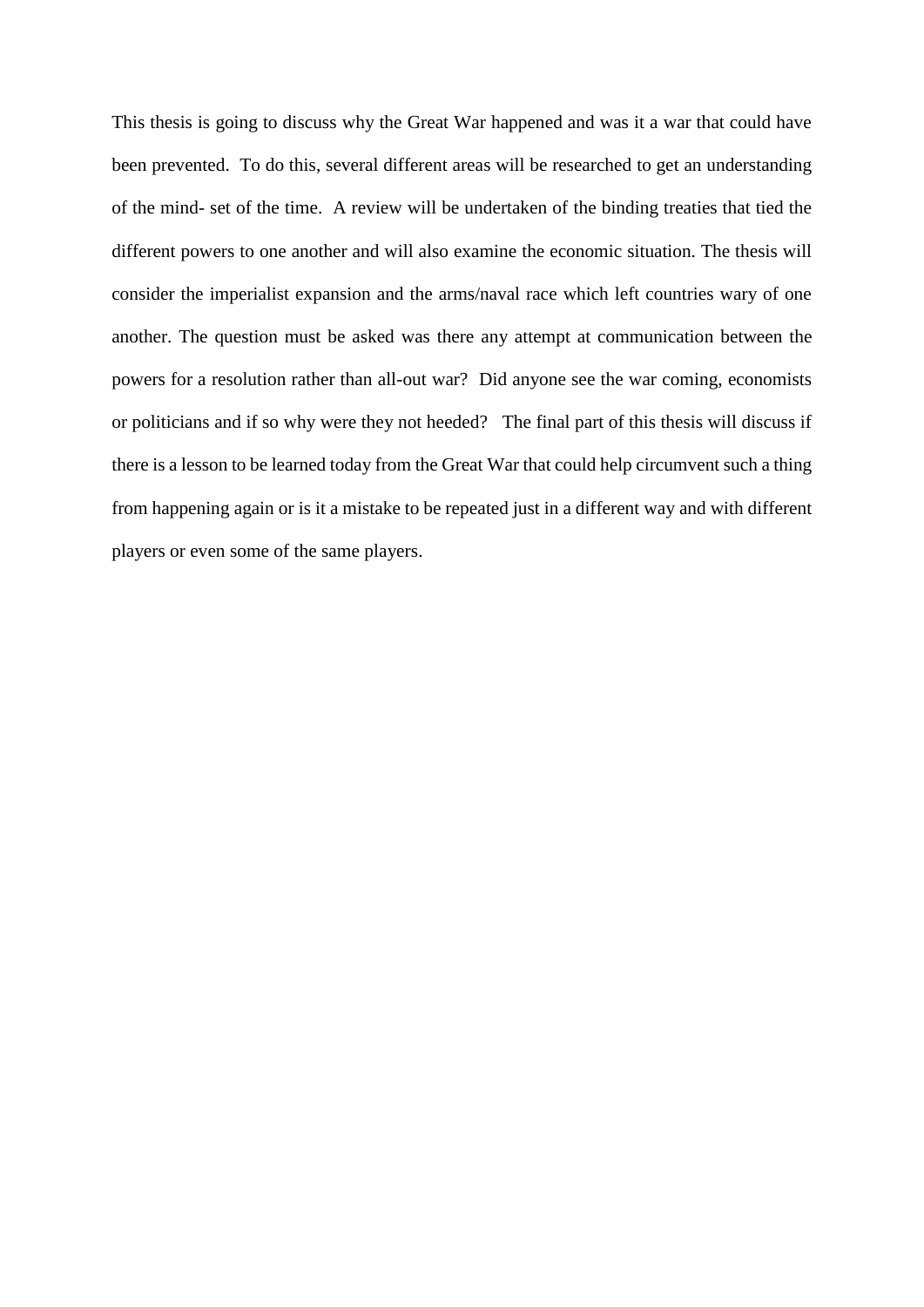This thesis is going to discuss why the Great War happened and was it a war that could have been prevented. To do this, several different areas will be researched to get an understanding of the mind- set of the time. A review will be undertaken of the binding treaties that tied the different powers to one another and will also examine the economic situation. The thesis will consider the imperialist expansion and the arms/naval race which left countries wary of one another. The question must be asked was there any attempt at communication between the powers for a resolution rather than all-out war? Did anyone see the war coming, economists or politicians and if so why were they not heeded? The final part of this thesis will discuss if there is a lesson to be learned today from the Great War that could help circumvent such a thing from happening again or is it a mistake to be repeated just in a different way and with different players or even some of the same players.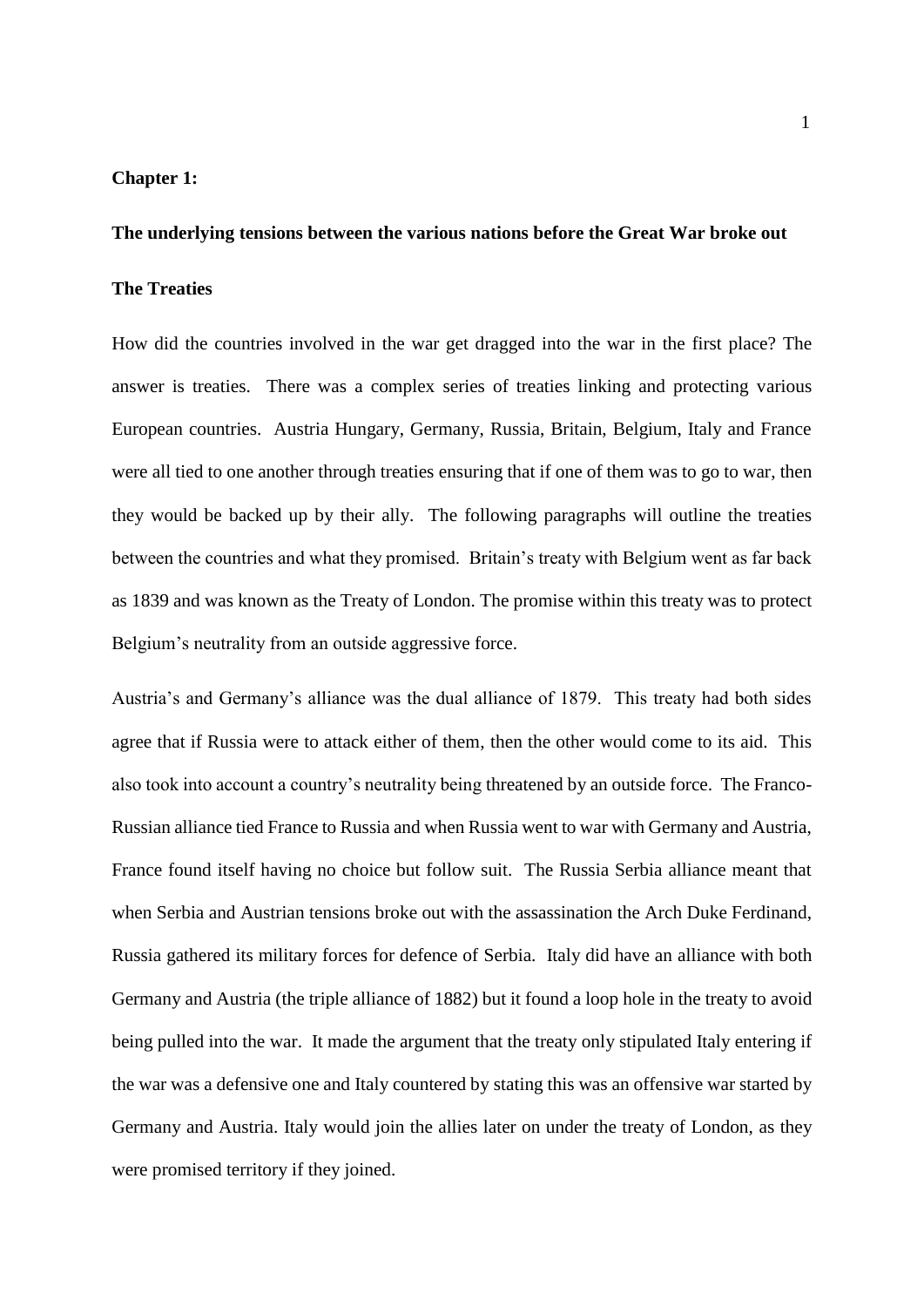## **Chapter 1:**

#### **The underlying tensions between the various nations before the Great War broke out**

## **The Treaties**

How did the countries involved in the war get dragged into the war in the first place? The answer is treaties. There was a complex series of treaties linking and protecting various European countries. Austria Hungary, Germany, Russia, Britain, Belgium, Italy and France were all tied to one another through treaties ensuring that if one of them was to go to war, then they would be backed up by their ally. The following paragraphs will outline the treaties between the countries and what they promised. Britain's treaty with Belgium went as far back as 1839 and was known as the Treaty of London. The promise within this treaty was to protect Belgium's neutrality from an outside aggressive force.

Austria's and Germany's alliance was the dual alliance of 1879. This treaty had both sides agree that if Russia were to attack either of them, then the other would come to its aid. This also took into account a country's neutrality being threatened by an outside force. The Franco-Russian alliance tied France to Russia and when Russia went to war with Germany and Austria, France found itself having no choice but follow suit. The Russia Serbia alliance meant that when Serbia and Austrian tensions broke out with the assassination the Arch Duke Ferdinand, Russia gathered its military forces for defence of Serbia. Italy did have an alliance with both Germany and Austria (the triple alliance of 1882) but it found a loop hole in the treaty to avoid being pulled into the war. It made the argument that the treaty only stipulated Italy entering if the war was a defensive one and Italy countered by stating this was an offensive war started by Germany and Austria. Italy would join the allies later on under the treaty of London, as they were promised territory if they joined.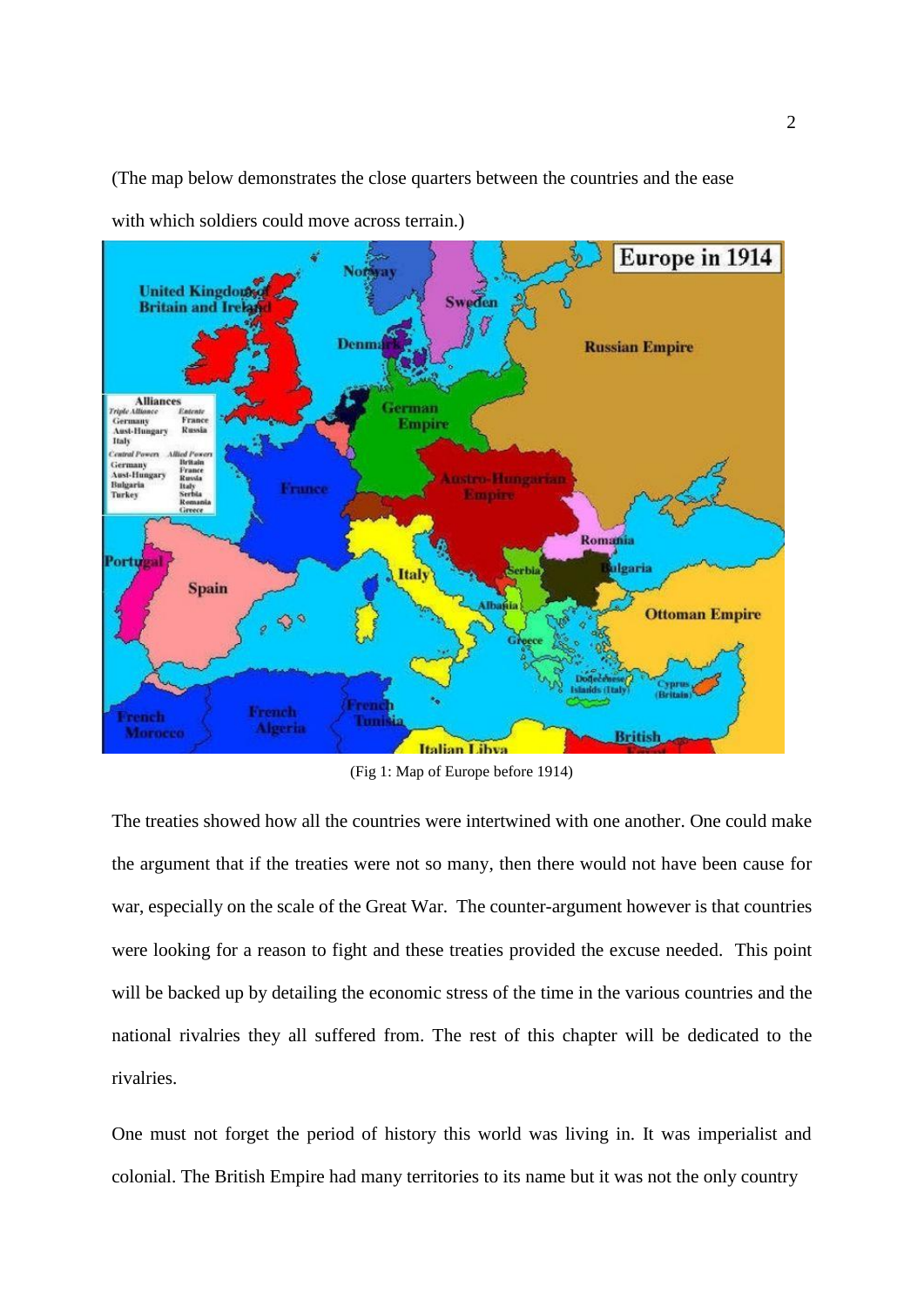(The map below demonstrates the close quarters between the countries and the ease



with which soldiers could move across terrain.)

(Fig 1: Map of Europe before 1914)

The treaties showed how all the countries were intertwined with one another. One could make the argument that if the treaties were not so many, then there would not have been cause for war, especially on the scale of the Great War. The counter-argument however is that countries were looking for a reason to fight and these treaties provided the excuse needed. This point will be backed up by detailing the economic stress of the time in the various countries and the national rivalries they all suffered from. The rest of this chapter will be dedicated to the rivalries.

One must not forget the period of history this world was living in. It was imperialist and colonial. The British Empire had many territories to its name but it was not the only country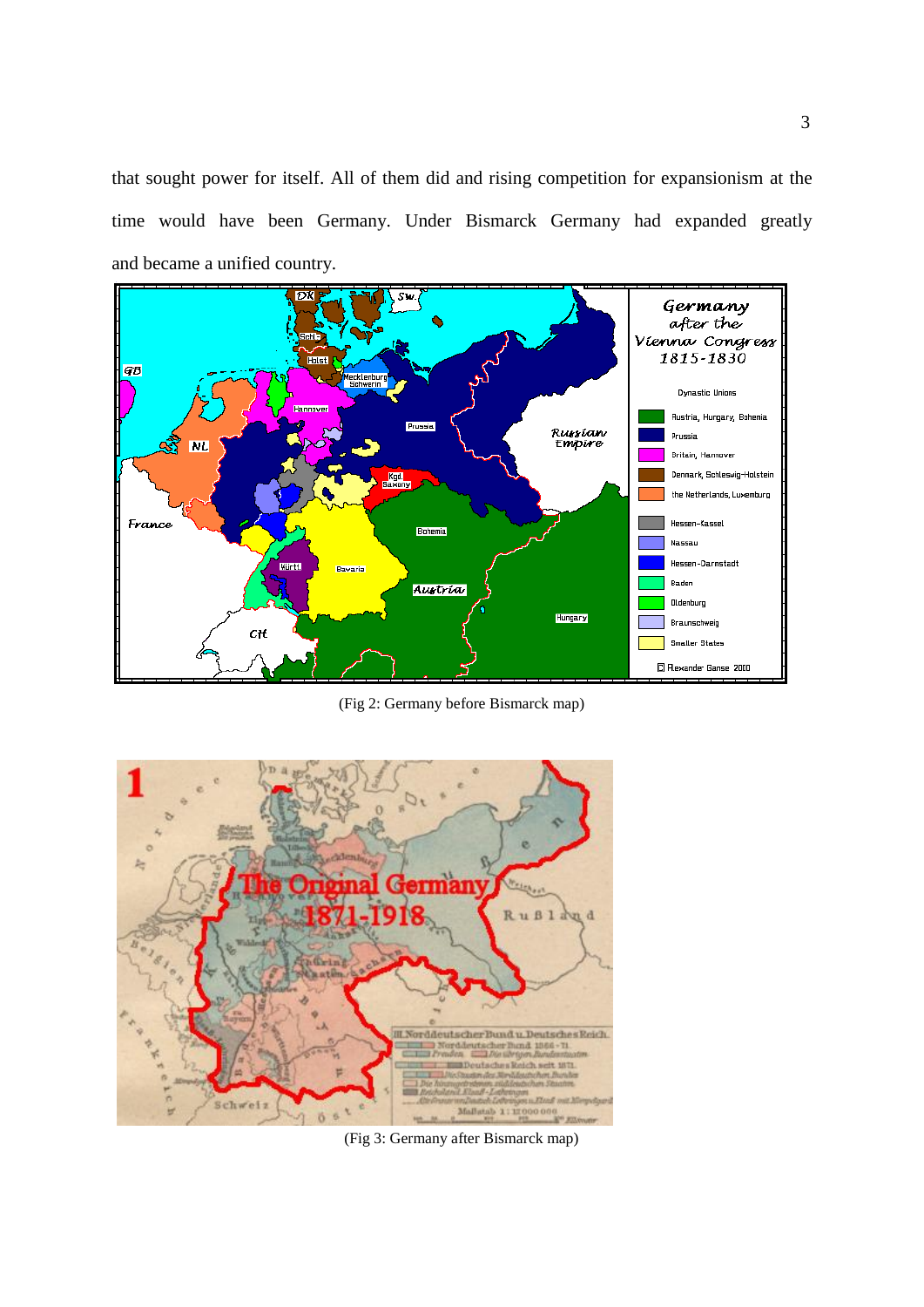that sought power for itself. All of them did and rising competition for expansionism at the time would have been Germany. Under Bismarck Germany had expanded greatly and became a unified country.



(Fig 2: Germany before Bismarck map)



(Fig 3: Germany after Bismarck map)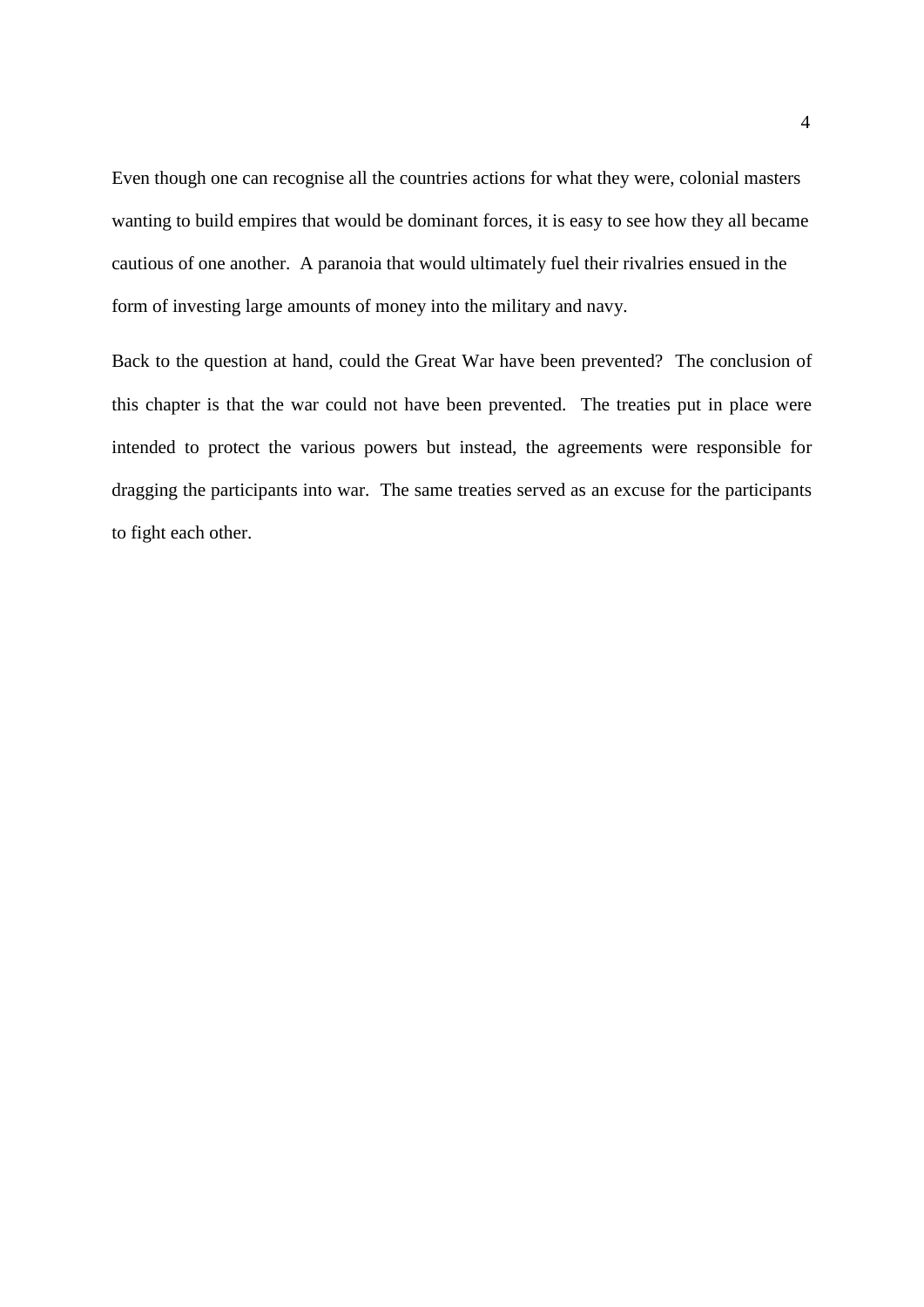Even though one can recognise all the countries actions for what they were, colonial masters wanting to build empires that would be dominant forces, it is easy to see how they all became cautious of one another. A paranoia that would ultimately fuel their rivalries ensued in the form of investing large amounts of money into the military and navy.

Back to the question at hand, could the Great War have been prevented? The conclusion of this chapter is that the war could not have been prevented. The treaties put in place were intended to protect the various powers but instead, the agreements were responsible for dragging the participants into war. The same treaties served as an excuse for the participants to fight each other.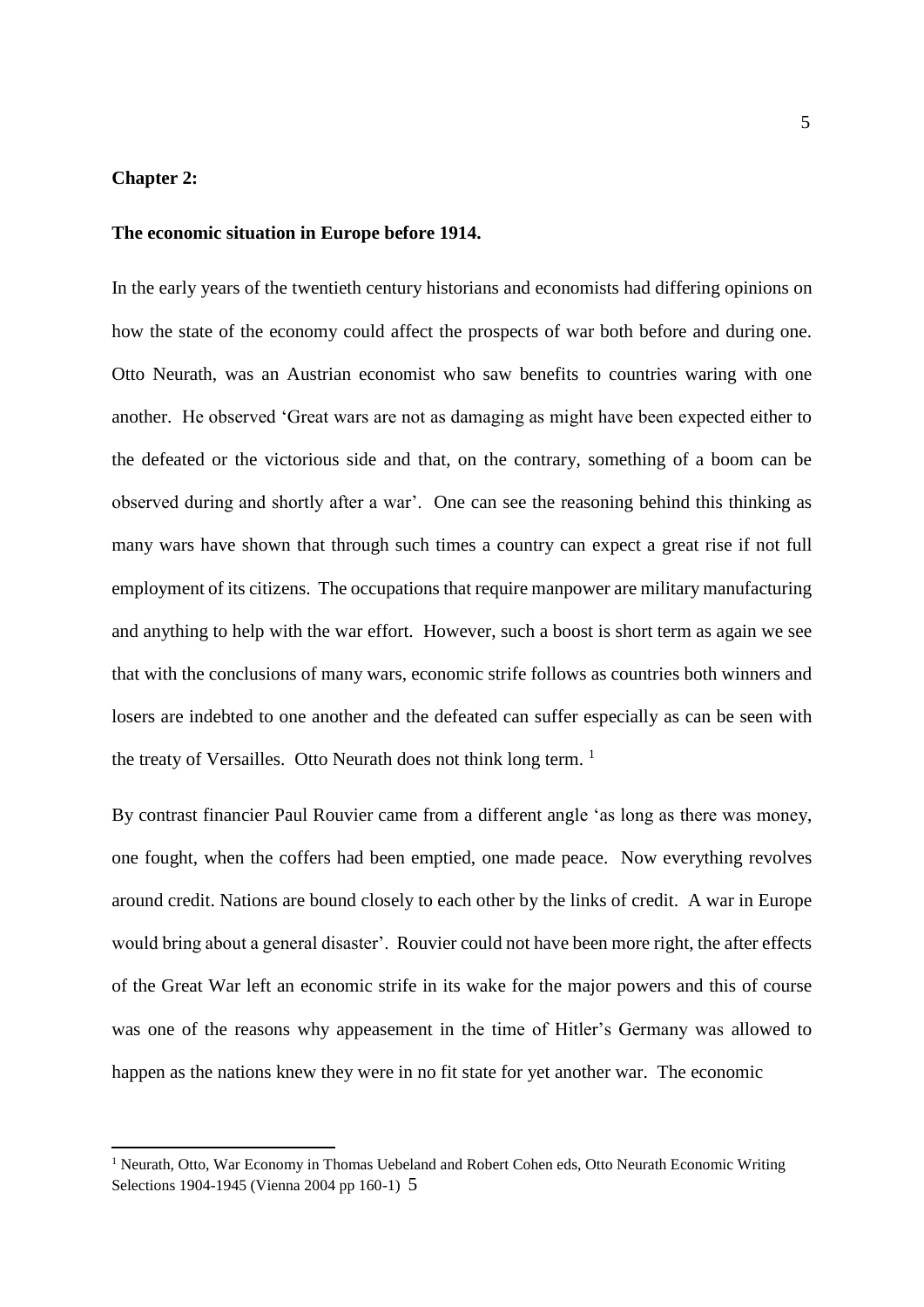## **Chapter 2:**

**.** 

#### **The economic situation in Europe before 1914.**

In the early years of the twentieth century historians and economists had differing opinions on how the state of the economy could affect the prospects of war both before and during one. Otto Neurath, was an Austrian economist who saw benefits to countries waring with one another. He observed 'Great wars are not as damaging as might have been expected either to the defeated or the victorious side and that, on the contrary, something of a boom can be observed during and shortly after a war'. One can see the reasoning behind this thinking as many wars have shown that through such times a country can expect a great rise if not full employment of its citizens. The occupations that require manpower are military manufacturing and anything to help with the war effort. However, such a boost is short term as again we see that with the conclusions of many wars, economic strife follows as countries both winners and losers are indebted to one another and the defeated can suffer especially as can be seen with the treaty of Versailles. Otto Neurath does not think long term.  $<sup>1</sup>$ </sup>

By contrast financier Paul Rouvier came from a different angle 'as long as there was money, one fought, when the coffers had been emptied, one made peace. Now everything revolves around credit. Nations are bound closely to each other by the links of credit. A war in Europe would bring about a general disaster'. Rouvier could not have been more right, the after effects of the Great War left an economic strife in its wake for the major powers and this of course was one of the reasons why appeasement in the time of Hitler's Germany was allowed to happen as the nations knew they were in no fit state for yet another war. The economic

 $<sup>1</sup>$  Neurath, Otto, War Economy in Thomas Uebeland and Robert Cohen eds, Otto Neurath Economic Writing</sup> Selections 1904-1945 (Vienna 2004 pp 160-1) 5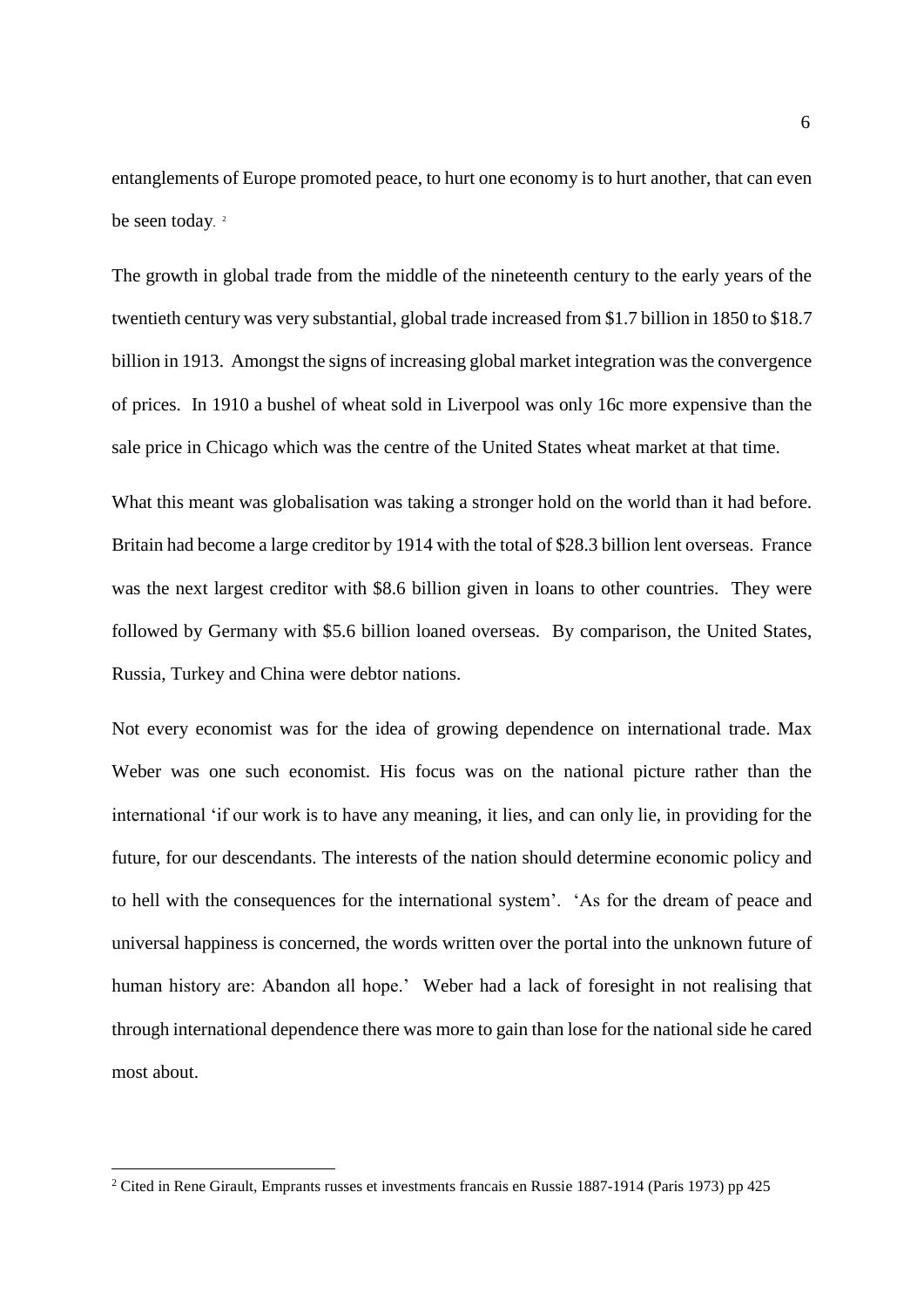entanglements of Europe promoted peace, to hurt one economy is to hurt another, that can even be seen today.<sup>2</sup>

The growth in global trade from the middle of the nineteenth century to the early years of the twentieth century was very substantial, global trade increased from \$1.7 billion in 1850 to \$18.7 billion in 1913. Amongst the signs of increasing global market integration was the convergence of prices. In 1910 a bushel of wheat sold in Liverpool was only 16c more expensive than the sale price in Chicago which was the centre of the United States wheat market at that time.

What this meant was globalisation was taking a stronger hold on the world than it had before. Britain had become a large creditor by 1914 with the total of \$28.3 billion lent overseas. France was the next largest creditor with \$8.6 billion given in loans to other countries. They were followed by Germany with \$5.6 billion loaned overseas. By comparison, the United States, Russia, Turkey and China were debtor nations.

Not every economist was for the idea of growing dependence on international trade. Max Weber was one such economist. His focus was on the national picture rather than the international 'if our work is to have any meaning, it lies, and can only lie, in providing for the future, for our descendants. The interests of the nation should determine economic policy and to hell with the consequences for the international system'. 'As for the dream of peace and universal happiness is concerned, the words written over the portal into the unknown future of human history are: Abandon all hope.' Weber had a lack of foresight in not realising that through international dependence there was more to gain than lose for the national side he cared most about.

**.** 

<sup>&</sup>lt;sup>2</sup> Cited in Rene Girault, Emprants russes et investments francais en Russie 1887-1914 (Paris 1973) pp 425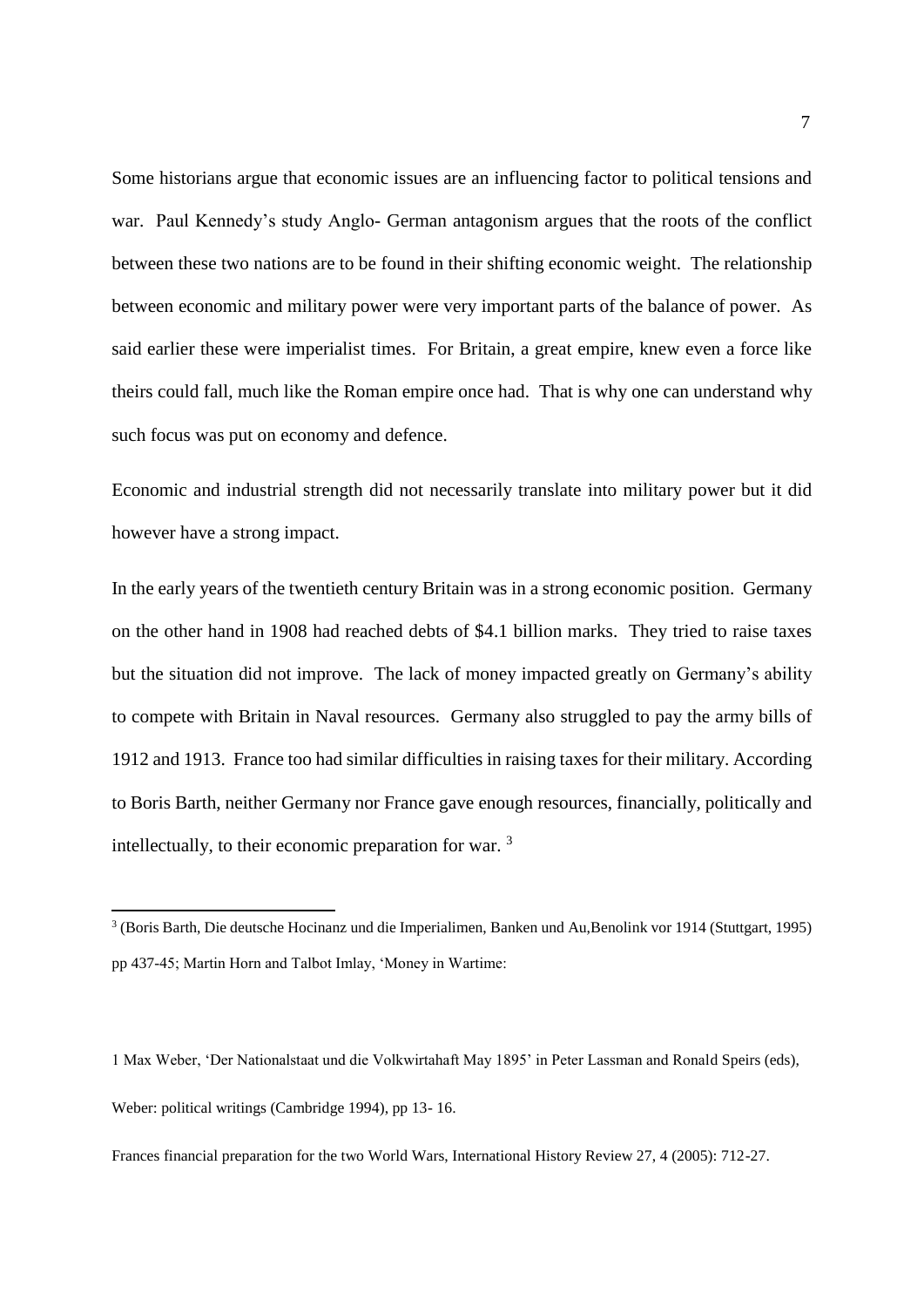Some historians argue that economic issues are an influencing factor to political tensions and war. Paul Kennedy's study Anglo- German antagonism argues that the roots of the conflict between these two nations are to be found in their shifting economic weight. The relationship between economic and military power were very important parts of the balance of power. As said earlier these were imperialist times. For Britain, a great empire, knew even a force like theirs could fall, much like the Roman empire once had. That is why one can understand why such focus was put on economy and defence.

Economic and industrial strength did not necessarily translate into military power but it did however have a strong impact.

In the early years of the twentieth century Britain was in a strong economic position. Germany on the other hand in 1908 had reached debts of \$4.1 billion marks. They tried to raise taxes but the situation did not improve. The lack of money impacted greatly on Germany's ability to compete with Britain in Naval resources. Germany also struggled to pay the army bills of 1912 and 1913. France too had similar difficulties in raising taxes for their military. According to Boris Barth, neither Germany nor France gave enough resources, financially, politically and intellectually, to their economic preparation for war. <sup>3</sup>

**.** 

Frances financial preparation for the two World Wars, International History Review 27, 4 (2005): 712-27.

<sup>3</sup> (Boris Barth, Die deutsche Hocinanz und die Imperialimen, Banken und Au,Benolink vor 1914 (Stuttgart, 1995) pp 437-45; Martin Horn and Talbot Imlay, 'Money in Wartime:

<sup>1</sup> Max Weber, 'Der Nationalstaat und die Volkwirtahaft May 1895' in Peter Lassman and Ronald Speirs (eds), Weber: political writings (Cambridge 1994), pp 13- 16.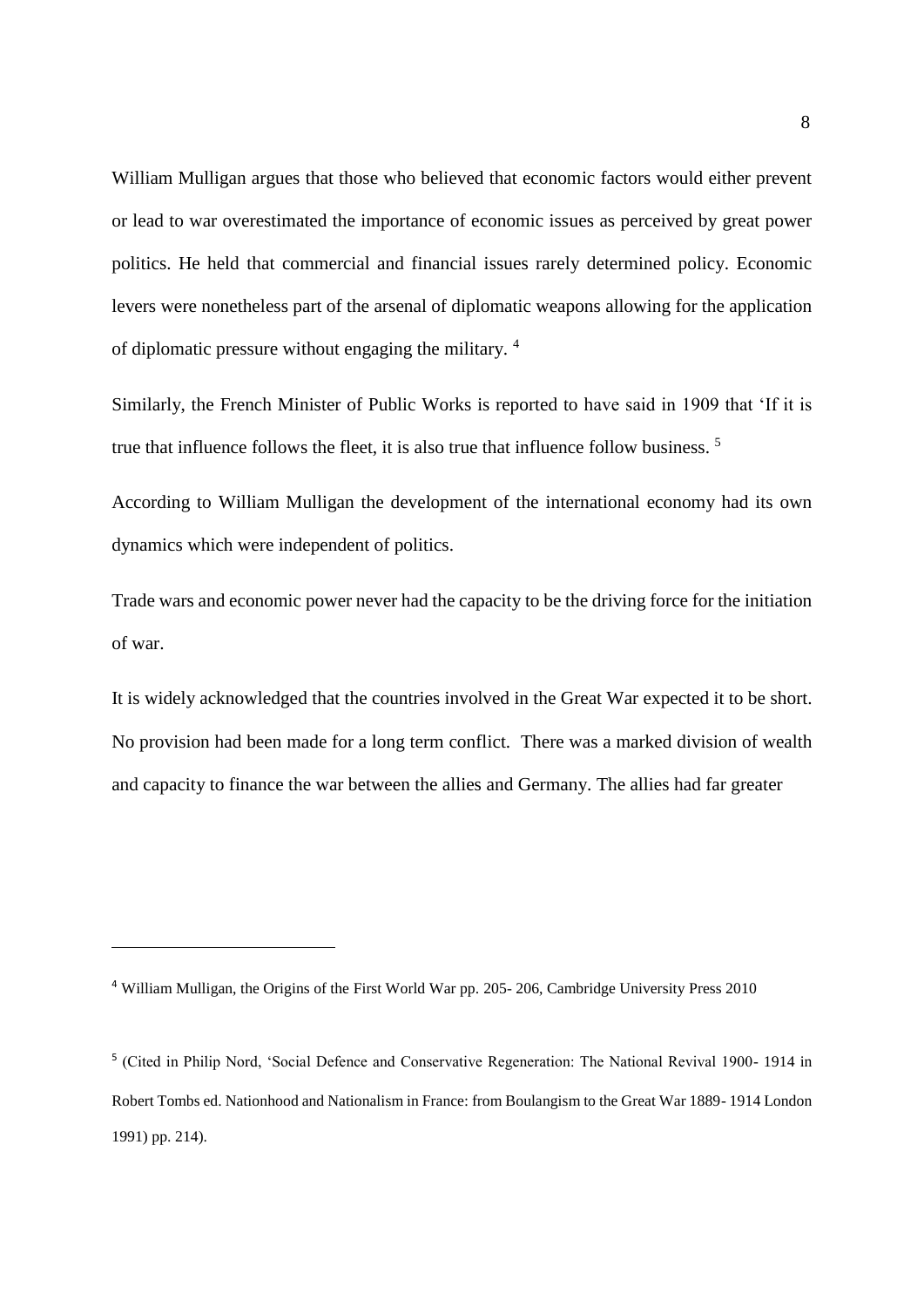William Mulligan argues that those who believed that economic factors would either prevent or lead to war overestimated the importance of economic issues as perceived by great power politics. He held that commercial and financial issues rarely determined policy. Economic levers were nonetheless part of the arsenal of diplomatic weapons allowing for the application of diplomatic pressure without engaging the military. <sup>4</sup>

Similarly, the French Minister of Public Works is reported to have said in 1909 that 'If it is true that influence follows the fleet, it is also true that influence follow business. <sup>5</sup>

According to William Mulligan the development of the international economy had its own dynamics which were independent of politics.

Trade wars and economic power never had the capacity to be the driving force for the initiation of war.

It is widely acknowledged that the countries involved in the Great War expected it to be short. No provision had been made for a long term conflict. There was a marked division of wealth and capacity to finance the war between the allies and Germany. The allies had far greater

**.** 

<sup>4</sup> William Mulligan, the Origins of the First World War pp. 205- 206, Cambridge University Press 2010

<sup>&</sup>lt;sup>5</sup> (Cited in Philip Nord, 'Social Defence and Conservative Regeneration: The National Revival 1900-1914 in Robert Tombs ed. Nationhood and Nationalism in France: from Boulangism to the Great War 1889- 1914 London 1991) pp. 214).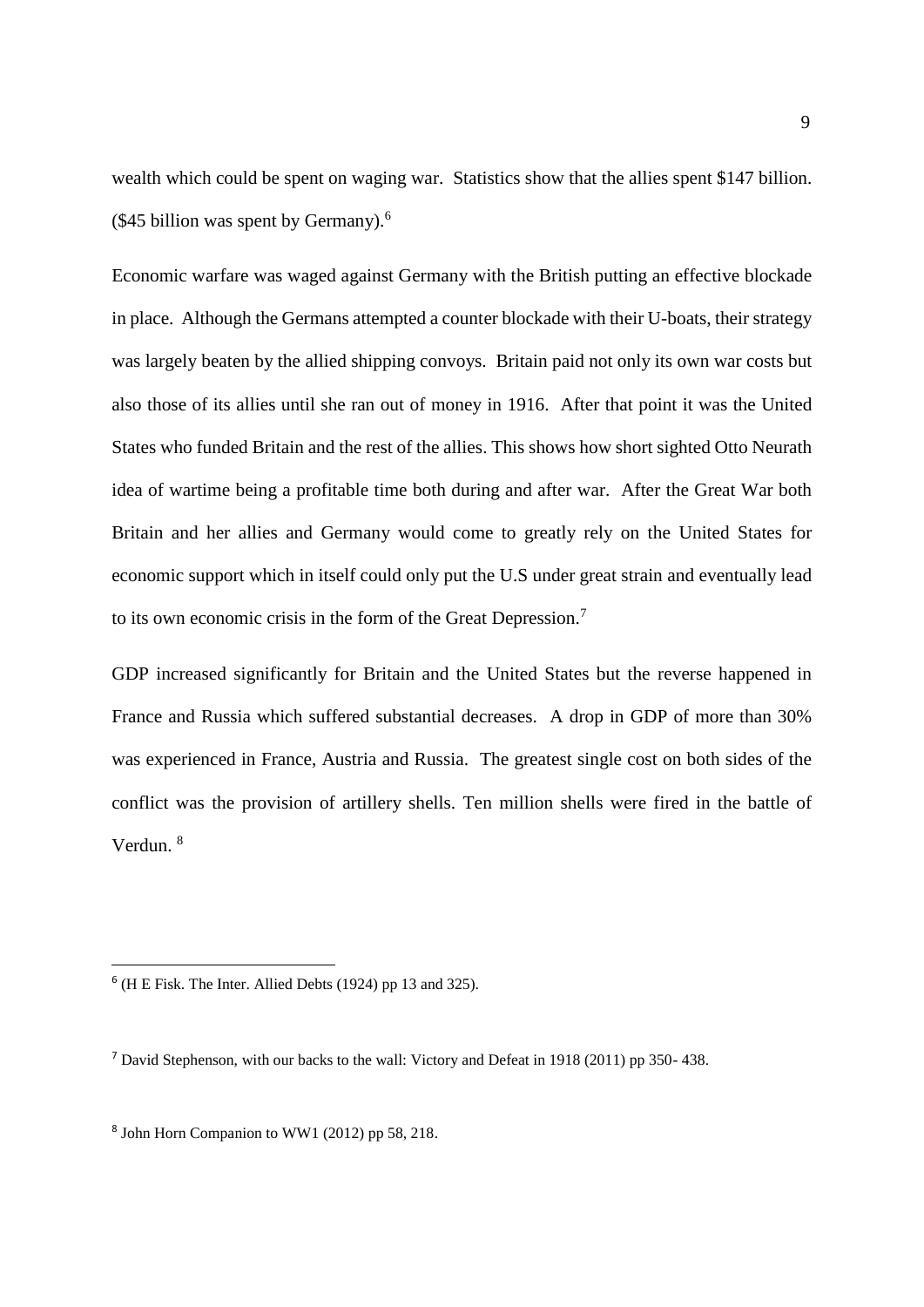wealth which could be spent on waging war. Statistics show that the allies spent \$147 billion. (\$45 billion was spent by Germany). $<sup>6</sup>$ </sup>

Economic warfare was waged against Germany with the British putting an effective blockade in place. Although the Germans attempted a counter blockade with their U-boats, their strategy was largely beaten by the allied shipping convoys. Britain paid not only its own war costs but also those of its allies until she ran out of money in 1916. After that point it was the United States who funded Britain and the rest of the allies. This shows how short sighted Otto Neurath idea of wartime being a profitable time both during and after war. After the Great War both Britain and her allies and Germany would come to greatly rely on the United States for economic support which in itself could only put the U.S under great strain and eventually lead to its own economic crisis in the form of the Great Depression.<sup>7</sup>

GDP increased significantly for Britain and the United States but the reverse happened in France and Russia which suffered substantial decreases. A drop in GDP of more than 30% was experienced in France, Austria and Russia. The greatest single cost on both sides of the conflict was the provision of artillery shells. Ten million shells were fired in the battle of Verdun. <sup>8</sup>

1

 $<sup>6</sup>$  (H E Fisk. The Inter. Allied Debts (1924) pp 13 and 325).</sup>

<sup>7</sup> David Stephenson, with our backs to the wall: Victory and Defeat in 1918 (2011) pp 350- 438.

<sup>8</sup> John Horn Companion to WW1 (2012) pp 58, 218.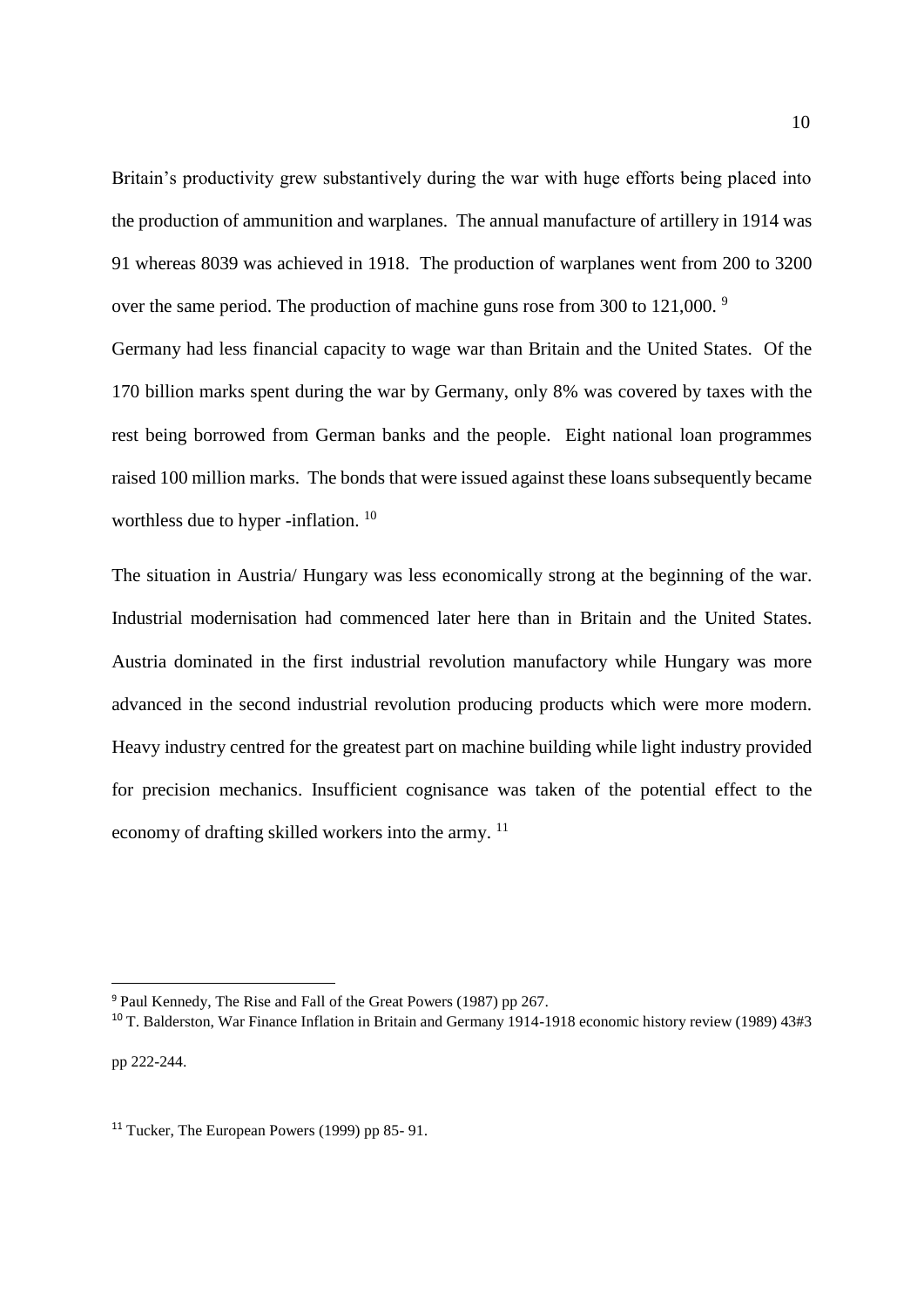Britain's productivity grew substantively during the war with huge efforts being placed into the production of ammunition and warplanes. The annual manufacture of artillery in 1914 was 91 whereas 8039 was achieved in 1918. The production of warplanes went from 200 to 3200 over the same period. The production of machine guns rose from 300 to 121,000.<sup>9</sup>

Germany had less financial capacity to wage war than Britain and the United States. Of the 170 billion marks spent during the war by Germany, only 8% was covered by taxes with the rest being borrowed from German banks and the people. Eight national loan programmes raised 100 million marks. The bonds that were issued against these loans subsequently became worthless due to hyper -inflation. <sup>10</sup>

The situation in Austria/ Hungary was less economically strong at the beginning of the war. Industrial modernisation had commenced later here than in Britain and the United States. Austria dominated in the first industrial revolution manufactory while Hungary was more advanced in the second industrial revolution producing products which were more modern. Heavy industry centred for the greatest part on machine building while light industry provided for precision mechanics. Insufficient cognisance was taken of the potential effect to the economy of drafting skilled workers into the army. <sup>11</sup>

**.** 

<sup>9</sup> Paul Kennedy, The Rise and Fall of the Great Powers (1987) pp 267.

<sup>10</sup> T. Balderston, War Finance Inflation in Britain and Germany 1914-1918 economic history review (1989) 43#3 pp 222-244.

<sup>&</sup>lt;sup>11</sup> Tucker, The European Powers (1999) pp 85-91.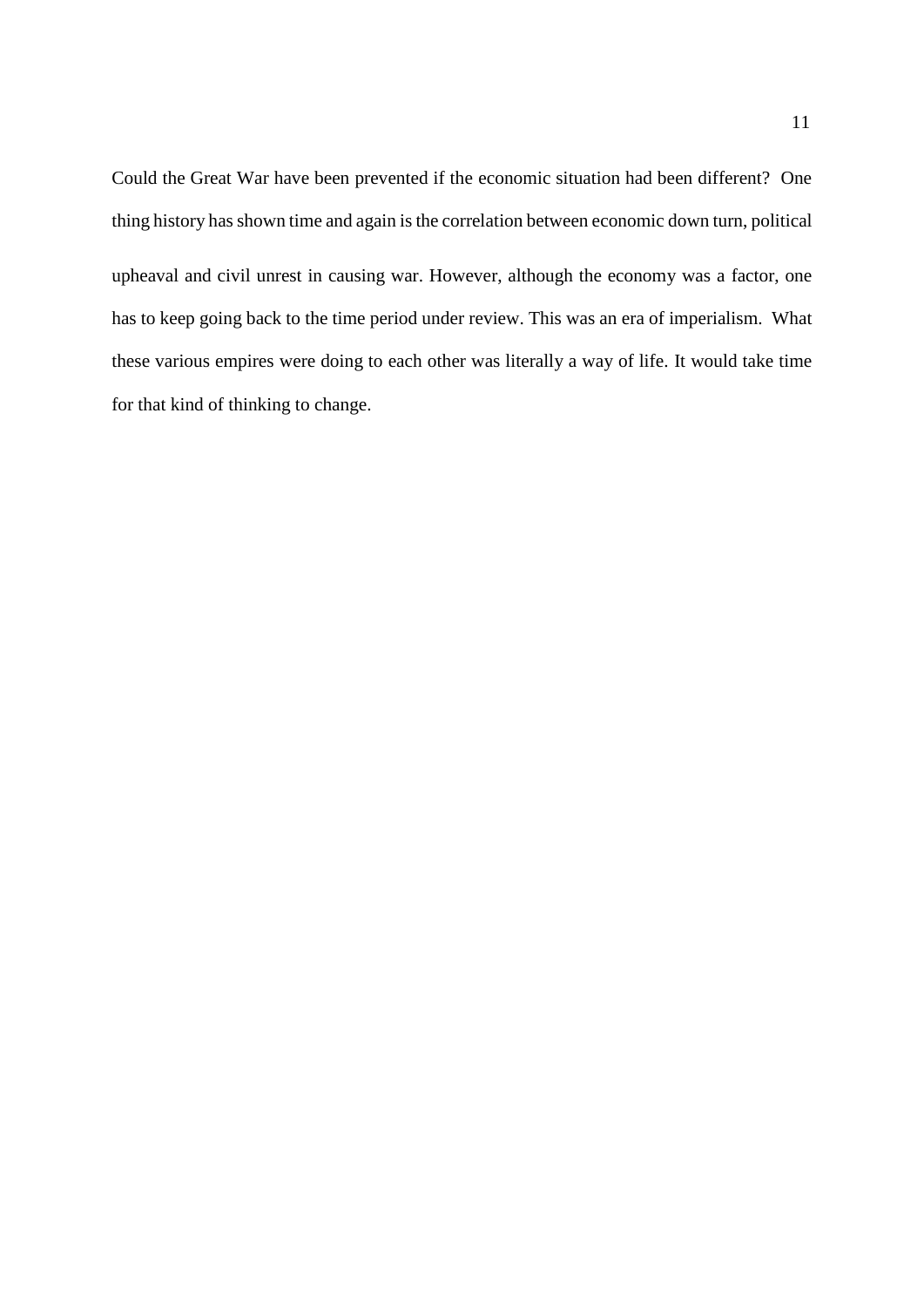Could the Great War have been prevented if the economic situation had been different? One thing history has shown time and again is the correlation between economic down turn, political upheaval and civil unrest in causing war. However, although the economy was a factor, one has to keep going back to the time period under review. This was an era of imperialism. What these various empires were doing to each other was literally a way of life. It would take time for that kind of thinking to change.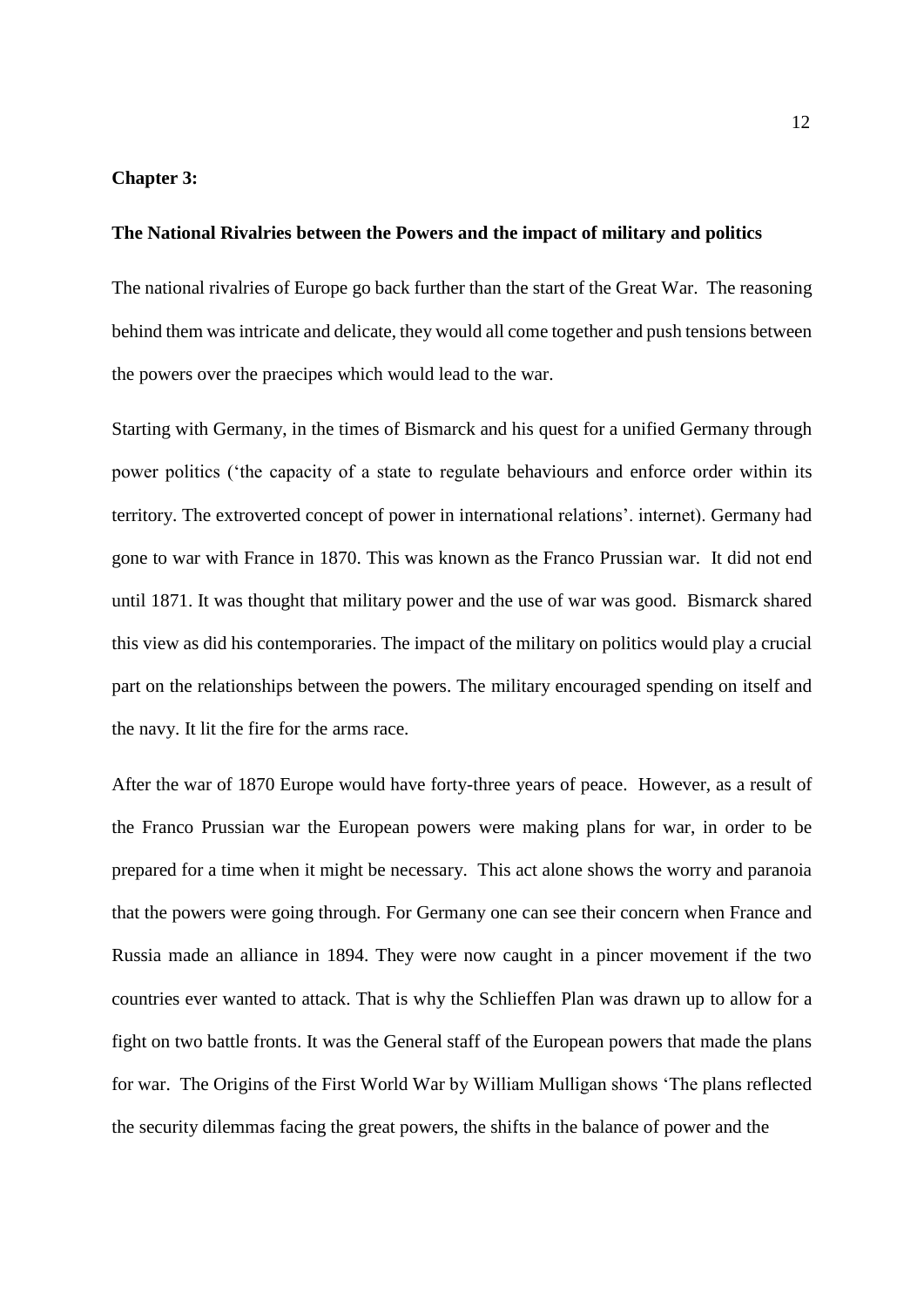## **Chapter 3:**

#### **The National Rivalries between the Powers and the impact of military and politics**

The national rivalries of Europe go back further than the start of the Great War. The reasoning behind them wasintricate and delicate, they would all come together and push tensions between the powers over the praecipes which would lead to the war.

Starting with Germany, in the times of Bismarck and his quest for a unified Germany through power politics ('the capacity of a state to regulate behaviours and enforce order within its territory. The extroverted concept of power in international relations'. internet). Germany had gone to war with France in 1870. This was known as the Franco Prussian war. It did not end until 1871. It was thought that military power and the use of war was good. Bismarck shared this view as did his contemporaries. The impact of the military on politics would play a crucial part on the relationships between the powers. The military encouraged spending on itself and the navy. It lit the fire for the arms race.

After the war of 1870 Europe would have forty-three years of peace. However, as a result of the Franco Prussian war the European powers were making plans for war, in order to be prepared for a time when it might be necessary. This act alone shows the worry and paranoia that the powers were going through. For Germany one can see their concern when France and Russia made an alliance in 1894. They were now caught in a pincer movement if the two countries ever wanted to attack. That is why the Schlieffen Plan was drawn up to allow for a fight on two battle fronts. It was the General staff of the European powers that made the plans for war. The Origins of the First World War by William Mulligan shows 'The plans reflected the security dilemmas facing the great powers, the shifts in the balance of power and the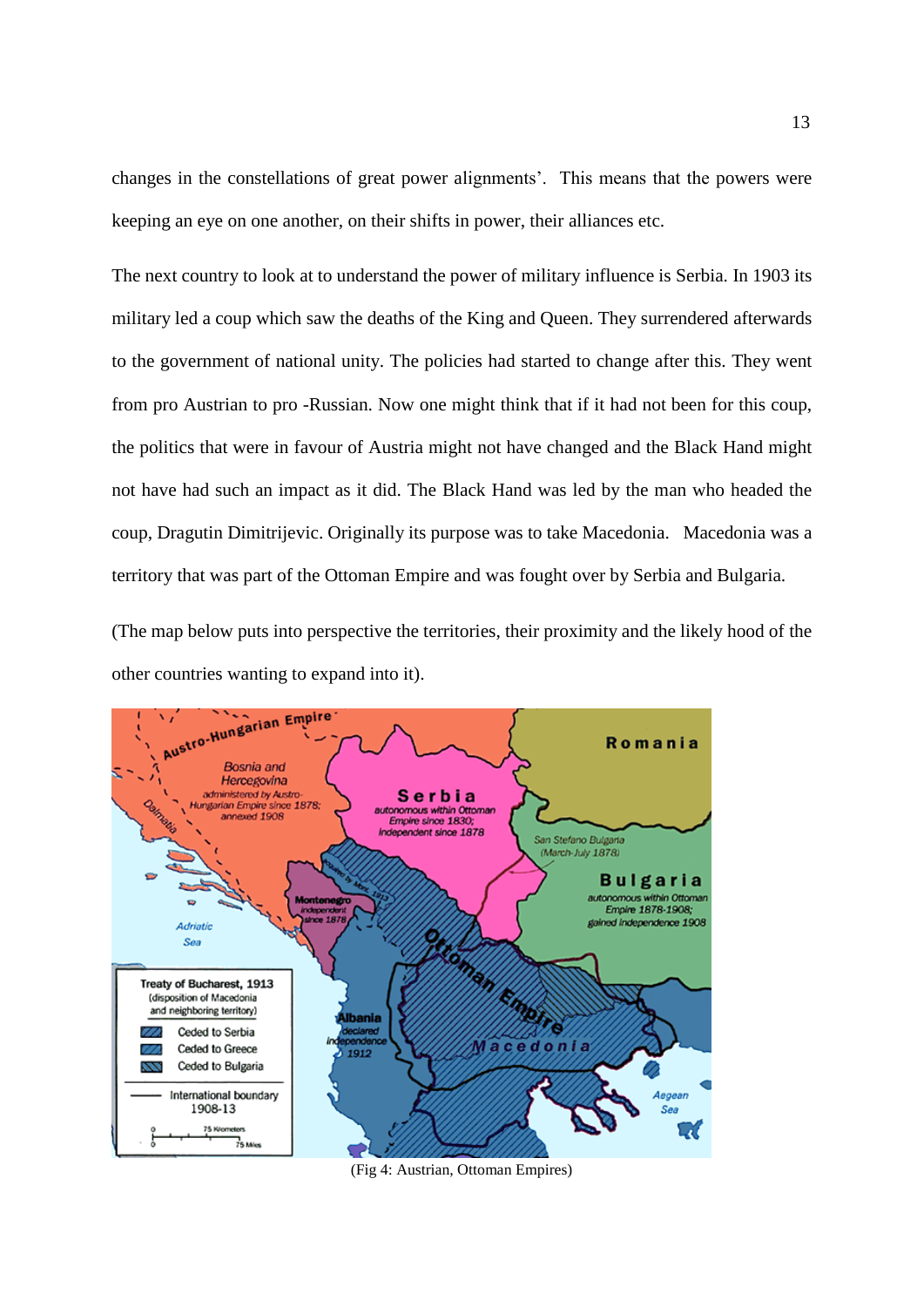changes in the constellations of great power alignments'. This means that the powers were keeping an eye on one another, on their shifts in power, their alliances etc.

The next country to look at to understand the power of military influence is Serbia. In 1903 its military led a coup which saw the deaths of the King and Queen. They surrendered afterwards to the government of national unity. The policies had started to change after this. They went from pro Austrian to pro -Russian. Now one might think that if it had not been for this coup, the politics that were in favour of Austria might not have changed and the Black Hand might not have had such an impact as it did. The Black Hand was led by the man who headed the coup, Dragutin Dimitrijevic. Originally its purpose was to take Macedonia. Macedonia was a territory that was part of the Ottoman Empire and was fought over by Serbia and Bulgaria.

(The map below puts into perspective the territories, their proximity and the likely hood of the other countries wanting to expand into it).



(Fig 4: Austrian, Ottoman Empires)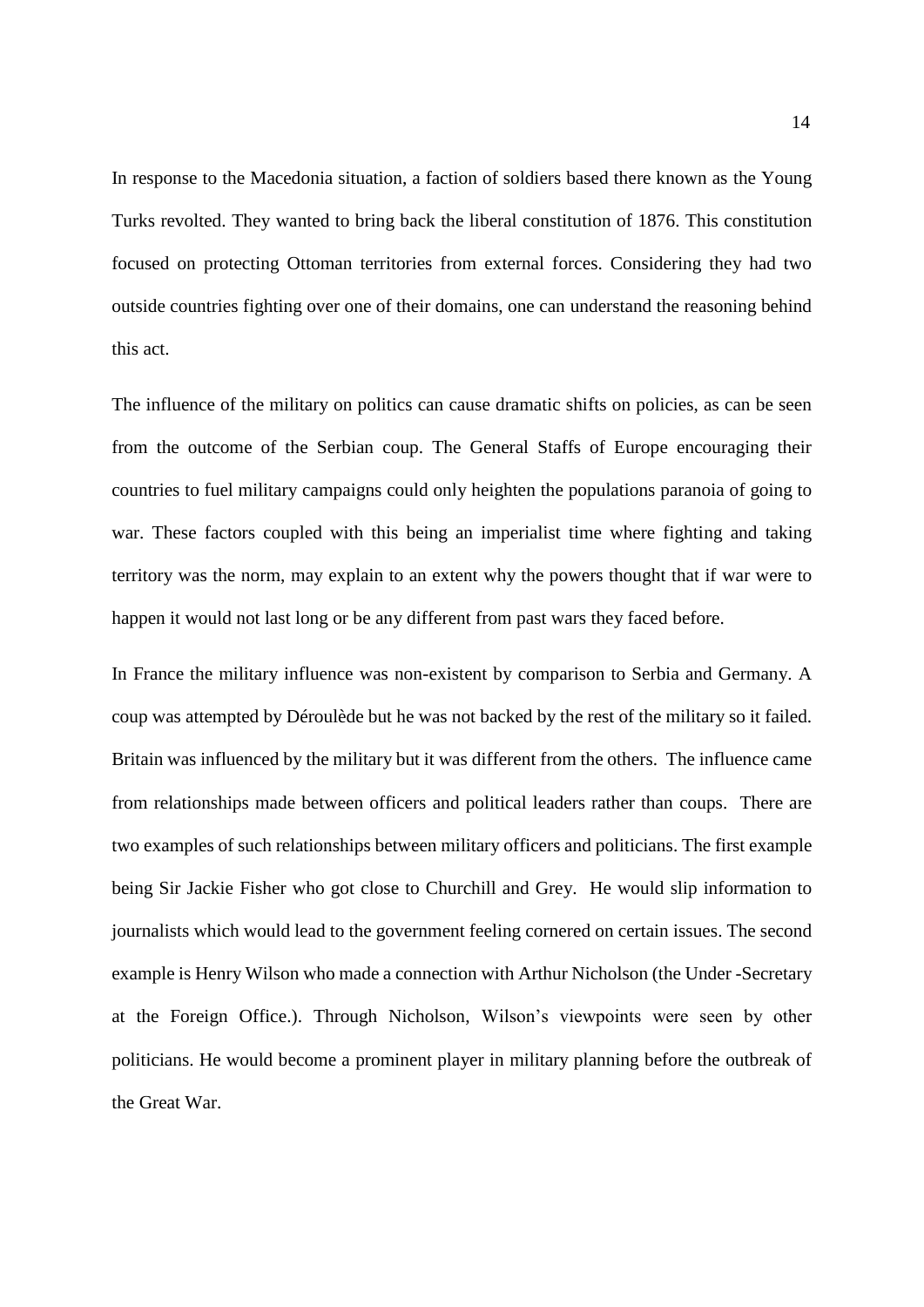In response to the Macedonia situation, a faction of soldiers based there known as the Young Turks revolted. They wanted to bring back the liberal constitution of 1876. This constitution focused on protecting Ottoman territories from external forces. Considering they had two outside countries fighting over one of their domains, one can understand the reasoning behind this act.

The influence of the military on politics can cause dramatic shifts on policies, as can be seen from the outcome of the Serbian coup. The General Staffs of Europe encouraging their countries to fuel military campaigns could only heighten the populations paranoia of going to war. These factors coupled with this being an imperialist time where fighting and taking territory was the norm, may explain to an extent why the powers thought that if war were to happen it would not last long or be any different from past wars they faced before.

In France the military influence was non-existent by comparison to Serbia and Germany. A coup was attempted by Déroulède but he was not backed by the rest of the military so it failed. Britain was influenced by the military but it was different from the others. The influence came from relationships made between officers and political leaders rather than coups. There are two examples of such relationships between military officers and politicians. The first example being Sir Jackie Fisher who got close to Churchill and Grey. He would slip information to journalists which would lead to the government feeling cornered on certain issues. The second example is Henry Wilson who made a connection with Arthur Nicholson (the Under -Secretary at the Foreign Office.). Through Nicholson, Wilson's viewpoints were seen by other politicians. He would become a prominent player in military planning before the outbreak of the Great War.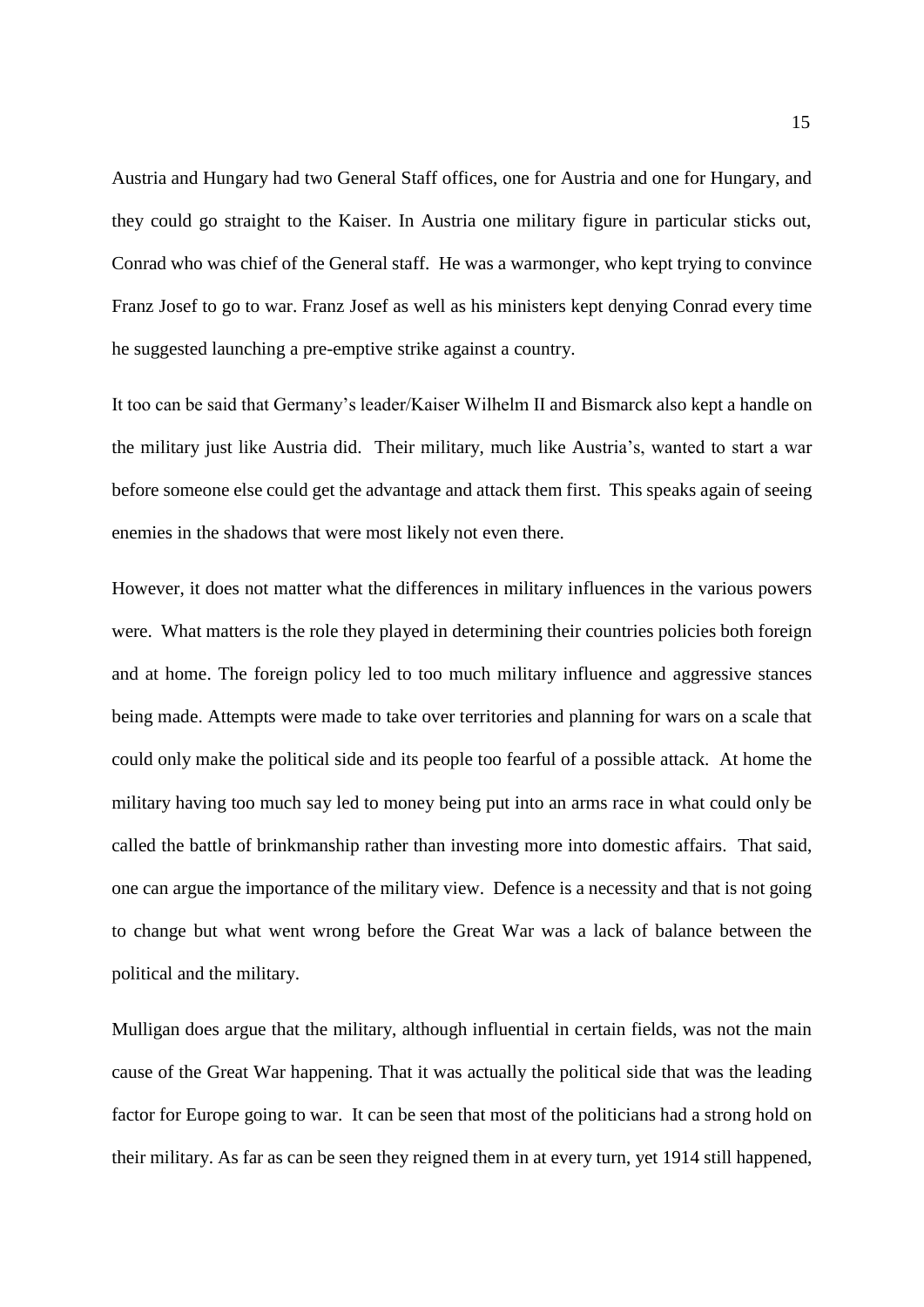Austria and Hungary had two General Staff offices, one for Austria and one for Hungary, and they could go straight to the Kaiser. In Austria one military figure in particular sticks out, Conrad who was chief of the General staff. He was a warmonger, who kept trying to convince Franz Josef to go to war. Franz Josef as well as his ministers kept denying Conrad every time he suggested launching a pre-emptive strike against a country.

It too can be said that Germany's leader/Kaiser Wilhelm II and Bismarck also kept a handle on the military just like Austria did. Their military, much like Austria's, wanted to start a war before someone else could get the advantage and attack them first. This speaks again of seeing enemies in the shadows that were most likely not even there.

However, it does not matter what the differences in military influences in the various powers were. What matters is the role they played in determining their countries policies both foreign and at home. The foreign policy led to too much military influence and aggressive stances being made. Attempts were made to take over territories and planning for wars on a scale that could only make the political side and its people too fearful of a possible attack. At home the military having too much say led to money being put into an arms race in what could only be called the battle of brinkmanship rather than investing more into domestic affairs. That said, one can argue the importance of the military view. Defence is a necessity and that is not going to change but what went wrong before the Great War was a lack of balance between the political and the military.

Mulligan does argue that the military, although influential in certain fields, was not the main cause of the Great War happening. That it was actually the political side that was the leading factor for Europe going to war. It can be seen that most of the politicians had a strong hold on their military. As far as can be seen they reigned them in at every turn, yet 1914 still happened,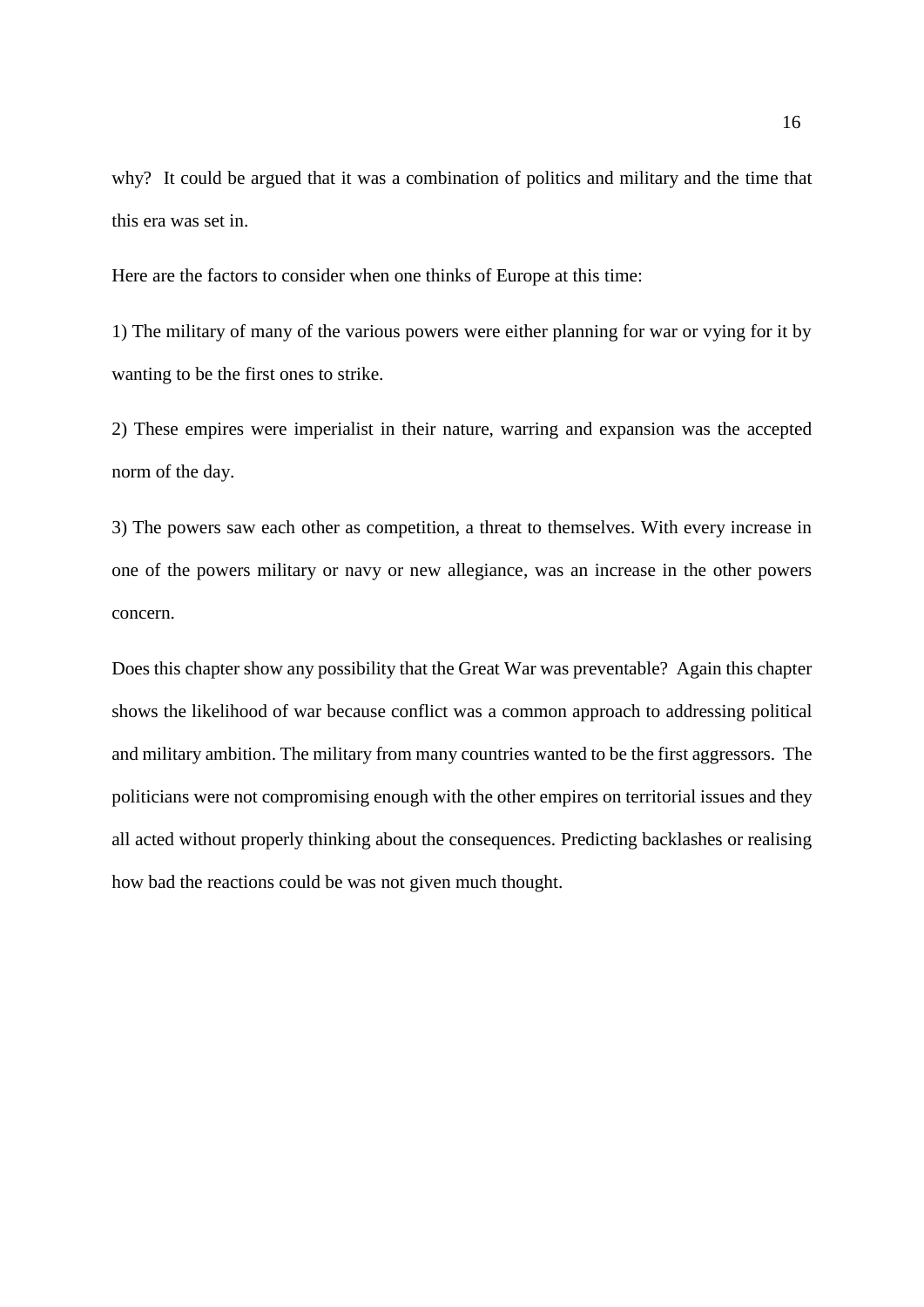why? It could be argued that it was a combination of politics and military and the time that this era was set in.

Here are the factors to consider when one thinks of Europe at this time:

1) The military of many of the various powers were either planning for war or vying for it by wanting to be the first ones to strike.

2) These empires were imperialist in their nature, warring and expansion was the accepted norm of the day.

3) The powers saw each other as competition, a threat to themselves. With every increase in one of the powers military or navy or new allegiance, was an increase in the other powers concern.

Does this chapter show any possibility that the Great War was preventable? Again this chapter shows the likelihood of war because conflict was a common approach to addressing political and military ambition. The military from many countries wanted to be the first aggressors. The politicians were not compromising enough with the other empires on territorial issues and they all acted without properly thinking about the consequences. Predicting backlashes or realising how bad the reactions could be was not given much thought.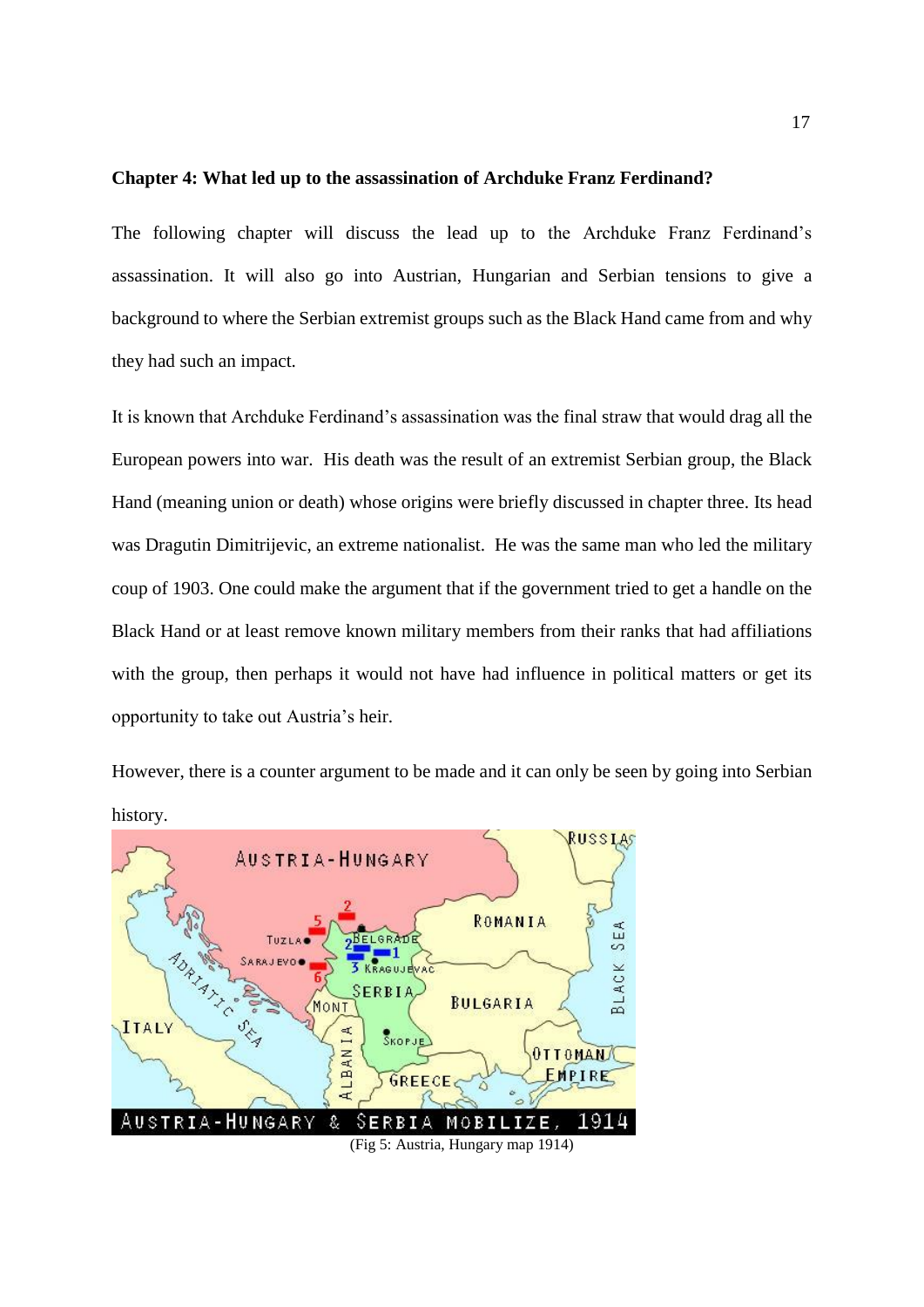#### **Chapter 4: What led up to the assassination of Archduke Franz Ferdinand?**

The following chapter will discuss the lead up to the Archduke Franz Ferdinand's assassination. It will also go into Austrian, Hungarian and Serbian tensions to give a background to where the Serbian extremist groups such as the Black Hand came from and why they had such an impact.

It is known that Archduke Ferdinand's assassination was the final straw that would drag all the European powers into war. His death was the result of an extremist Serbian group, the Black Hand (meaning union or death) whose origins were briefly discussed in chapter three. Its head was Dragutin Dimitrijevic, an extreme nationalist. He was the same man who led the military coup of 1903. One could make the argument that if the government tried to get a handle on the Black Hand or at least remove known military members from their ranks that had affiliations with the group, then perhaps it would not have had influence in political matters or get its opportunity to take out Austria's heir.

However, there is a counter argument to be made and it can only be seen by going into Serbian history.



17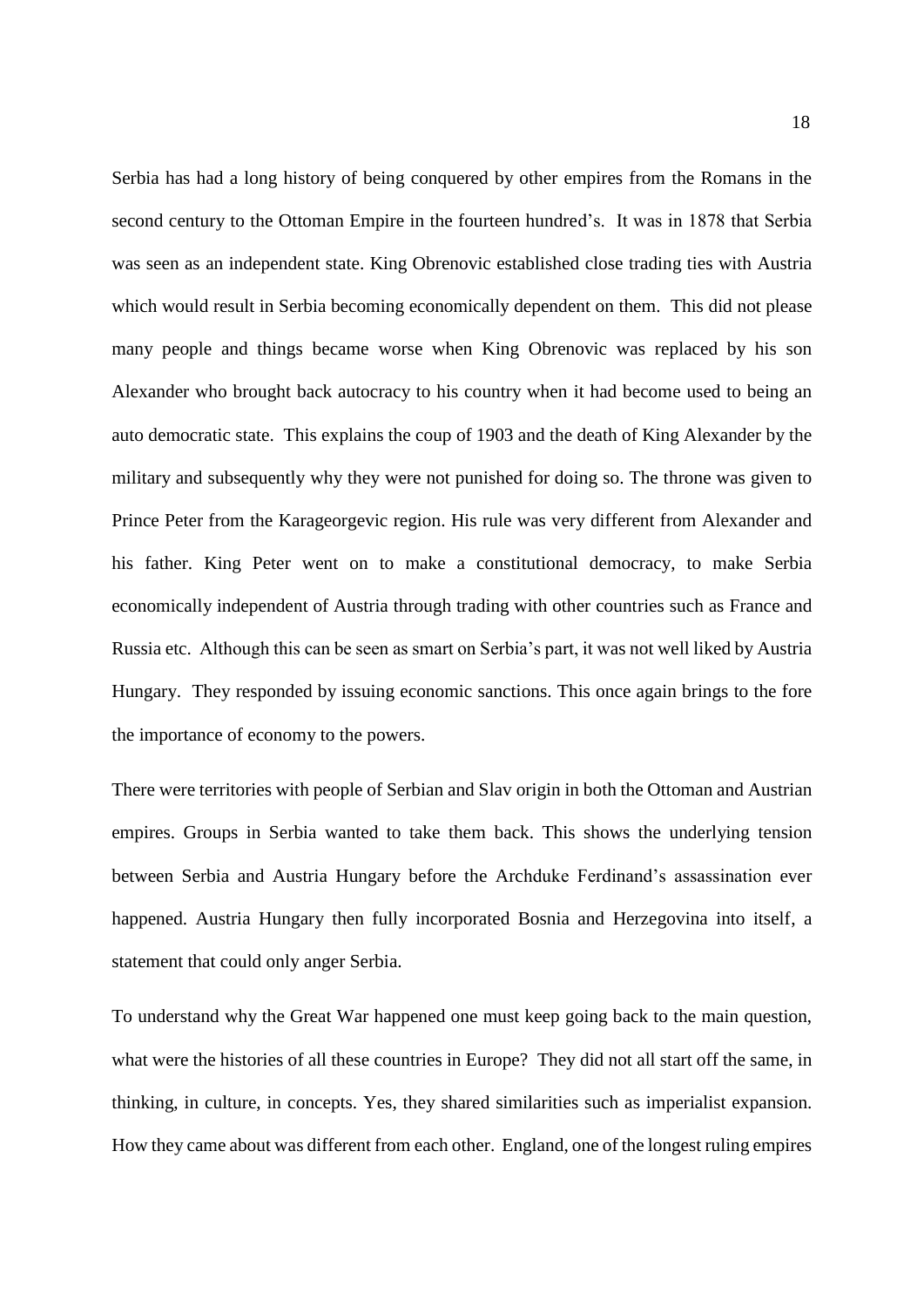Serbia has had a long history of being conquered by other empires from the Romans in the second century to the Ottoman Empire in the fourteen hundred's. It was in 1878 that Serbia was seen as an independent state. King Obrenovic established close trading ties with Austria which would result in Serbia becoming economically dependent on them. This did not please many people and things became worse when King Obrenovic was replaced by his son Alexander who brought back autocracy to his country when it had become used to being an auto democratic state. This explains the coup of 1903 and the death of King Alexander by the military and subsequently why they were not punished for doing so. The throne was given to Prince Peter from the Karageorgevic region. His rule was very different from Alexander and his father. King Peter went on to make a constitutional democracy, to make Serbia economically independent of Austria through trading with other countries such as France and Russia etc. Although this can be seen as smart on Serbia's part, it was not well liked by Austria Hungary. They responded by issuing economic sanctions. This once again brings to the fore the importance of economy to the powers.

There were territories with people of Serbian and Slav origin in both the Ottoman and Austrian empires. Groups in Serbia wanted to take them back. This shows the underlying tension between Serbia and Austria Hungary before the Archduke Ferdinand's assassination ever happened. Austria Hungary then fully incorporated Bosnia and Herzegovina into itself, a statement that could only anger Serbia.

To understand why the Great War happened one must keep going back to the main question, what were the histories of all these countries in Europe? They did not all start off the same, in thinking, in culture, in concepts. Yes, they shared similarities such as imperialist expansion. How they came about was different from each other. England, one of the longest ruling empires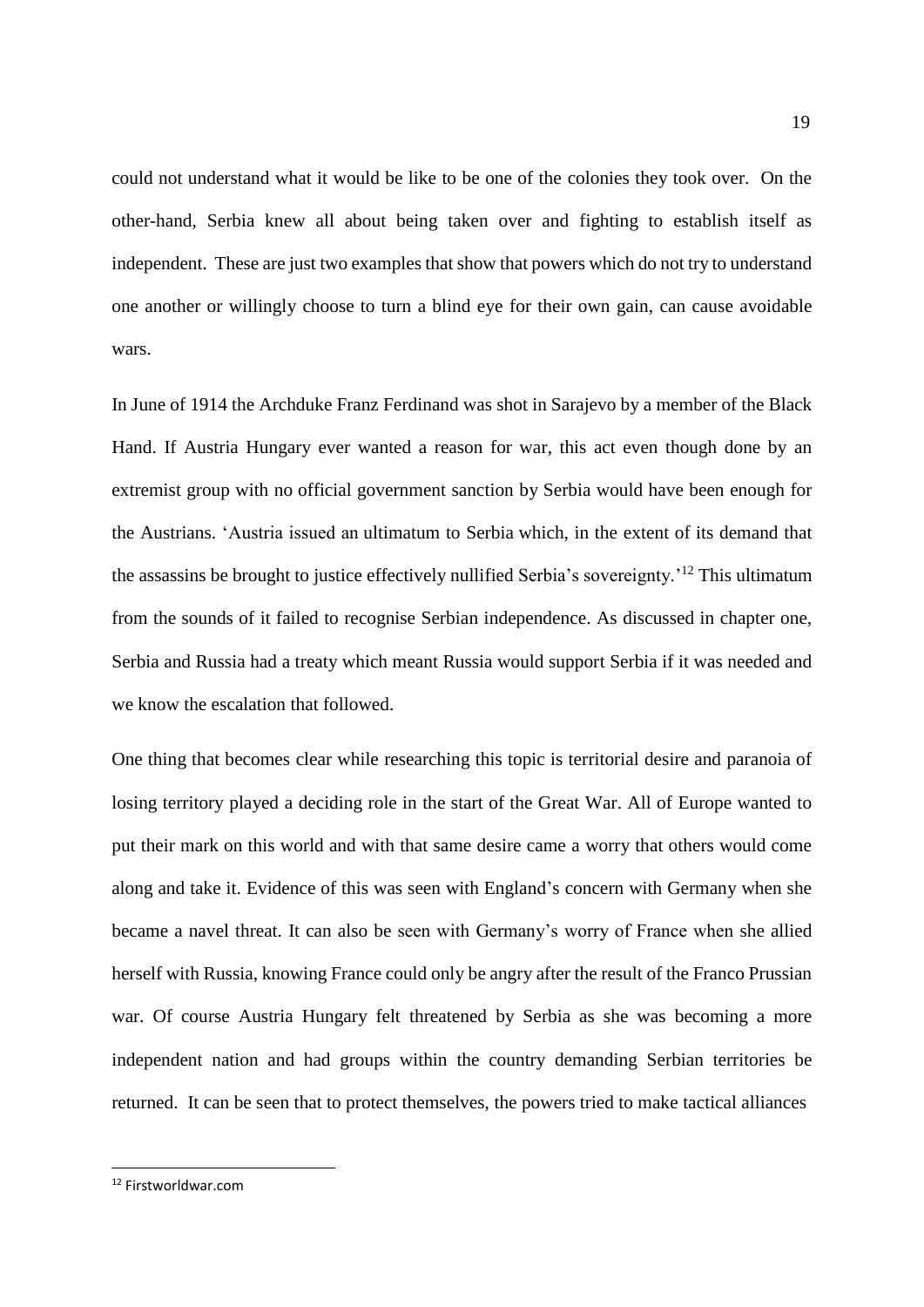could not understand what it would be like to be one of the colonies they took over. On the other-hand, Serbia knew all about being taken over and fighting to establish itself as independent. These are just two examples that show that powers which do not try to understand one another or willingly choose to turn a blind eye for their own gain, can cause avoidable wars.

In June of 1914 the Archduke Franz Ferdinand was shot in Sarajevo by a member of the Black Hand. If Austria Hungary ever wanted a reason for war, this act even though done by an extremist group with no official government sanction by Serbia would have been enough for the Austrians. 'Austria issued an ultimatum to Serbia which, in the extent of its demand that the assassins be brought to justice effectively nullified Serbia's sovereignty.'<sup>12</sup> This ultimatum from the sounds of it failed to recognise Serbian independence. As discussed in chapter one, Serbia and Russia had a treaty which meant Russia would support Serbia if it was needed and we know the escalation that followed.

One thing that becomes clear while researching this topic is territorial desire and paranoia of losing territory played a deciding role in the start of the Great War. All of Europe wanted to put their mark on this world and with that same desire came a worry that others would come along and take it. Evidence of this was seen with England's concern with Germany when she became a navel threat. It can also be seen with Germany's worry of France when she allied herself with Russia, knowing France could only be angry after the result of the Franco Prussian war. Of course Austria Hungary felt threatened by Serbia as she was becoming a more independent nation and had groups within the country demanding Serbian territories be returned. It can be seen that to protect themselves, the powers tried to make tactical alliances

**.** 

<sup>12</sup> Firstworldwar.com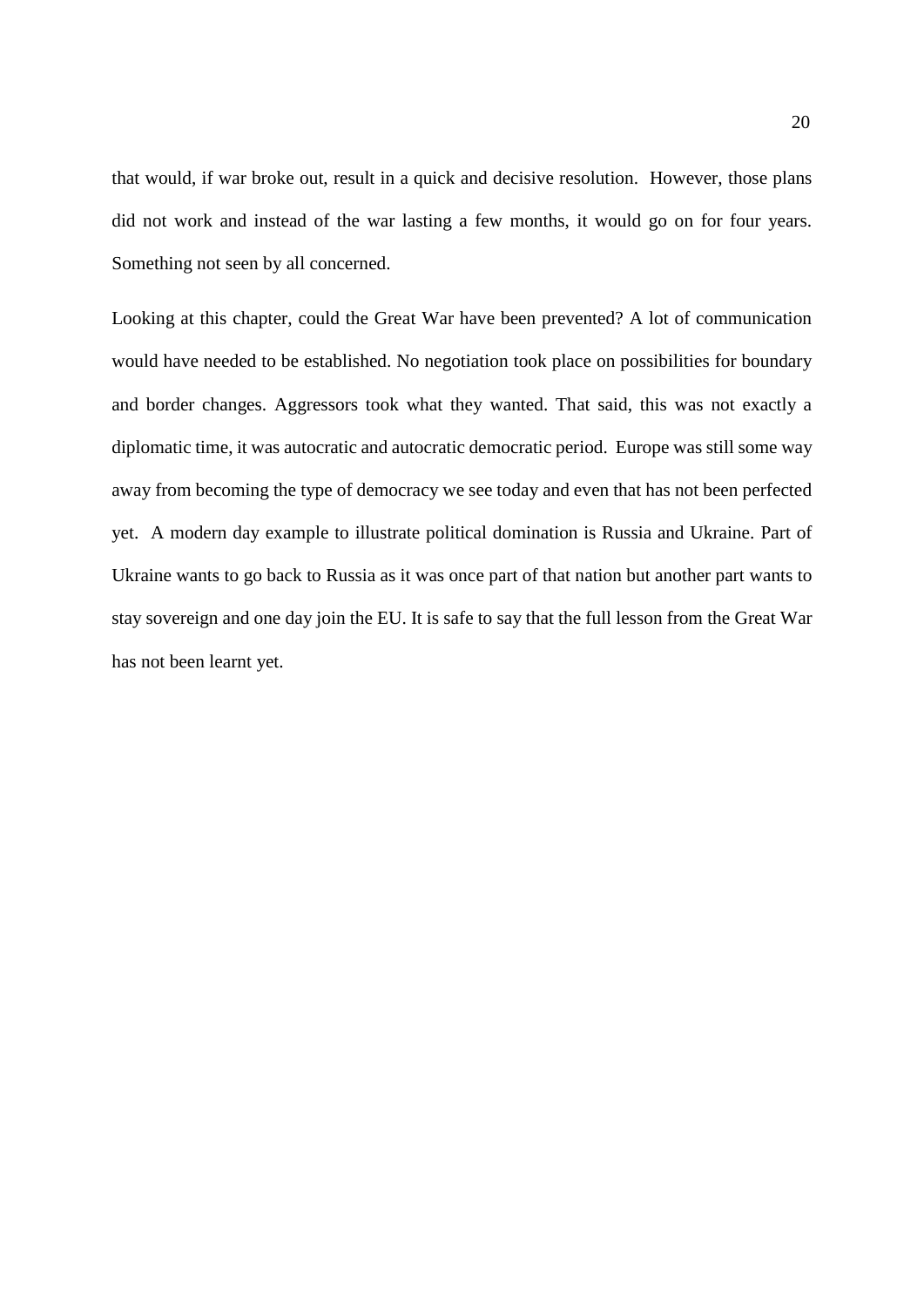that would, if war broke out, result in a quick and decisive resolution. However, those plans did not work and instead of the war lasting a few months, it would go on for four years. Something not seen by all concerned.

Looking at this chapter, could the Great War have been prevented? A lot of communication would have needed to be established. No negotiation took place on possibilities for boundary and border changes. Aggressors took what they wanted. That said, this was not exactly a diplomatic time, it was autocratic and autocratic democratic period. Europe was still some way away from becoming the type of democracy we see today and even that has not been perfected yet. A modern day example to illustrate political domination is Russia and Ukraine. Part of Ukraine wants to go back to Russia as it was once part of that nation but another part wants to stay sovereign and one day join the EU. It is safe to say that the full lesson from the Great War has not been learnt yet.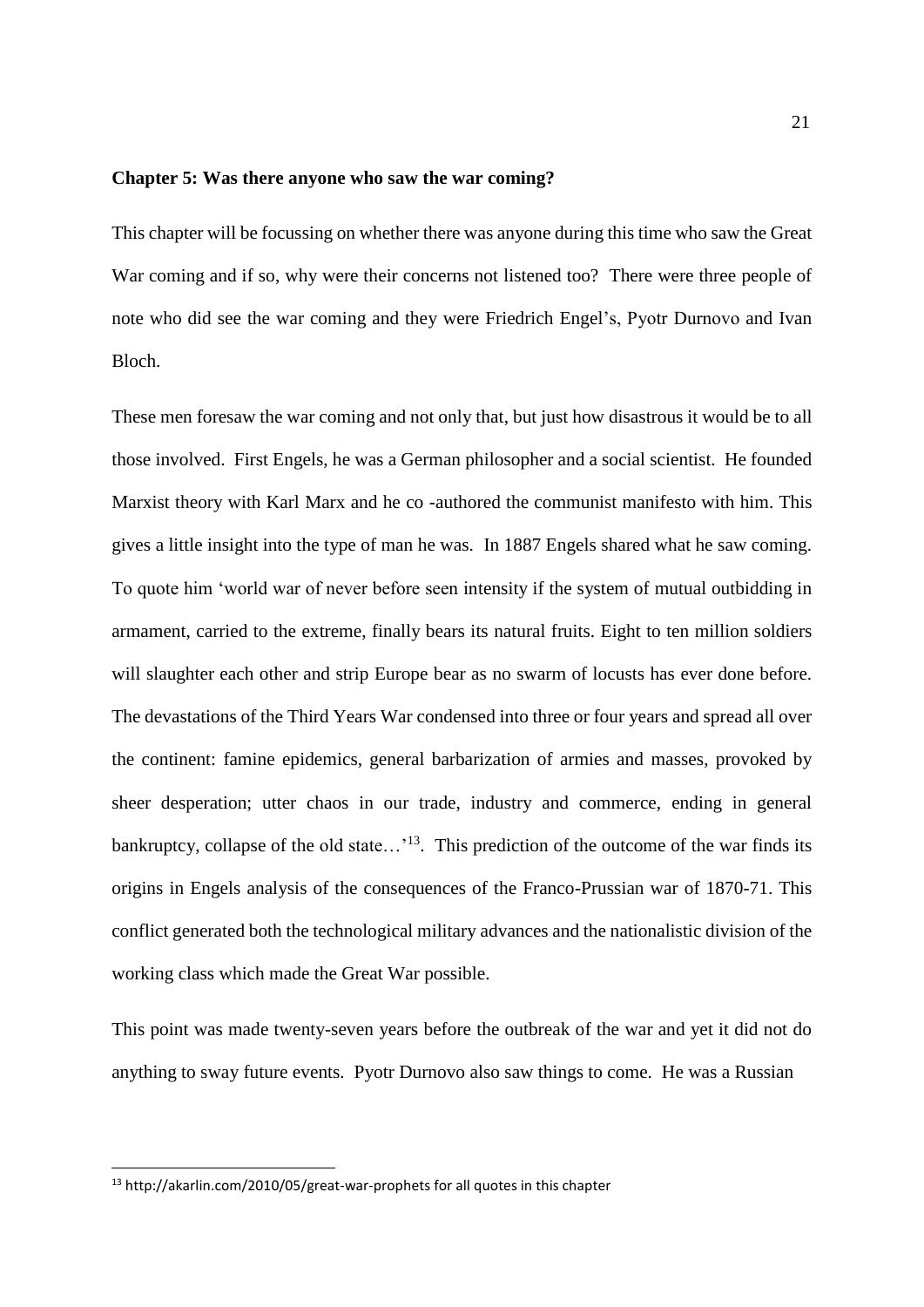#### **Chapter 5: Was there anyone who saw the war coming?**

This chapter will be focussing on whether there was anyone during this time who saw the Great War coming and if so, why were their concerns not listened too? There were three people of note who did see the war coming and they were Friedrich Engel's, Pyotr Durnovo and Ivan Bloch.

These men foresaw the war coming and not only that, but just how disastrous it would be to all those involved. First Engels, he was a German philosopher and a social scientist. He founded Marxist theory with Karl Marx and he co -authored the communist manifesto with him. This gives a little insight into the type of man he was. In 1887 Engels shared what he saw coming. To quote him 'world war of never before seen intensity if the system of mutual outbidding in armament, carried to the extreme, finally bears its natural fruits. Eight to ten million soldiers will slaughter each other and strip Europe bear as no swarm of locusts has ever done before. The devastations of the Third Years War condensed into three or four years and spread all over the continent: famine epidemics, general barbarization of armies and masses, provoked by sheer desperation; utter chaos in our trade, industry and commerce, ending in general bankruptcy, collapse of the old state... $13$ . This prediction of the outcome of the war finds its origins in Engels analysis of the consequences of the Franco-Prussian war of 1870-71. This conflict generated both the technological military advances and the nationalistic division of the working class which made the Great War possible.

This point was made twenty-seven years before the outbreak of the war and yet it did not do anything to sway future events. Pyotr Durnovo also saw things to come. He was a Russian

**.** 

<sup>13</sup> http://akarlin.com/2010/05/great-war-prophets for all quotes in this chapter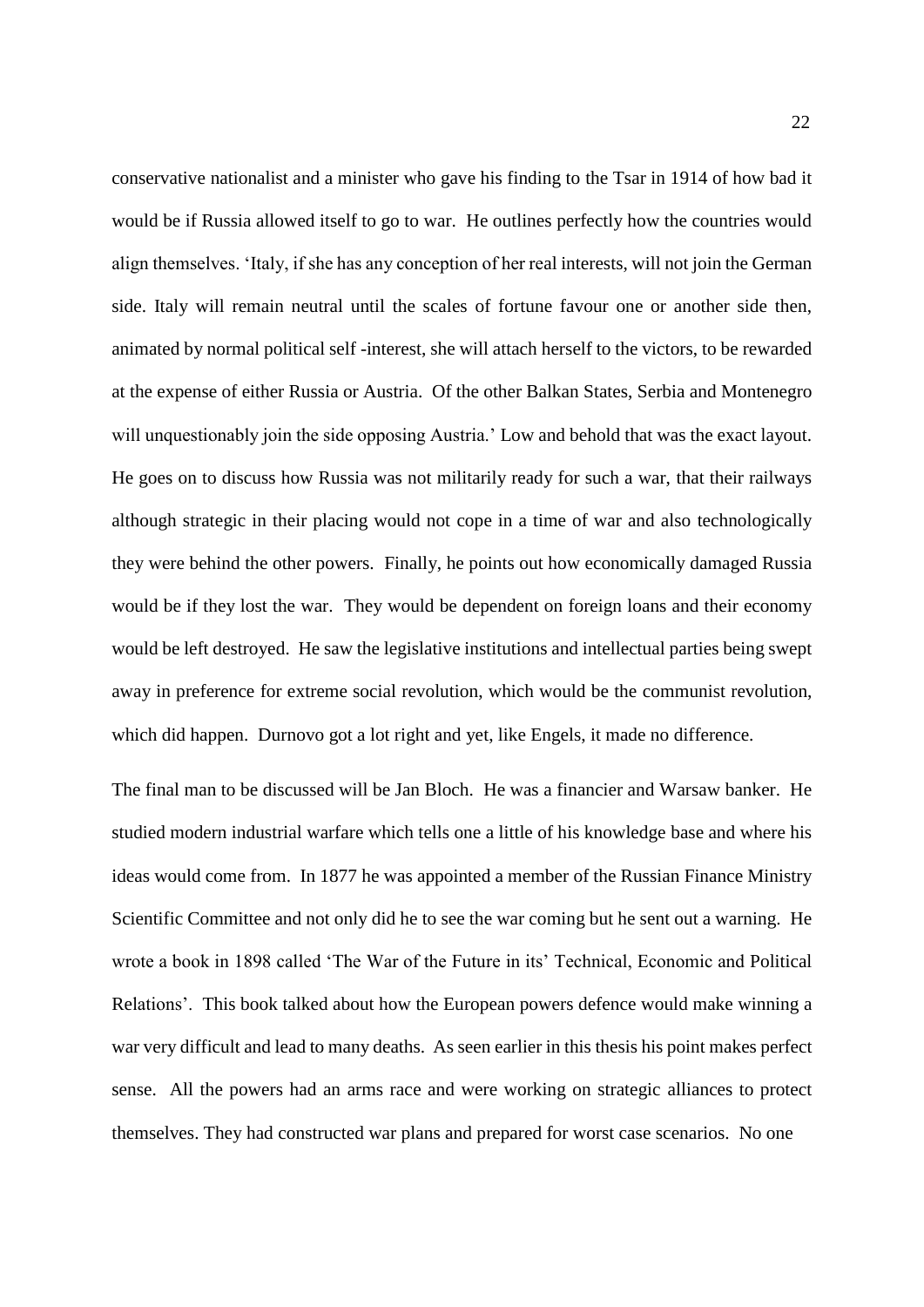conservative nationalist and a minister who gave his finding to the Tsar in 1914 of how bad it would be if Russia allowed itself to go to war. He outlines perfectly how the countries would align themselves. 'Italy, if she has any conception of her real interests, will not join the German side. Italy will remain neutral until the scales of fortune favour one or another side then, animated by normal political self -interest, she will attach herself to the victors, to be rewarded at the expense of either Russia or Austria. Of the other Balkan States, Serbia and Montenegro will unquestionably join the side opposing Austria.' Low and behold that was the exact layout. He goes on to discuss how Russia was not militarily ready for such a war, that their railways although strategic in their placing would not cope in a time of war and also technologically they were behind the other powers. Finally, he points out how economically damaged Russia would be if they lost the war. They would be dependent on foreign loans and their economy would be left destroyed. He saw the legislative institutions and intellectual parties being swept away in preference for extreme social revolution, which would be the communist revolution, which did happen. Durnovo got a lot right and yet, like Engels, it made no difference.

The final man to be discussed will be Jan Bloch. He was a financier and Warsaw banker. He studied modern industrial warfare which tells one a little of his knowledge base and where his ideas would come from. In 1877 he was appointed a member of the Russian Finance Ministry Scientific Committee and not only did he to see the war coming but he sent out a warning. He wrote a book in 1898 called 'The War of the Future in its' Technical, Economic and Political Relations'. This book talked about how the European powers defence would make winning a war very difficult and lead to many deaths. As seen earlier in this thesis his point makes perfect sense. All the powers had an arms race and were working on strategic alliances to protect themselves. They had constructed war plans and prepared for worst case scenarios. No one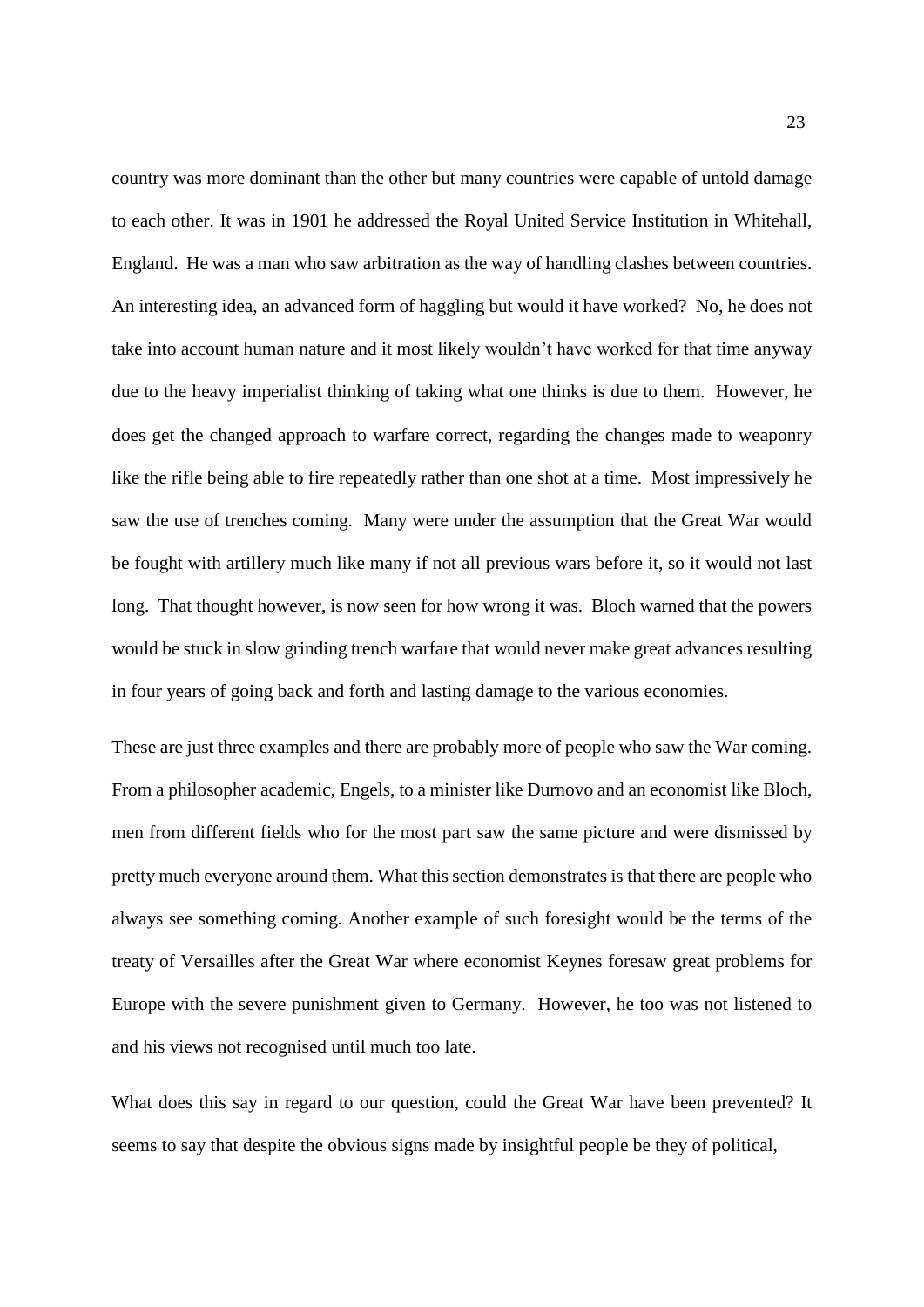country was more dominant than the other but many countries were capable of untold damage to each other. It was in 1901 he addressed the Royal United Service Institution in Whitehall, England. He was a man who saw arbitration as the way of handling clashes between countries. An interesting idea, an advanced form of haggling but would it have worked? No, he does not take into account human nature and it most likely wouldn't have worked for that time anyway due to the heavy imperialist thinking of taking what one thinks is due to them. However, he does get the changed approach to warfare correct, regarding the changes made to weaponry like the rifle being able to fire repeatedly rather than one shot at a time. Most impressively he saw the use of trenches coming. Many were under the assumption that the Great War would be fought with artillery much like many if not all previous wars before it, so it would not last long. That thought however, is now seen for how wrong it was. Bloch warned that the powers would be stuck in slow grinding trench warfare that would never make great advances resulting in four years of going back and forth and lasting damage to the various economies.

These are just three examples and there are probably more of people who saw the War coming. From a philosopher academic, Engels, to a minister like Durnovo and an economist like Bloch, men from different fields who for the most part saw the same picture and were dismissed by pretty much everyone around them. What this section demonstrates is that there are people who always see something coming. Another example of such foresight would be the terms of the treaty of Versailles after the Great War where economist Keynes foresaw great problems for Europe with the severe punishment given to Germany. However, he too was not listened to and his views not recognised until much too late.

What does this say in regard to our question, could the Great War have been prevented? It seems to say that despite the obvious signs made by insightful people be they of political,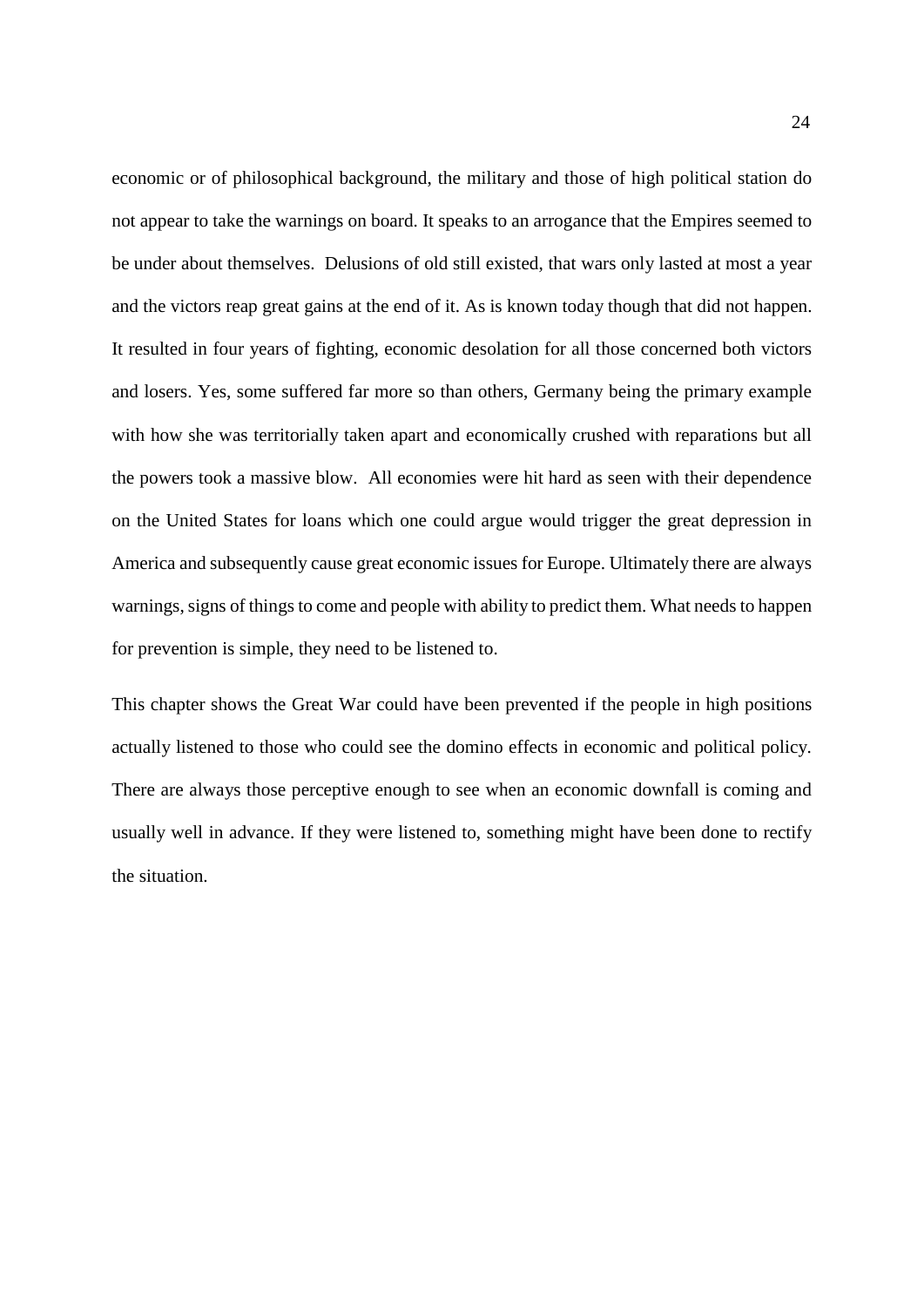economic or of philosophical background, the military and those of high political station do not appear to take the warnings on board. It speaks to an arrogance that the Empires seemed to be under about themselves. Delusions of old still existed, that wars only lasted at most a year and the victors reap great gains at the end of it. As is known today though that did not happen. It resulted in four years of fighting, economic desolation for all those concerned both victors and losers. Yes, some suffered far more so than others, Germany being the primary example with how she was territorially taken apart and economically crushed with reparations but all the powers took a massive blow. All economies were hit hard as seen with their dependence on the United States for loans which one could argue would trigger the great depression in America and subsequently cause great economic issues for Europe. Ultimately there are always warnings, signs of things to come and people with ability to predict them. What needs to happen for prevention is simple, they need to be listened to.

This chapter shows the Great War could have been prevented if the people in high positions actually listened to those who could see the domino effects in economic and political policy. There are always those perceptive enough to see when an economic downfall is coming and usually well in advance. If they were listened to, something might have been done to rectify the situation.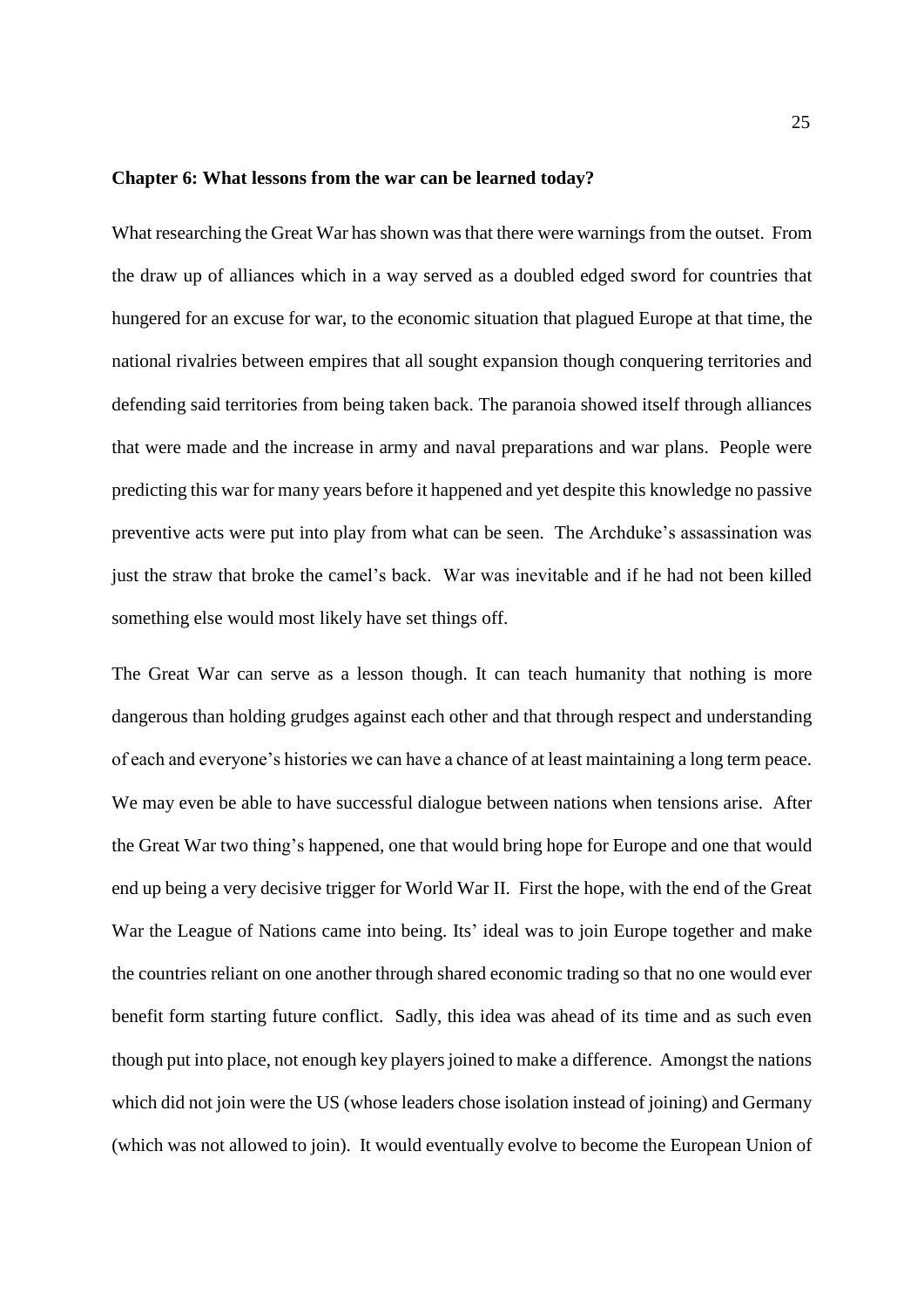#### **Chapter 6: What lessons from the war can be learned today?**

What researching the Great War has shown was that there were warnings from the outset. From the draw up of alliances which in a way served as a doubled edged sword for countries that hungered for an excuse for war, to the economic situation that plagued Europe at that time, the national rivalries between empires that all sought expansion though conquering territories and defending said territories from being taken back. The paranoia showed itself through alliances that were made and the increase in army and naval preparations and war plans. People were predicting this war for many years before it happened and yet despite this knowledge no passive preventive acts were put into play from what can be seen. The Archduke's assassination was just the straw that broke the camel's back. War was inevitable and if he had not been killed something else would most likely have set things off.

The Great War can serve as a lesson though. It can teach humanity that nothing is more dangerous than holding grudges against each other and that through respect and understanding of each and everyone's histories we can have a chance of at least maintaining a long term peace. We may even be able to have successful dialogue between nations when tensions arise. After the Great War two thing's happened, one that would bring hope for Europe and one that would end up being a very decisive trigger for World War II. First the hope, with the end of the Great War the League of Nations came into being. Its' ideal was to join Europe together and make the countries reliant on one another through shared economic trading so that no one would ever benefit form starting future conflict. Sadly, this idea was ahead of its time and as such even though put into place, not enough key players joined to make a difference. Amongst the nations which did not join were the US (whose leaders chose isolation instead of joining) and Germany (which was not allowed to join). It would eventually evolve to become the European Union of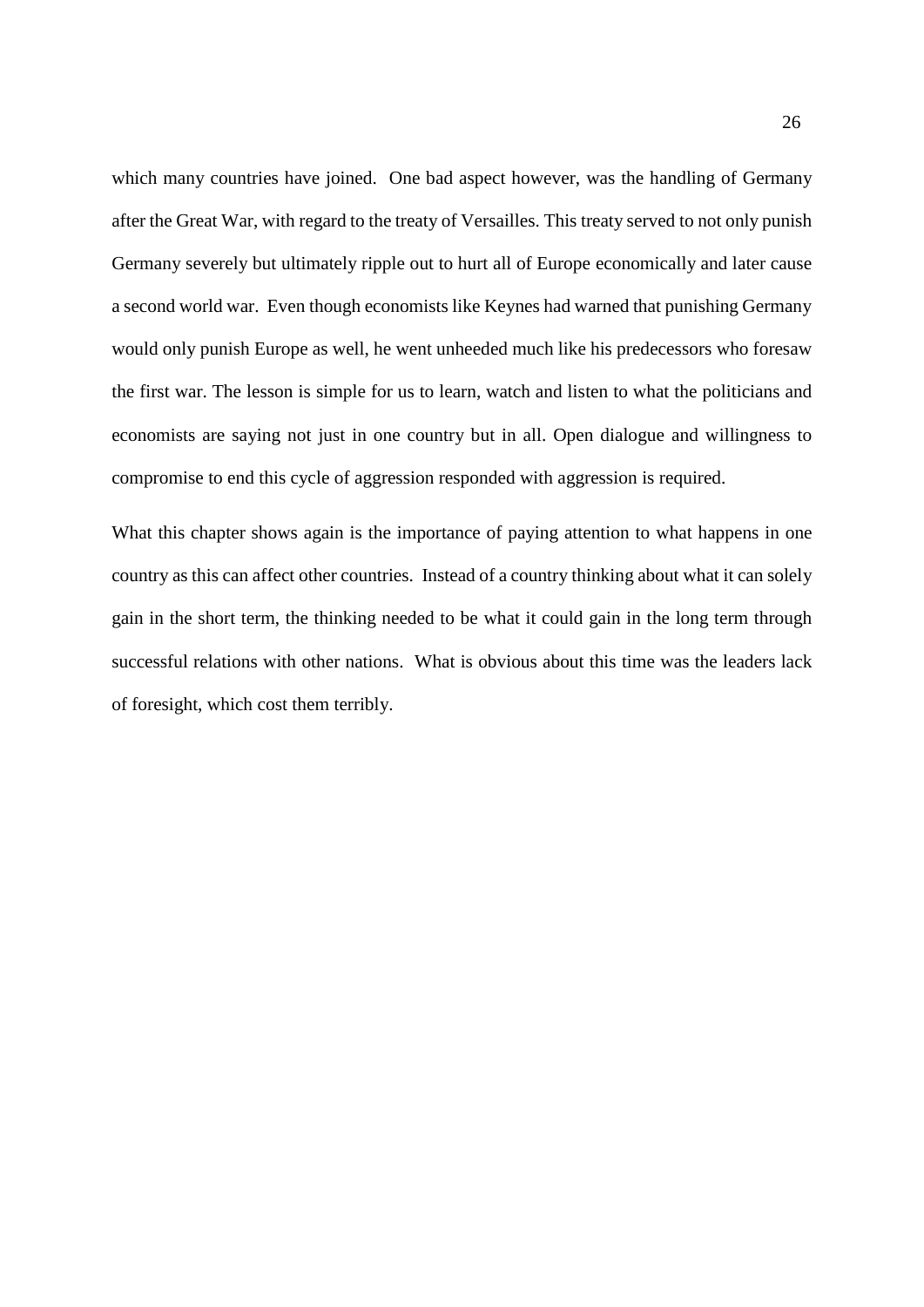which many countries have joined. One bad aspect however, was the handling of Germany after the Great War, with regard to the treaty of Versailles. This treaty served to not only punish Germany severely but ultimately ripple out to hurt all of Europe economically and later cause a second world war. Even though economists like Keynes had warned that punishing Germany would only punish Europe as well, he went unheeded much like his predecessors who foresaw the first war. The lesson is simple for us to learn, watch and listen to what the politicians and economists are saying not just in one country but in all. Open dialogue and willingness to compromise to end this cycle of aggression responded with aggression is required.

What this chapter shows again is the importance of paying attention to what happens in one country as this can affect other countries. Instead of a country thinking about what it can solely gain in the short term, the thinking needed to be what it could gain in the long term through successful relations with other nations. What is obvious about this time was the leaders lack of foresight, which cost them terribly.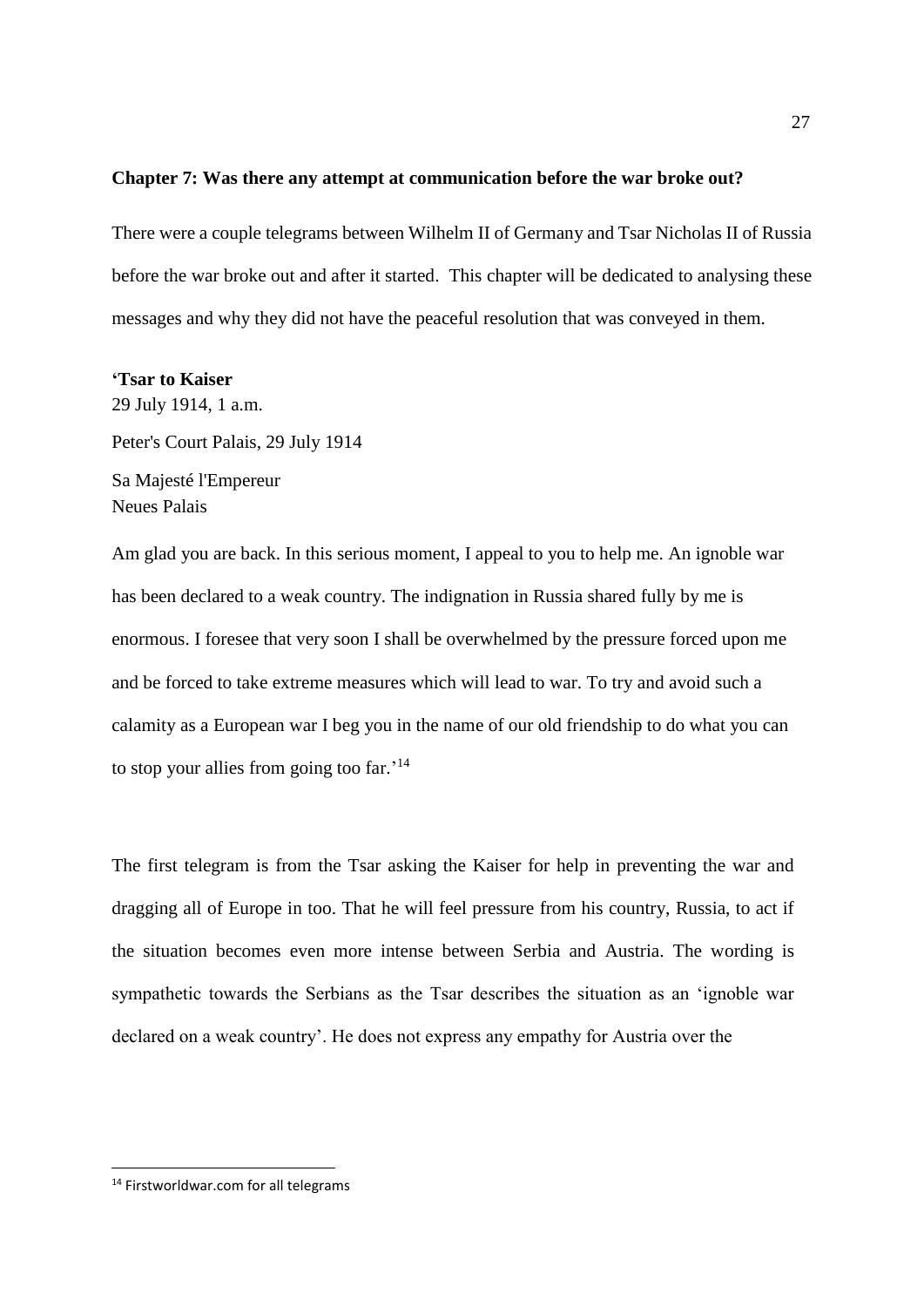#### **Chapter 7: Was there any attempt at communication before the war broke out?**

There were a couple telegrams between Wilhelm II of Germany and Tsar Nicholas II of Russia before the war broke out and after it started. This chapter will be dedicated to analysing these messages and why they did not have the peaceful resolution that was conveyed in them.

#### **'Tsar to Kaiser**

29 July 1914, 1 a.m. Peter's Court Palais, 29 July 1914 Sa Majesté l'Empereur Neues Palais

Am glad you are back. In this serious moment, I appeal to you to help me. An ignoble war has been declared to a weak country. The indignation in Russia shared fully by me is enormous. I foresee that very soon I shall be overwhelmed by the pressure forced upon me and be forced to take extreme measures which will lead to war. To try and avoid such a calamity as a European war I beg you in the name of our old friendship to do what you can to stop your allies from going too far.'<sup>14</sup>

The first telegram is from the Tsar asking the Kaiser for help in preventing the war and dragging all of Europe in too. That he will feel pressure from his country, Russia, to act if the situation becomes even more intense between Serbia and Austria. The wording is sympathetic towards the Serbians as the Tsar describes the situation as an 'ignoble war declared on a weak country'. He does not express any empathy for Austria over the

**.** 

<sup>&</sup>lt;sup>14</sup> Firstworldwar.com for all telegrams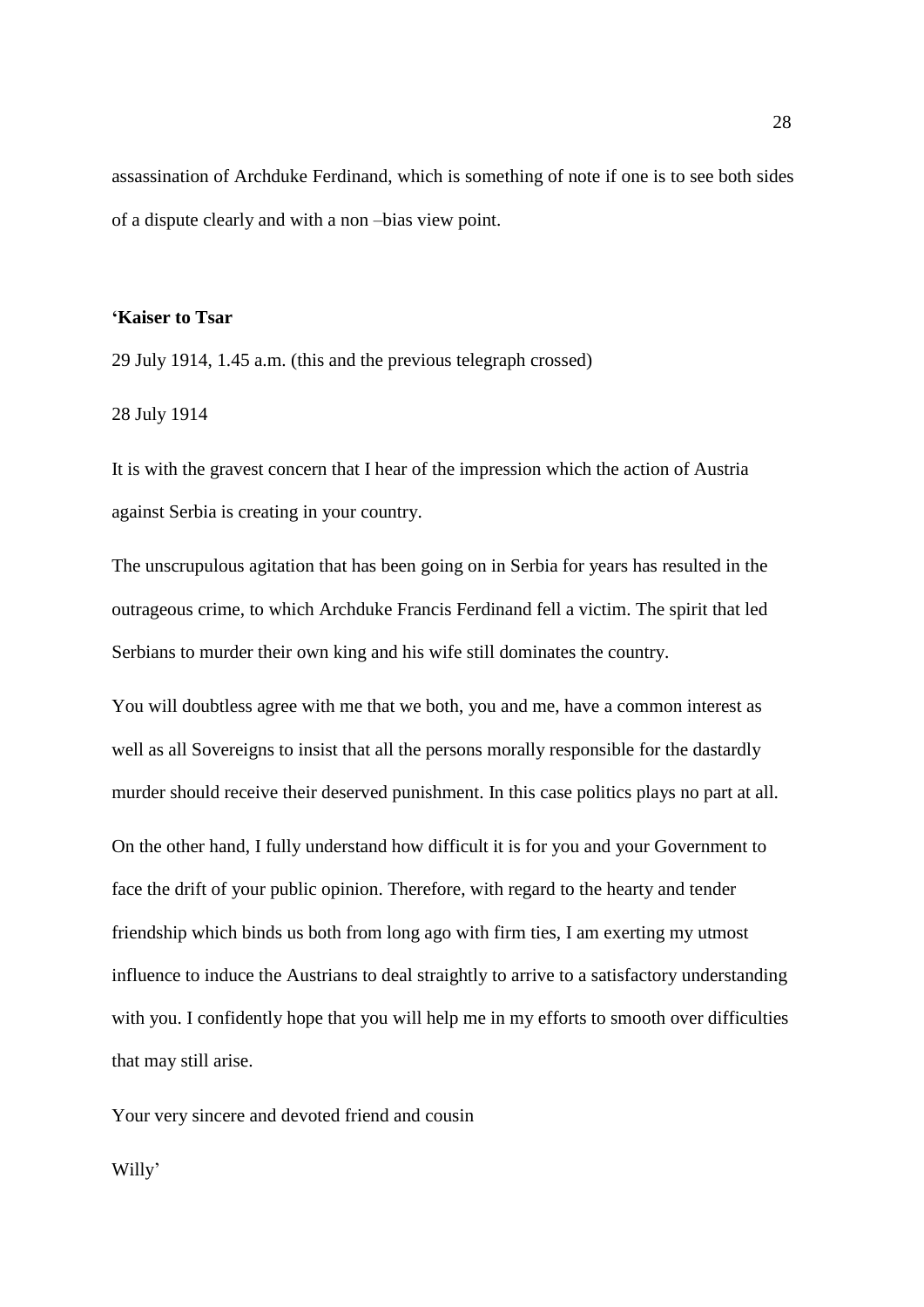assassination of Archduke Ferdinand, which is something of note if one is to see both sides of a dispute clearly and with a non –bias view point.

## **'Kaiser to Tsar**

29 July 1914, 1.45 a.m. (this and the previous telegraph crossed)

#### 28 July 1914

It is with the gravest concern that I hear of the impression which the action of Austria against Serbia is creating in your country.

The unscrupulous agitation that has been going on in Serbia for years has resulted in the outrageous crime, to which Archduke Francis Ferdinand fell a victim. The spirit that led Serbians to murder their own king and his wife still dominates the country.

You will doubtless agree with me that we both, you and me, have a common interest as well as all Sovereigns to insist that all the persons morally responsible for the dastardly murder should receive their deserved punishment. In this case politics plays no part at all.

On the other hand, I fully understand how difficult it is for you and your Government to face the drift of your public opinion. Therefore, with regard to the hearty and tender friendship which binds us both from long ago with firm ties, I am exerting my utmost influence to induce the Austrians to deal straightly to arrive to a satisfactory understanding with you. I confidently hope that you will help me in my efforts to smooth over difficulties that may still arise.

Your very sincere and devoted friend and cousin

Willy'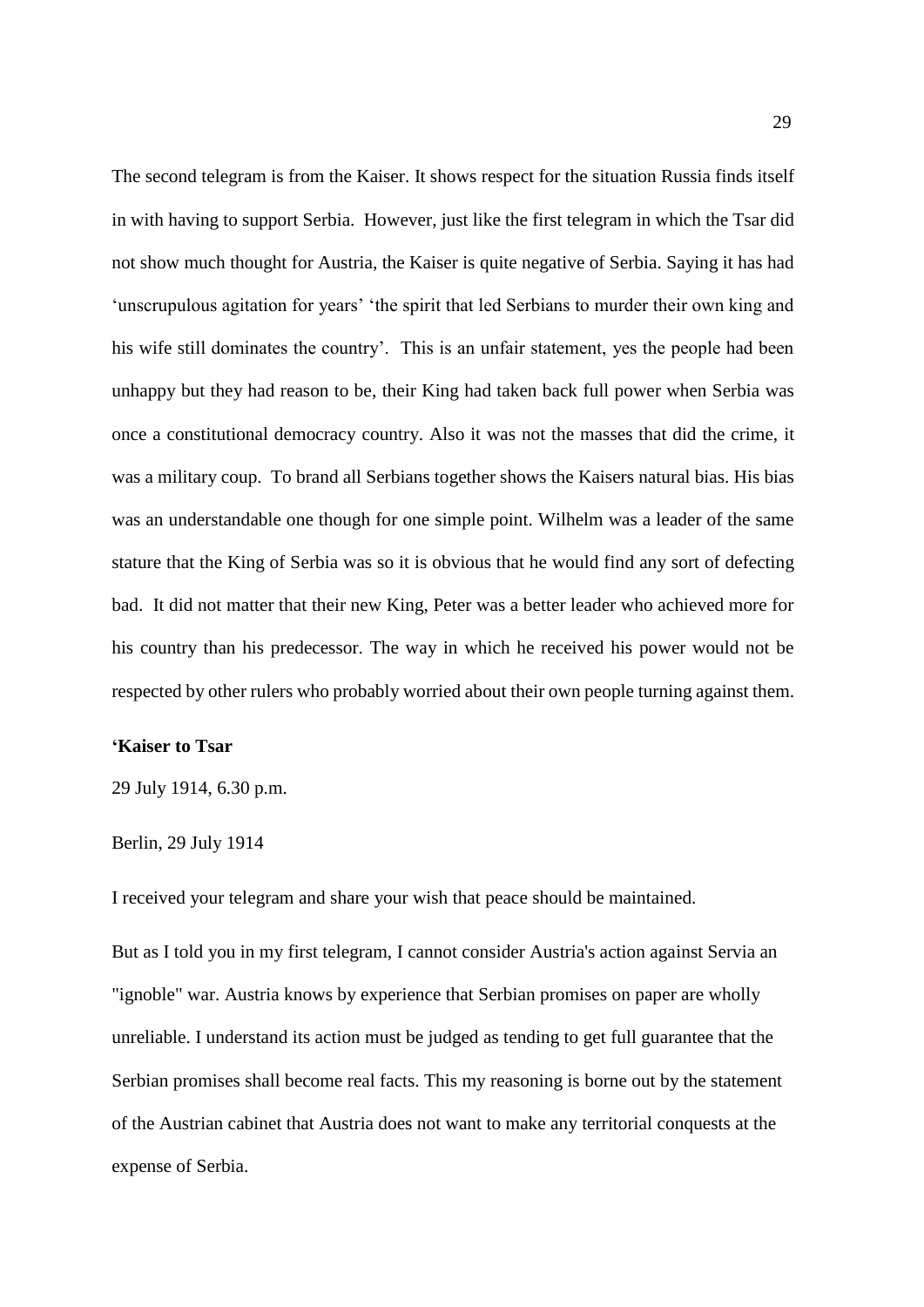The second telegram is from the Kaiser. It shows respect for the situation Russia finds itself in with having to support Serbia. However, just like the first telegram in which the Tsar did not show much thought for Austria, the Kaiser is quite negative of Serbia. Saying it has had 'unscrupulous agitation for years' 'the spirit that led Serbians to murder their own king and his wife still dominates the country'. This is an unfair statement, yes the people had been unhappy but they had reason to be, their King had taken back full power when Serbia was once a constitutional democracy country. Also it was not the masses that did the crime, it was a military coup. To brand all Serbians together shows the Kaisers natural bias. His bias was an understandable one though for one simple point. Wilhelm was a leader of the same stature that the King of Serbia was so it is obvious that he would find any sort of defecting bad. It did not matter that their new King, Peter was a better leader who achieved more for his country than his predecessor. The way in which he received his power would not be respected by other rulers who probably worried about their own people turning against them.

## **'Kaiser to Tsar**

29 July 1914, 6.30 p.m.

## Berlin, 29 July 1914

I received your telegram and share your wish that peace should be maintained.

But as I told you in my first telegram, I cannot consider Austria's action against Servia an "ignoble" war. Austria knows by experience that Serbian promises on paper are wholly unreliable. I understand its action must be judged as tending to get full guarantee that the Serbian promises shall become real facts. This my reasoning is borne out by the statement of the Austrian cabinet that Austria does not want to make any territorial conquests at the expense of Serbia.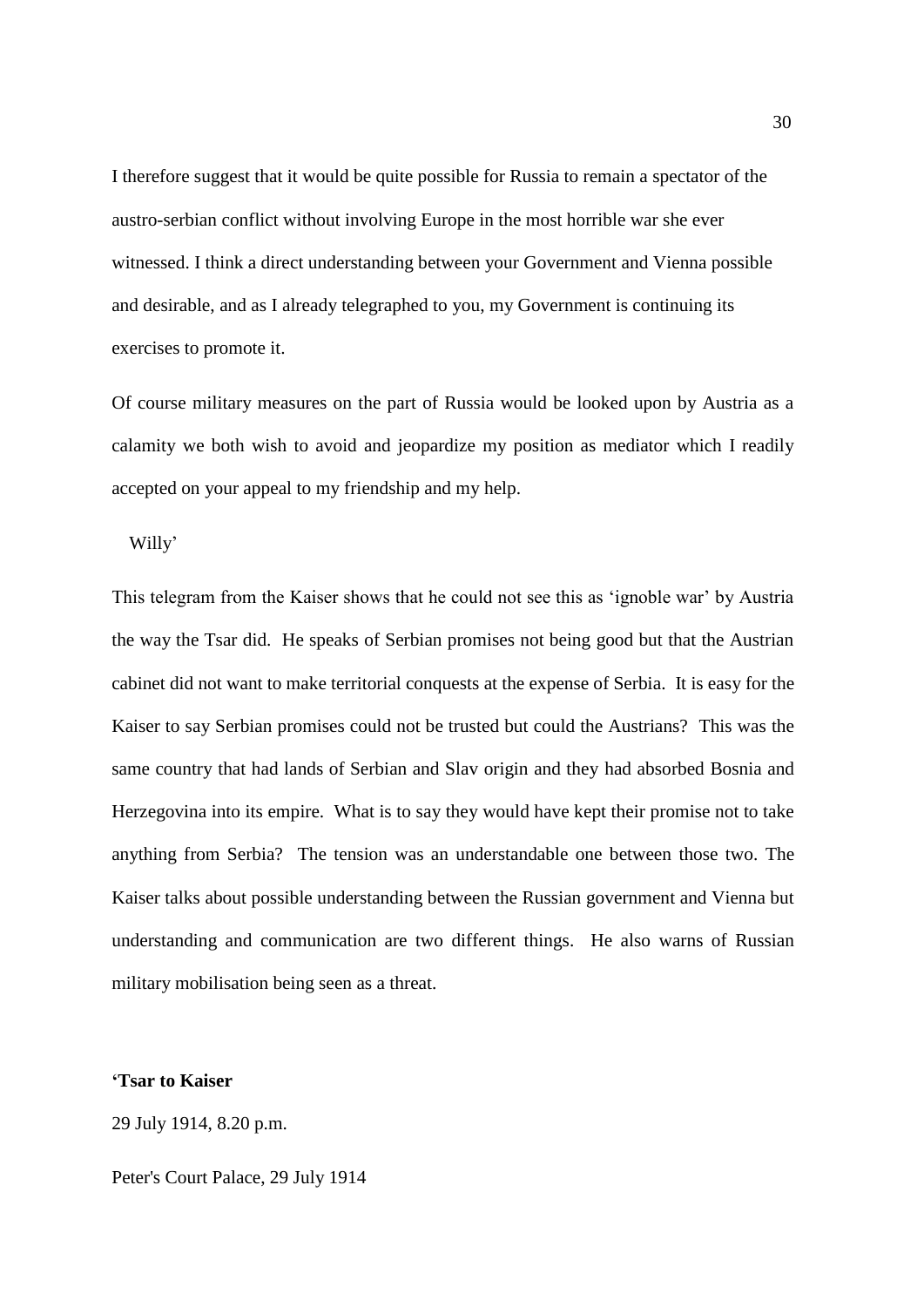I therefore suggest that it would be quite possible for Russia to remain a spectator of the austro-serbian conflict without involving Europe in the most horrible war she ever witnessed. I think a direct understanding between your Government and Vienna possible and desirable, and as I already telegraphed to you, my Government is continuing its exercises to promote it.

Of course military measures on the part of Russia would be looked upon by Austria as a calamity we both wish to avoid and jeopardize my position as mediator which I readily accepted on your appeal to my friendship and my help.

Willy'

This telegram from the Kaiser shows that he could not see this as 'ignoble war' by Austria the way the Tsar did. He speaks of Serbian promises not being good but that the Austrian cabinet did not want to make territorial conquests at the expense of Serbia. It is easy for the Kaiser to say Serbian promises could not be trusted but could the Austrians? This was the same country that had lands of Serbian and Slav origin and they had absorbed Bosnia and Herzegovina into its empire. What is to say they would have kept their promise not to take anything from Serbia? The tension was an understandable one between those two. The Kaiser talks about possible understanding between the Russian government and Vienna but understanding and communication are two different things. He also warns of Russian military mobilisation being seen as a threat.

#### **'Tsar to Kaiser**

29 July 1914, 8.20 p.m.

Peter's Court Palace, 29 July 1914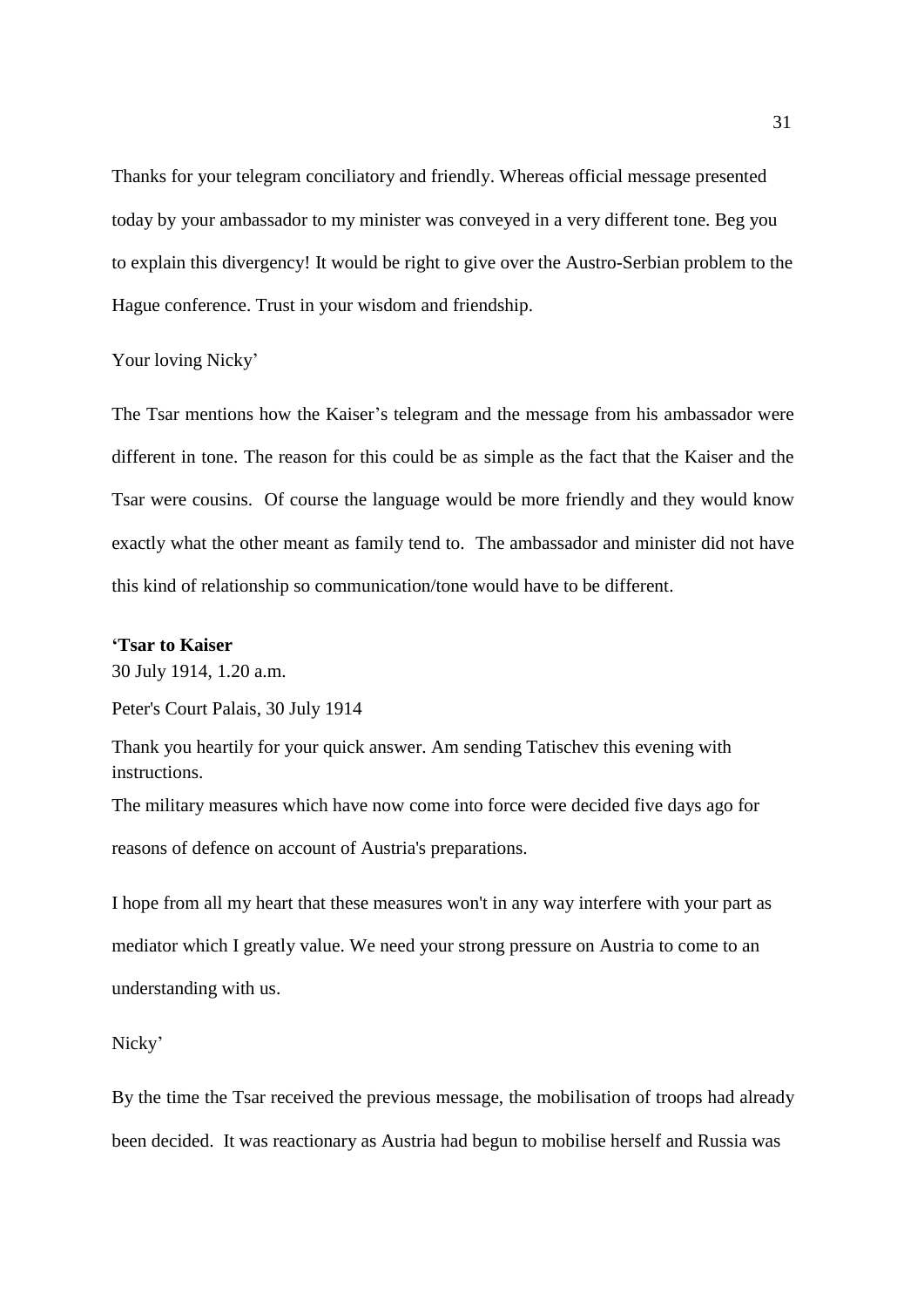Thanks for your telegram conciliatory and friendly. Whereas official message presented today by your ambassador to my minister was conveyed in a very different tone. Beg you to explain this divergency! It would be right to give over the Austro-Serbian problem to the Hague conference. Trust in your wisdom and friendship.

Your loving Nicky'

The Tsar mentions how the Kaiser's telegram and the message from his ambassador were different in tone. The reason for this could be as simple as the fact that the Kaiser and the Tsar were cousins. Of course the language would be more friendly and they would know exactly what the other meant as family tend to. The ambassador and minister did not have this kind of relationship so communication/tone would have to be different.

## **'Tsar to Kaiser**

30 July 1914, 1.20 a.m.

Peter's Court Palais, 30 July 1914

Thank you heartily for your quick answer. Am sending Tatischev this evening with instructions.

The military measures which have now come into force were decided five days ago for reasons of defence on account of Austria's preparations.

I hope from all my heart that these measures won't in any way interfere with your part as mediator which I greatly value. We need your strong pressure on Austria to come to an understanding with us.

Nicky'

By the time the Tsar received the previous message, the mobilisation of troops had already been decided. It was reactionary as Austria had begun to mobilise herself and Russia was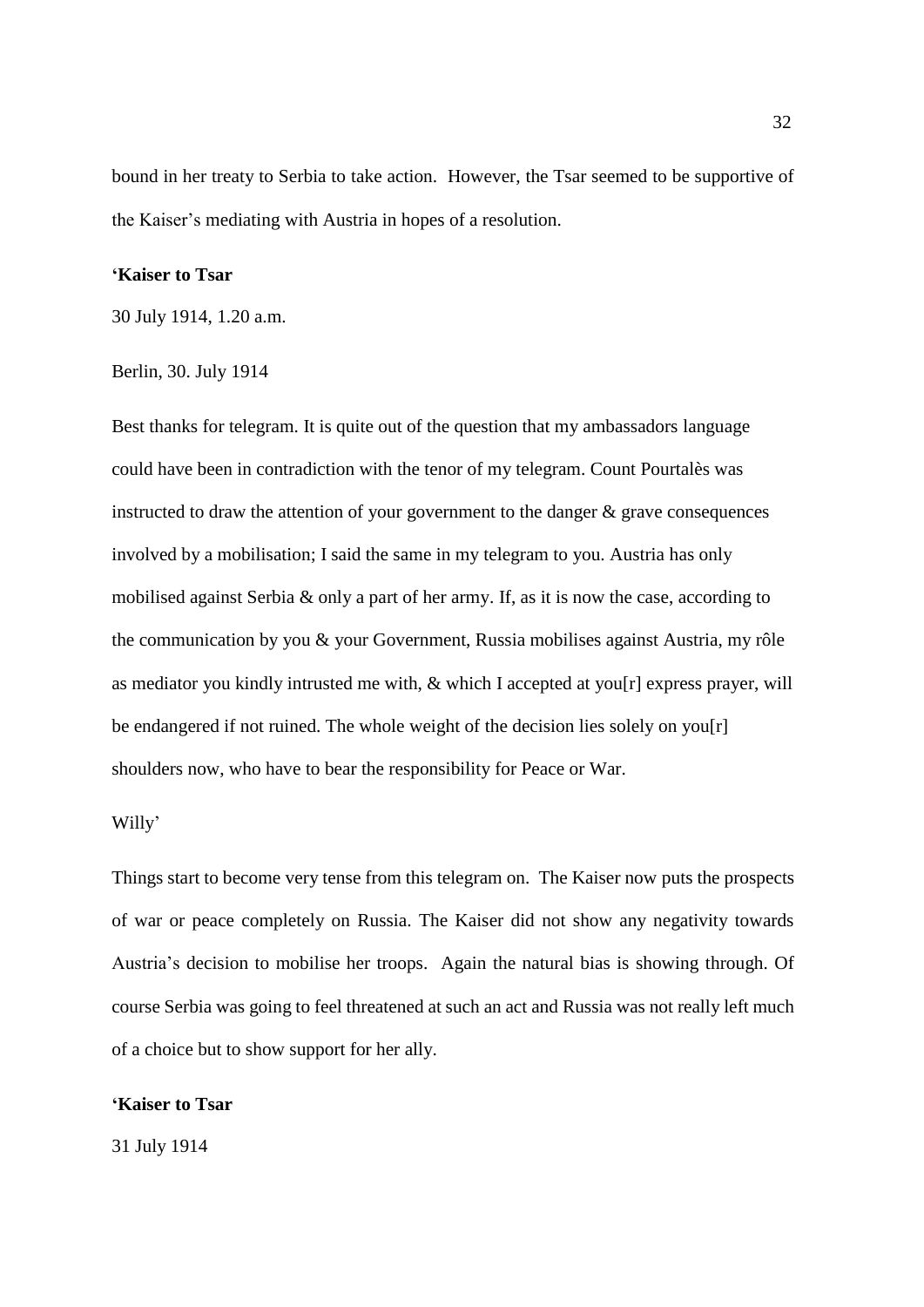bound in her treaty to Serbia to take action. However, the Tsar seemed to be supportive of the Kaiser's mediating with Austria in hopes of a resolution.

#### **'Kaiser to Tsar**

30 July 1914, 1.20 a.m.

#### Berlin, 30. July 1914

Best thanks for telegram. It is quite out of the question that my ambassadors language could have been in contradiction with the tenor of my telegram. Count Pourtalès was instructed to draw the attention of your government to the danger  $\&$  grave consequences involved by a mobilisation; I said the same in my telegram to you. Austria has only mobilised against Serbia & only a part of her army. If, as it is now the case, according to the communication by you & your Government, Russia mobilises against Austria, my rôle as mediator you kindly intrusted me with, & which I accepted at you[r] express prayer, will be endangered if not ruined. The whole weight of the decision lies solely on you $[r]$ shoulders now, who have to bear the responsibility for Peace or War.

#### Willy'

Things start to become very tense from this telegram on. The Kaiser now puts the prospects of war or peace completely on Russia. The Kaiser did not show any negativity towards Austria's decision to mobilise her troops. Again the natural bias is showing through. Of course Serbia was going to feel threatened at such an act and Russia was not really left much of a choice but to show support for her ally.

### **'Kaiser to Tsar**

31 July 1914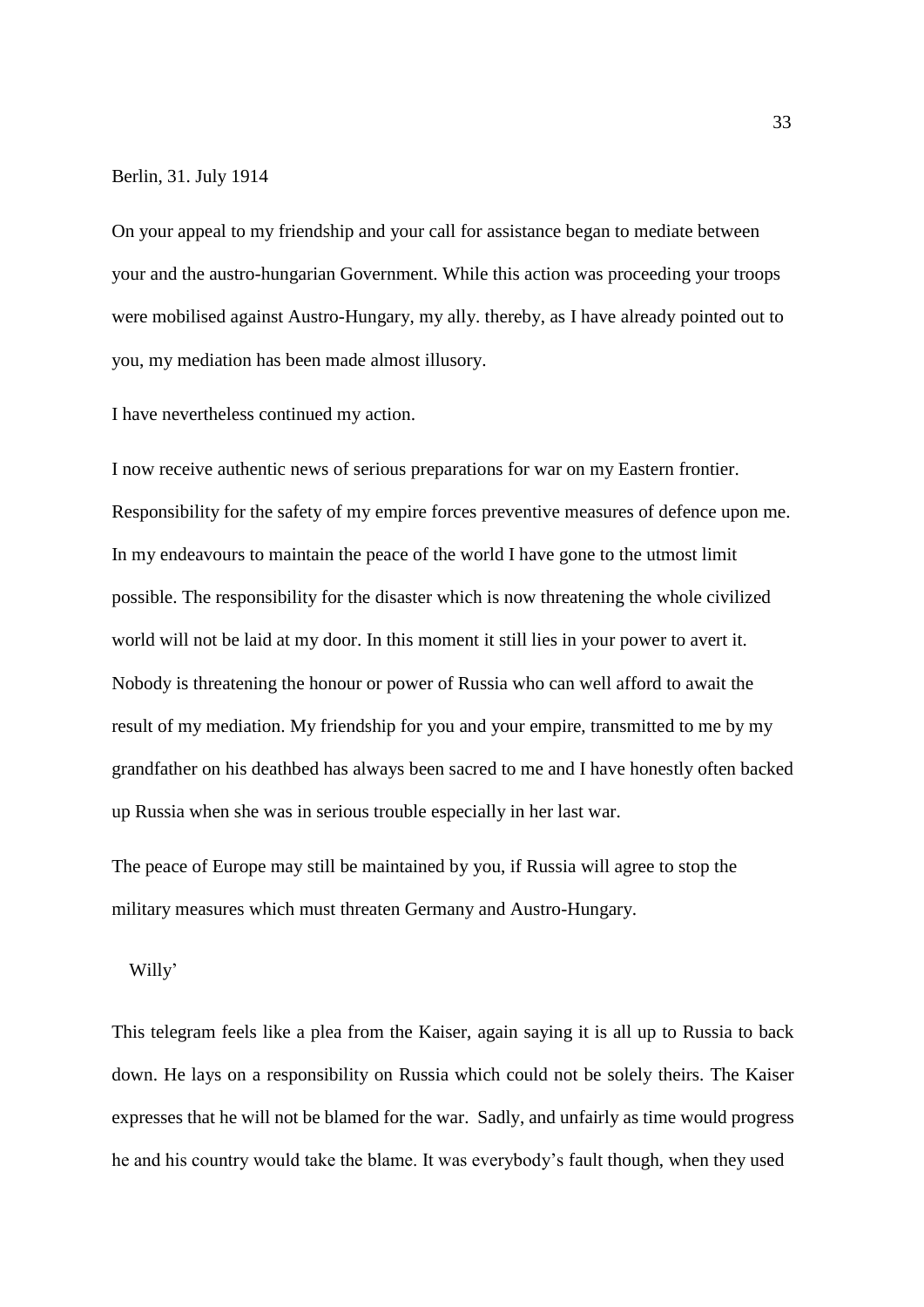#### Berlin, 31. July 1914

On your appeal to my friendship and your call for assistance began to mediate between your and the austro-hungarian Government. While this action was proceeding your troops were mobilised against Austro-Hungary, my ally. thereby, as I have already pointed out to you, my mediation has been made almost illusory.

I have nevertheless continued my action.

I now receive authentic news of serious preparations for war on my Eastern frontier. Responsibility for the safety of my empire forces preventive measures of defence upon me. In my endeavours to maintain the peace of the world I have gone to the utmost limit possible. The responsibility for the disaster which is now threatening the whole civilized world will not be laid at my door. In this moment it still lies in your power to avert it. Nobody is threatening the honour or power of Russia who can well afford to await the result of my mediation. My friendship for you and your empire, transmitted to me by my grandfather on his deathbed has always been sacred to me and I have honestly often backed up Russia when she was in serious trouble especially in her last war.

The peace of Europe may still be maintained by you, if Russia will agree to stop the military measures which must threaten Germany and Austro-Hungary.

#### Willy'

This telegram feels like a plea from the Kaiser, again saying it is all up to Russia to back down. He lays on a responsibility on Russia which could not be solely theirs. The Kaiser expresses that he will not be blamed for the war. Sadly, and unfairly as time would progress he and his country would take the blame. It was everybody's fault though, when they used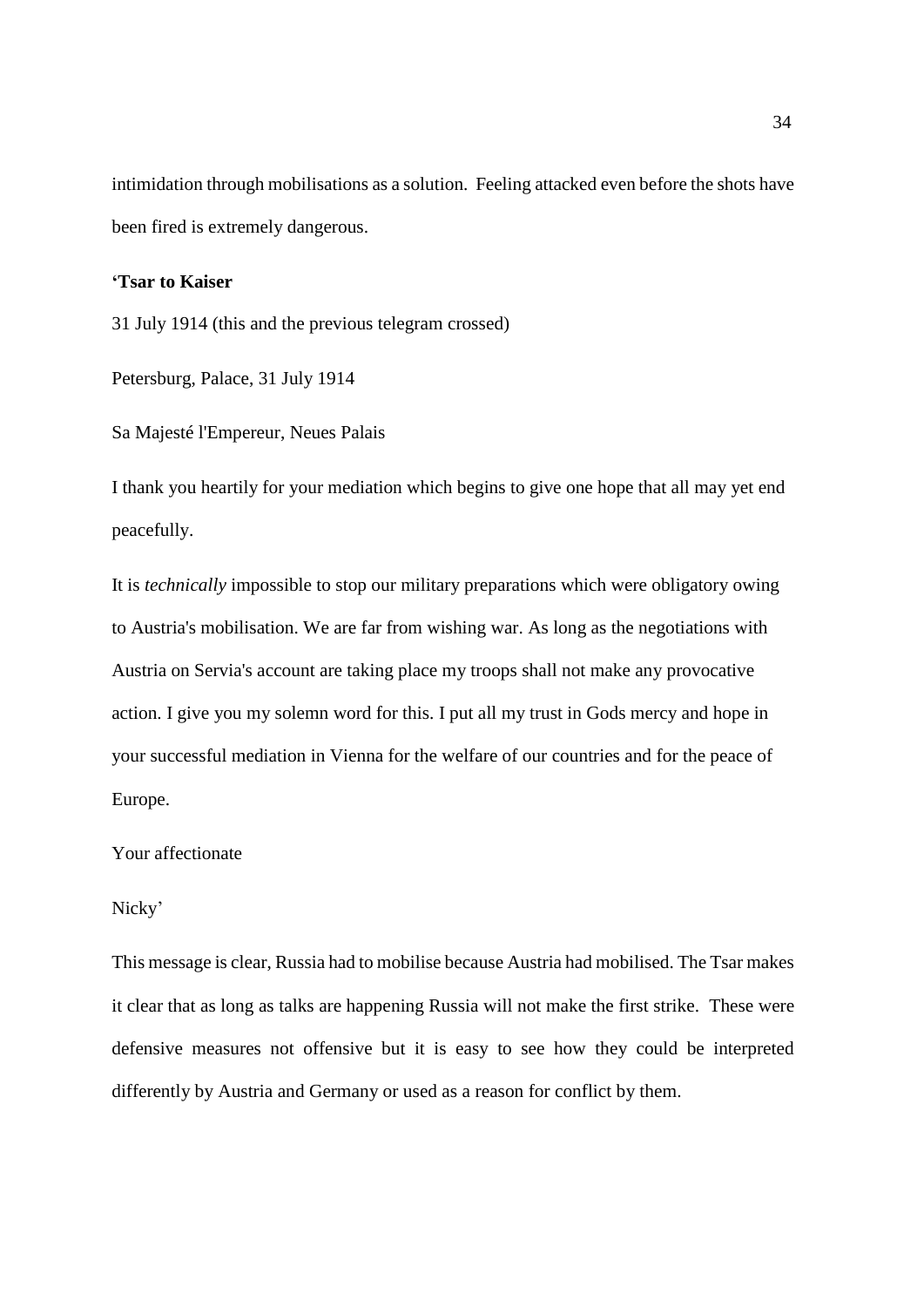intimidation through mobilisations as a solution. Feeling attacked even before the shots have been fired is extremely dangerous.

## **'Tsar to Kaiser**

31 July 1914 (this and the previous telegram crossed)

Petersburg, Palace, 31 July 1914

Sa Majesté l'Empereur, Neues Palais

I thank you heartily for your mediation which begins to give one hope that all may yet end peacefully.

It is *technically* impossible to stop our military preparations which were obligatory owing to Austria's mobilisation. We are far from wishing war. As long as the negotiations with Austria on Servia's account are taking place my troops shall not make any provocative action. I give you my solemn word for this. I put all my trust in Gods mercy and hope in your successful mediation in Vienna for the welfare of our countries and for the peace of Europe.

## Your affectionate

## Nicky'

This message is clear, Russia had to mobilise because Austria had mobilised. The Tsar makes it clear that as long as talks are happening Russia will not make the first strike. These were defensive measures not offensive but it is easy to see how they could be interpreted differently by Austria and Germany or used as a reason for conflict by them.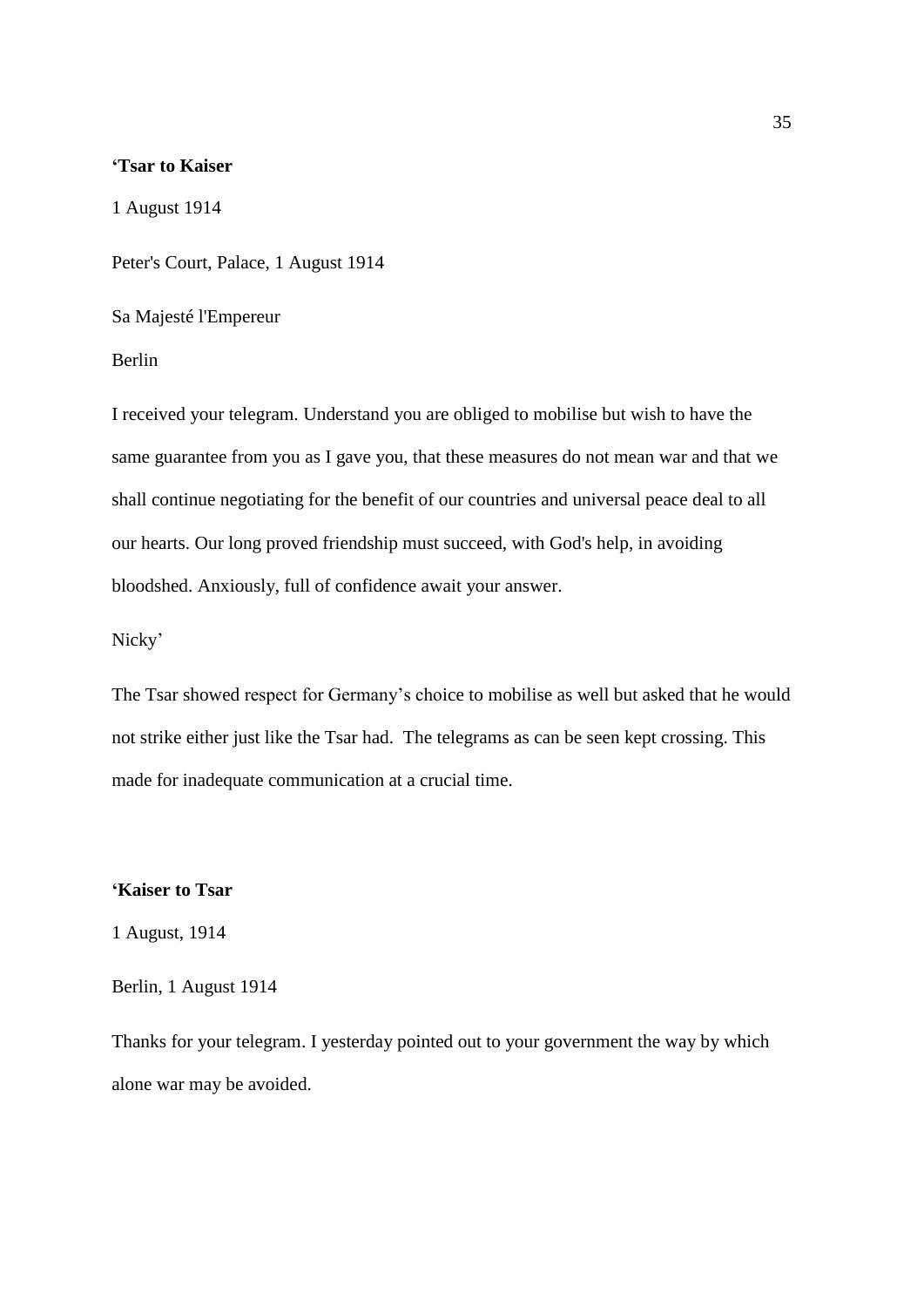## **'Tsar to Kaiser**

1 August 1914

Peter's Court, Palace, 1 August 1914

Sa Majesté l'Empereur

Berlin

I received your telegram. Understand you are obliged to mobilise but wish to have the same guarantee from you as I gave you, that these measures do not mean war and that we shall continue negotiating for the benefit of our countries and universal peace deal to all our hearts. Our long proved friendship must succeed, with God's help, in avoiding bloodshed. Anxiously, full of confidence await your answer.

## Nicky'

The Tsar showed respect for Germany's choice to mobilise as well but asked that he would not strike either just like the Tsar had. The telegrams as can be seen kept crossing. This made for inadequate communication at a crucial time.

#### **'Kaiser to Tsar**

1 August, 1914

Berlin, 1 August 1914

Thanks for your telegram. I yesterday pointed out to your government the way by which alone war may be avoided.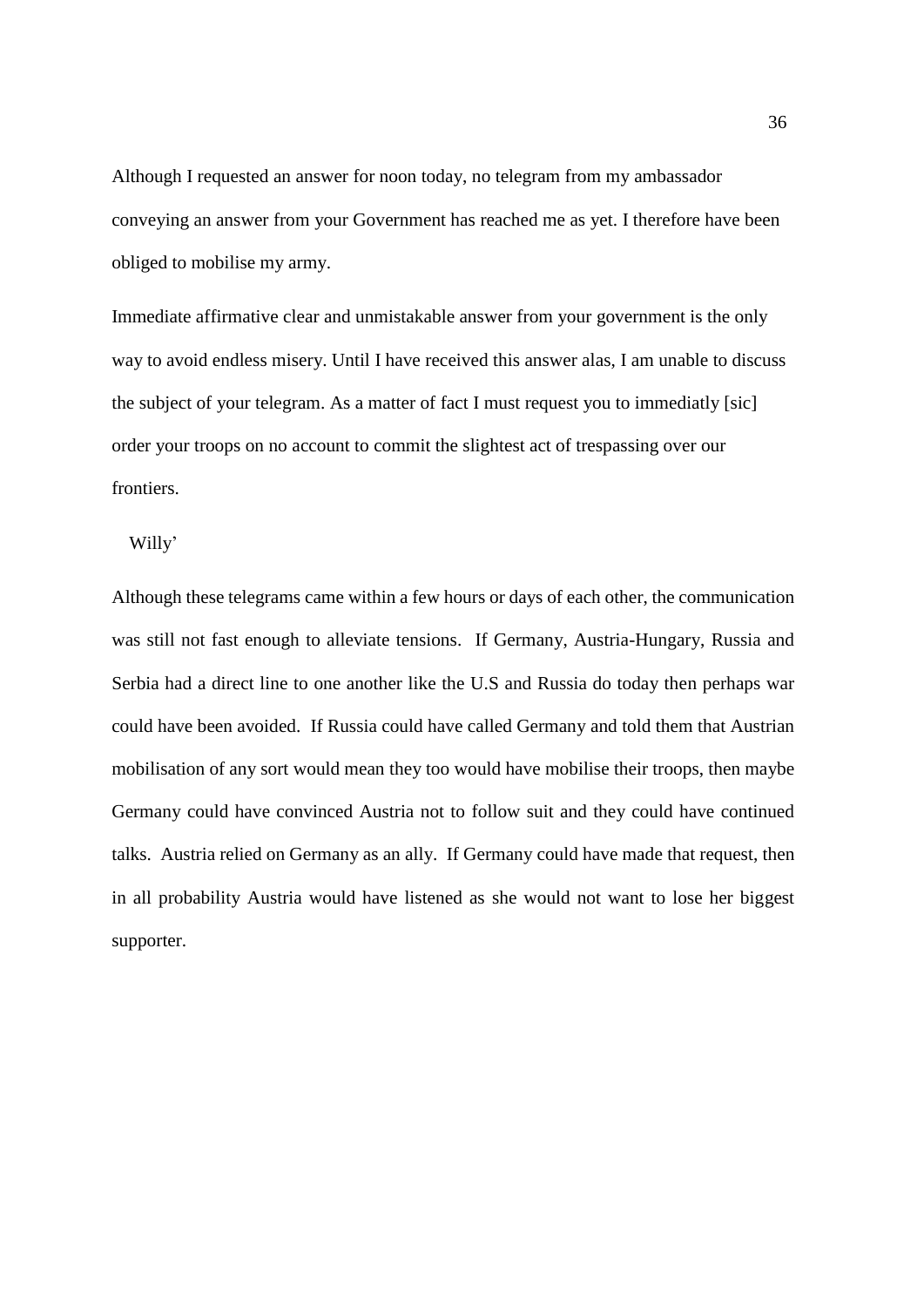Although I requested an answer for noon today, no telegram from my ambassador conveying an answer from your Government has reached me as yet. I therefore have been obliged to mobilise my army.

Immediate affirmative clear and unmistakable answer from your government is the only way to avoid endless misery. Until I have received this answer alas, I am unable to discuss the subject of your telegram. As a matter of fact I must request you to immediatly [sic] order your troops on no account to commit the slightest act of trespassing over our frontiers.

Willy'

Although these telegrams came within a few hours or days of each other, the communication was still not fast enough to alleviate tensions. If Germany, Austria-Hungary, Russia and Serbia had a direct line to one another like the U.S and Russia do today then perhaps war could have been avoided. If Russia could have called Germany and told them that Austrian mobilisation of any sort would mean they too would have mobilise their troops, then maybe Germany could have convinced Austria not to follow suit and they could have continued talks. Austria relied on Germany as an ally. If Germany could have made that request, then in all probability Austria would have listened as she would not want to lose her biggest supporter.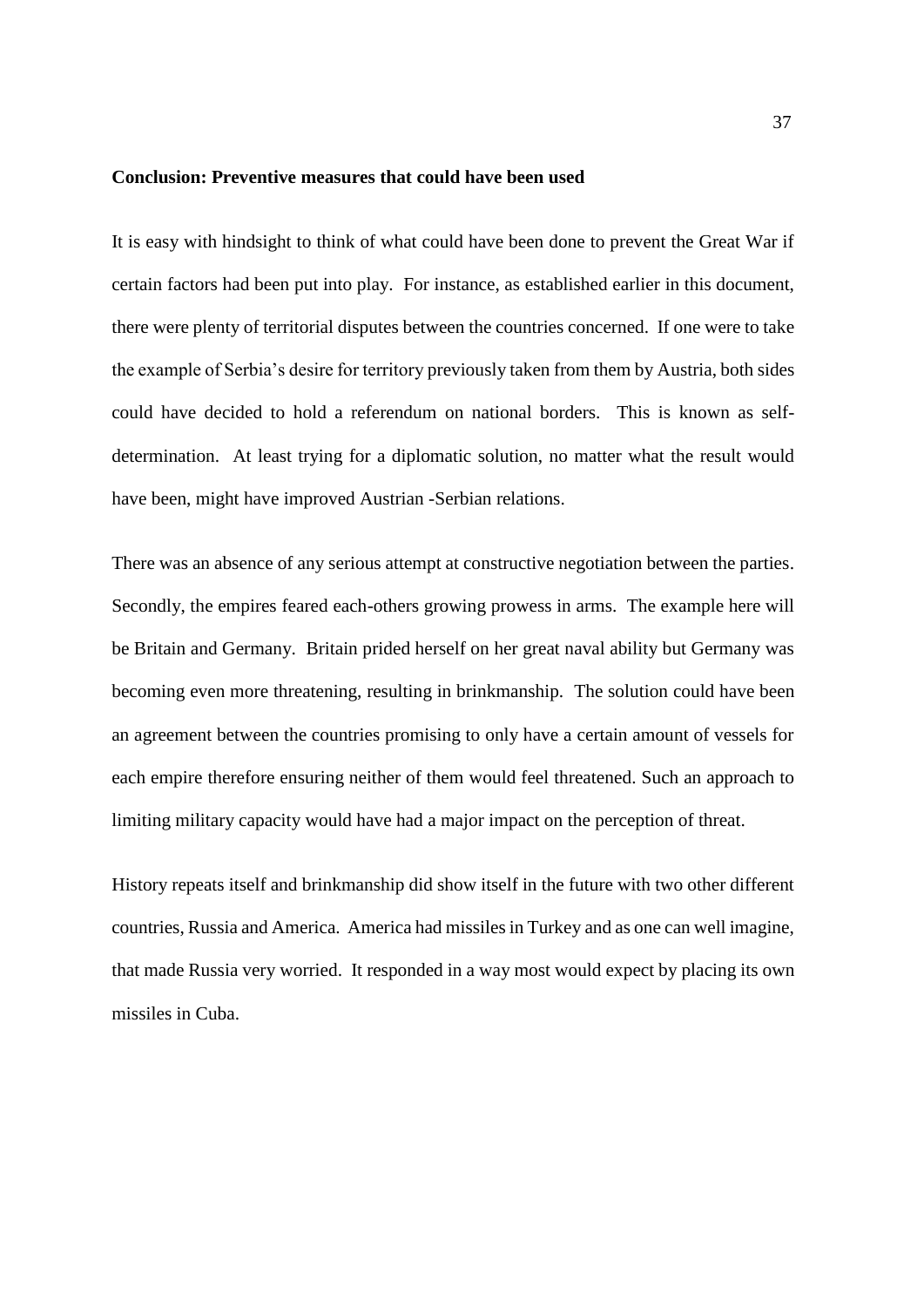#### **Conclusion: Preventive measures that could have been used**

It is easy with hindsight to think of what could have been done to prevent the Great War if certain factors had been put into play. For instance, as established earlier in this document, there were plenty of territorial disputes between the countries concerned. If one were to take the example of Serbia's desire for territory previously taken from them by Austria, both sides could have decided to hold a referendum on national borders. This is known as selfdetermination. At least trying for a diplomatic solution, no matter what the result would have been, might have improved Austrian -Serbian relations.

There was an absence of any serious attempt at constructive negotiation between the parties. Secondly, the empires feared each-others growing prowess in arms. The example here will be Britain and Germany. Britain prided herself on her great naval ability but Germany was becoming even more threatening, resulting in brinkmanship. The solution could have been an agreement between the countries promising to only have a certain amount of vessels for each empire therefore ensuring neither of them would feel threatened. Such an approach to limiting military capacity would have had a major impact on the perception of threat.

History repeats itself and brinkmanship did show itself in the future with two other different countries, Russia and America. America had missiles in Turkey and as one can well imagine, that made Russia very worried. It responded in a way most would expect by placing its own missiles in Cuba.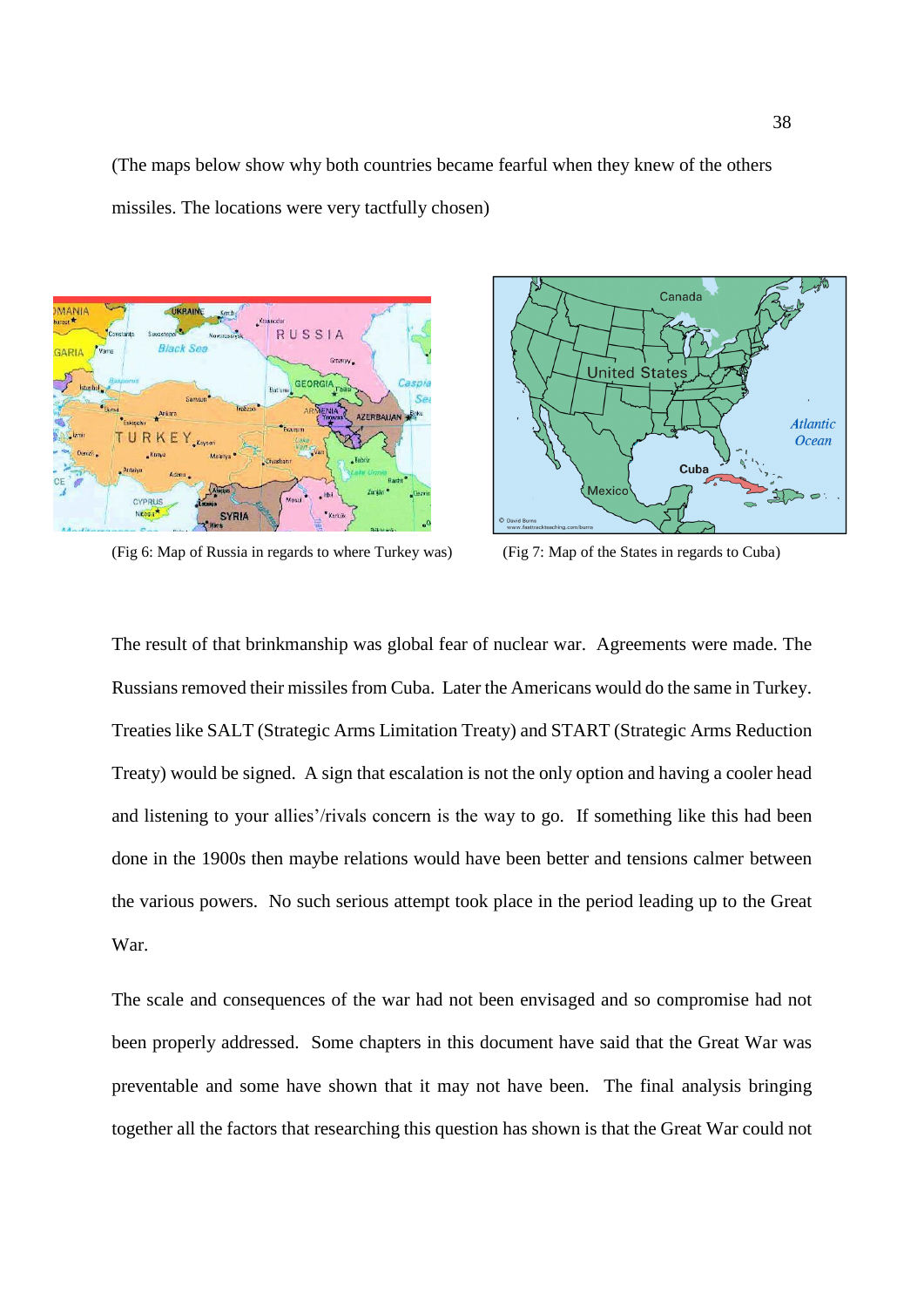(The maps below show why both countries became fearful when they knew of the others missiles. The locations were very tactfully chosen)



(Fig 6: Map of Russia in regards to where Turkey was) (Fig 7: Map of the States in regards to Cuba)



The result of that brinkmanship was global fear of nuclear war. Agreements were made. The Russians removed their missiles from Cuba. Later the Americans would do the same in Turkey. Treaties like SALT (Strategic Arms Limitation Treaty) and START (Strategic Arms Reduction Treaty) would be signed. A sign that escalation is not the only option and having a cooler head and listening to your allies'/rivals concern is the way to go. If something like this had been done in the 1900s then maybe relations would have been better and tensions calmer between the various powers. No such serious attempt took place in the period leading up to the Great War.

The scale and consequences of the war had not been envisaged and so compromise had not been properly addressed. Some chapters in this document have said that the Great War was preventable and some have shown that it may not have been. The final analysis bringing together all the factors that researching this question has shown is that the Great War could not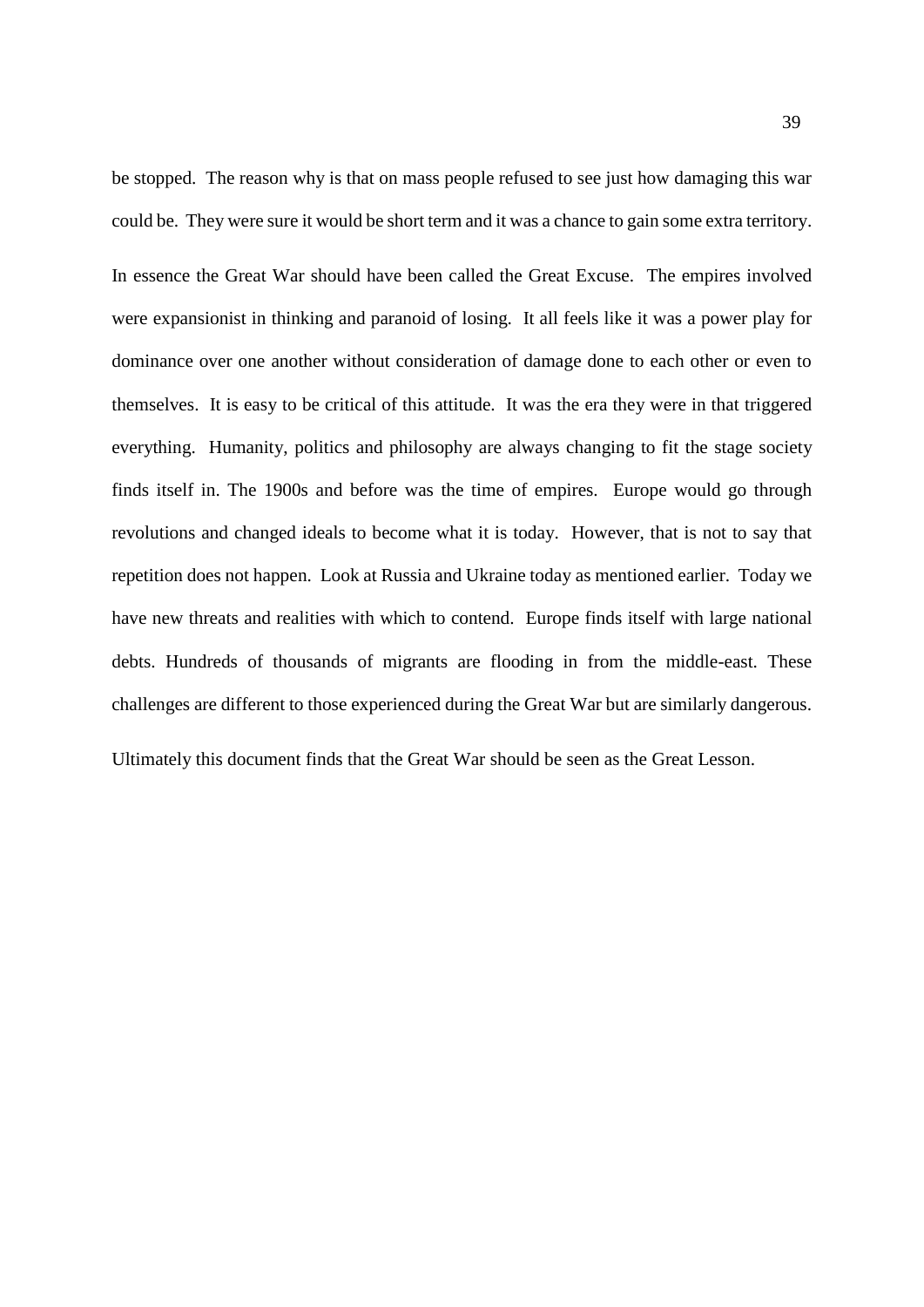be stopped. The reason why is that on mass people refused to see just how damaging this war could be. They were sure it would be short term and it was a chance to gain some extra territory. In essence the Great War should have been called the Great Excuse. The empires involved were expansionist in thinking and paranoid of losing. It all feels like it was a power play for dominance over one another without consideration of damage done to each other or even to themselves. It is easy to be critical of this attitude. It was the era they were in that triggered everything. Humanity, politics and philosophy are always changing to fit the stage society finds itself in. The 1900s and before was the time of empires. Europe would go through revolutions and changed ideals to become what it is today. However, that is not to say that repetition does not happen. Look at Russia and Ukraine today as mentioned earlier. Today we have new threats and realities with which to contend. Europe finds itself with large national debts. Hundreds of thousands of migrants are flooding in from the middle-east. These challenges are different to those experienced during the Great War but are similarly dangerous.

Ultimately this document finds that the Great War should be seen as the Great Lesson.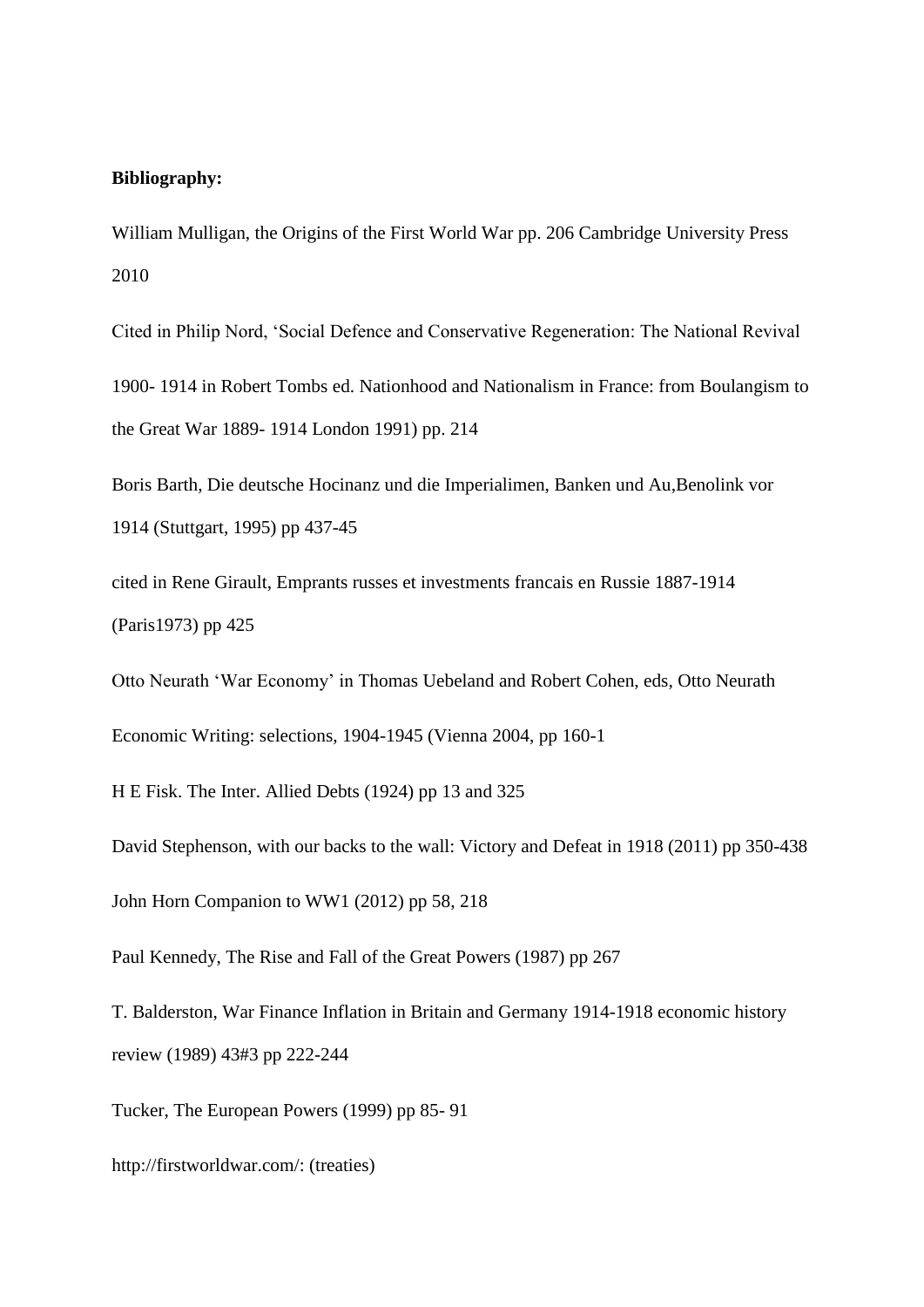## **Bibliography:**

William Mulligan, the Origins of the First World War pp. 206 Cambridge University Press 2010

Cited in Philip Nord, 'Social Defence and Conservative Regeneration: The National Revival 1900- 1914 in Robert Tombs ed. Nationhood and Nationalism in France: from Boulangism to the Great War 1889- 1914 London 1991) pp. 214

Boris Barth, Die deutsche Hocinanz und die Imperialimen, Banken und Au,Benolink vor 1914 (Stuttgart, 1995) pp 437-45

cited in Rene Girault, Emprants russes et investments francais en Russie 1887-1914 (Paris1973) pp 425

Otto Neurath 'War Economy' in Thomas Uebeland and Robert Cohen, eds, Otto Neurath

Economic Writing: selections, 1904-1945 (Vienna 2004, pp 160-1

H E Fisk. The Inter. Allied Debts (1924) pp 13 and 325

David Stephenson, with our backs to the wall: Victory and Defeat in 1918 (2011) pp 350-438 John Horn Companion to WW1 (2012) pp 58, 218

Paul Kennedy, The Rise and Fall of the Great Powers (1987) pp 267

T. Balderston, War Finance Inflation in Britain and Germany 1914-1918 economic history review (1989) 43#3 pp 222-244

Tucker, The European Powers (1999) pp 85- 91

http://firstworldwar.com/: (treaties)